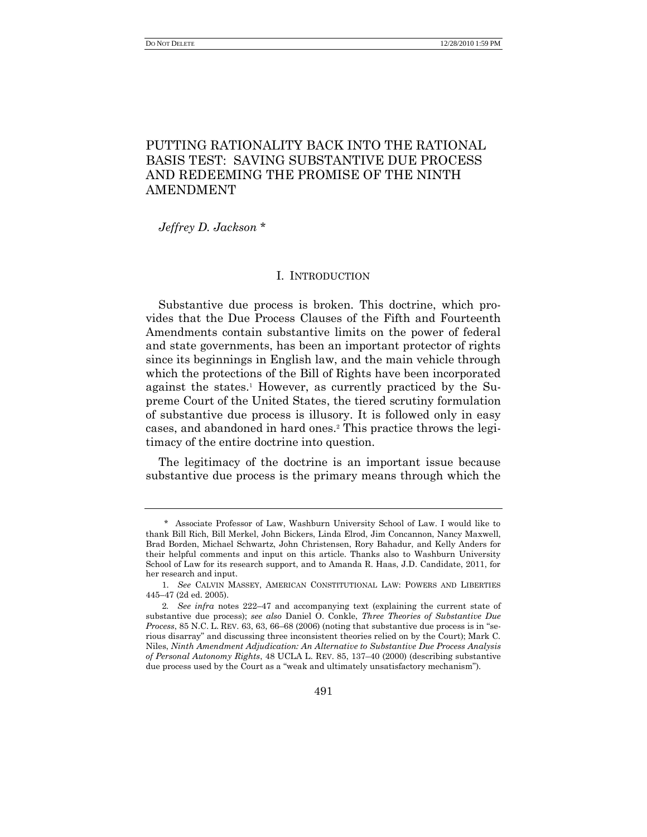# PUTTING RATIONALITY BACK INTO THE RATIONAL BASIS TEST: SAVING SUBSTANTIVE DUE PROCESS AND REDEEMING THE PROMISE OF THE NINTH AMENDMENT

*Jeffrey D. Jackson* \*

## I. INTRODUCTION

Substantive due process is broken. This doctrine, which provides that the Due Process Clauses of the Fifth and Fourteenth Amendments contain substantive limits on the power of federal and state governments, has been an important protector of rights since its beginnings in English law, and the main vehicle through which the protections of the Bill of Rights have been incorporated against the states.<sup>1</sup> However, as currently practiced by the Supreme Court of the United States, the tiered scrutiny formulation of substantive due process is illusory. It is followed only in easy cases, and abandoned in hard ones.<sup>2</sup> This practice throws the legitimacy of the entire doctrine into question.

The legitimacy of the doctrine is an important issue because substantive due process is the primary means through which the

<sup>\*</sup> Associate Professor of Law, Washburn University School of Law. I would like to thank Bill Rich, Bill Merkel, John Bickers, Linda Elrod, Jim Concannon, Nancy Maxwell, Brad Borden, Michael Schwartz, John Christensen, Rory Bahadur, and Kelly Anders for their helpful comments and input on this article. Thanks also to Washburn University School of Law for its research support, and to Amanda R. Haas, J.D. Candidate, 2011, for her research and input.

<sup>1.</sup> *See* CALVIN MASSEY, AMERICAN CONSTITUTIONAL LAW: POWERS AND LIBERTIES 445–47 (2d ed. 2005).

<sup>2</sup>*. See infra* notes 222–47 and accompanying text (explaining the current state of substantive due process); *see also* Daniel O. Conkle, *Three Theories of Substantive Due Process*, 85 N.C. L. REV. 63, 63, 66–68 (2006) (noting that substantive due process is in "serious disarray‖ and discussing three inconsistent theories relied on by the Court); Mark C. Niles, *Ninth Amendment Adjudication: An Alternative to Substantive Due Process Analysis of Personal Autonomy Rights*, 48 UCLA L. REV. 85, 137–40 (2000) (describing substantive due process used by the Court as a "weak and ultimately unsatisfactory mechanism").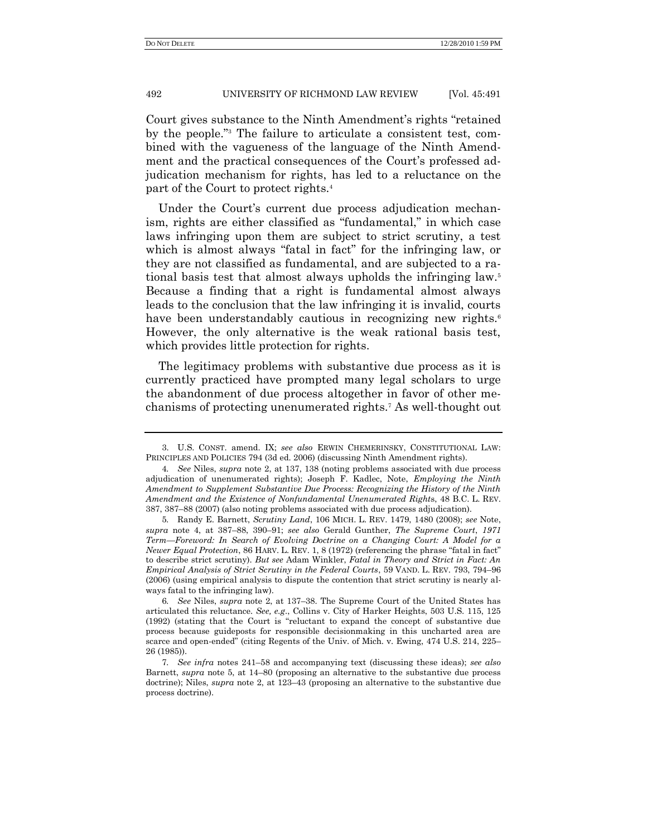Court gives substance to the Ninth Amendment's rights "retained" by the people."<sup>3</sup> The failure to articulate a consistent test, combined with the vagueness of the language of the Ninth Amendment and the practical consequences of the Court's professed adjudication mechanism for rights, has led to a reluctance on the part of the Court to protect rights.<sup>4</sup>

Under the Court's current due process adjudication mechanism, rights are either classified as "fundamental," in which case laws infringing upon them are subject to strict scrutiny, a test which is almost always "fatal in fact" for the infringing law, or they are not classified as fundamental, and are subjected to a rational basis test that almost always upholds the infringing law.<sup>5</sup> Because a finding that a right is fundamental almost always leads to the conclusion that the law infringing it is invalid, courts have been understandably cautious in recognizing new rights.<sup>6</sup> However, the only alternative is the weak rational basis test, which provides little protection for rights.

The legitimacy problems with substantive due process as it is currently practiced have prompted many legal scholars to urge the abandonment of due process altogether in favor of other mechanisms of protecting unenumerated rights.<sup>7</sup> As well-thought out

<sup>3.</sup> U.S. CONST. amend. IX; *see also* ERWIN CHEMERINSKY, CONSTITUTIONAL LAW: PRINCIPLES AND POLICIES 794 (3d ed. 2006) (discussing Ninth Amendment rights).

<sup>4</sup>*. See* Niles, *supra* note 2, at 137, 138 (noting problems associated with due process adjudication of unenumerated rights); Joseph F. Kadlec, Note, *Employing the Ninth Amendment to Supplement Substantive Due Process: Recognizing the History of the Ninth Amendment and the Existence of Nonfundamental Unenumerated Right*s, 48 B.C. L. REV. 387, 387–88 (2007) (also noting problems associated with due process adjudication).

<sup>5</sup>*.* Randy E. Barnett, *Scrutiny Land*, 106 MICH. L. REV. 1479, 1480 (2008); *see* Note, *supra* note 4, at 387–88, 390–91; *see also* Gerald Gunther, *The Supreme Court*, *1971 Term—Foreword: In Search of Evolving Doctrine on a Changing Court: A Model for a Newer Equal Protection*, 86 HARV. L. REV. 1, 8 (1972) (referencing the phrase "fatal in fact" to describe strict scrutiny). *But see* Adam Winkler, *Fatal in Theory and Strict in Fact: An Empirical Analysis of Strict Scrutiny in the Federal Courts*, 59 VAND. L. REV. 793, 794–96 (2006) (using empirical analysis to dispute the contention that strict scrutiny is nearly always fatal to the infringing law).

<sup>6</sup>*. See* Niles, *supra* note 2, at 137–38. The Supreme Court of the United States has articulated this reluctance. *See, e.g*., Collins v. City of Harker Heights, 503 U.S. 115, 125 (1992) (stating that the Court is "reluctant to expand the concept of substantive due process because guideposts for responsible decisionmaking in this uncharted area are scarce and open-ended" (citing Regents of the Univ. of Mich. v. Ewing, 474 U.S. 214, 225– 26 (1985)).

<sup>7</sup>*. See infra* notes 241–58 and accompanying text (discussing these ideas); *see also* Barnett, *supra* note 5, at 14–80 (proposing an alternative to the substantive due process doctrine); Niles, *supra* note 2, at 123–43 (proposing an alternative to the substantive due process doctrine).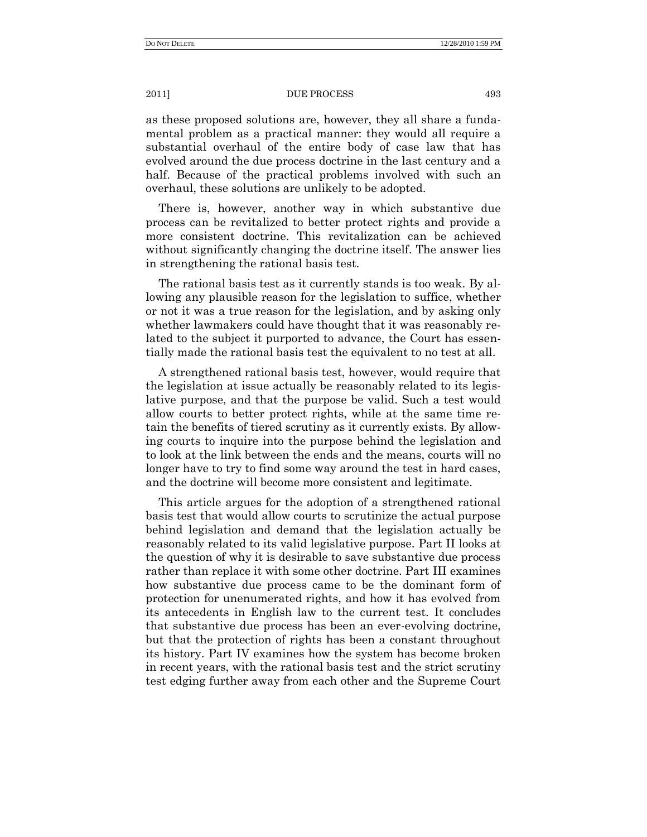as these proposed solutions are, however, they all share a fundamental problem as a practical manner: they would all require a substantial overhaul of the entire body of case law that has evolved around the due process doctrine in the last century and a half. Because of the practical problems involved with such an overhaul, these solutions are unlikely to be adopted.

There is, however, another way in which substantive due process can be revitalized to better protect rights and provide a more consistent doctrine. This revitalization can be achieved without significantly changing the doctrine itself. The answer lies in strengthening the rational basis test.

The rational basis test as it currently stands is too weak. By allowing any plausible reason for the legislation to suffice, whether or not it was a true reason for the legislation, and by asking only whether lawmakers could have thought that it was reasonably related to the subject it purported to advance, the Court has essentially made the rational basis test the equivalent to no test at all.

A strengthened rational basis test, however, would require that the legislation at issue actually be reasonably related to its legislative purpose, and that the purpose be valid. Such a test would allow courts to better protect rights, while at the same time retain the benefits of tiered scrutiny as it currently exists. By allowing courts to inquire into the purpose behind the legislation and to look at the link between the ends and the means, courts will no longer have to try to find some way around the test in hard cases, and the doctrine will become more consistent and legitimate.

This article argues for the adoption of a strengthened rational basis test that would allow courts to scrutinize the actual purpose behind legislation and demand that the legislation actually be reasonably related to its valid legislative purpose. Part II looks at the question of why it is desirable to save substantive due process rather than replace it with some other doctrine. Part III examines how substantive due process came to be the dominant form of protection for unenumerated rights, and how it has evolved from its antecedents in English law to the current test. It concludes that substantive due process has been an ever-evolving doctrine, but that the protection of rights has been a constant throughout its history. Part IV examines how the system has become broken in recent years, with the rational basis test and the strict scrutiny test edging further away from each other and the Supreme Court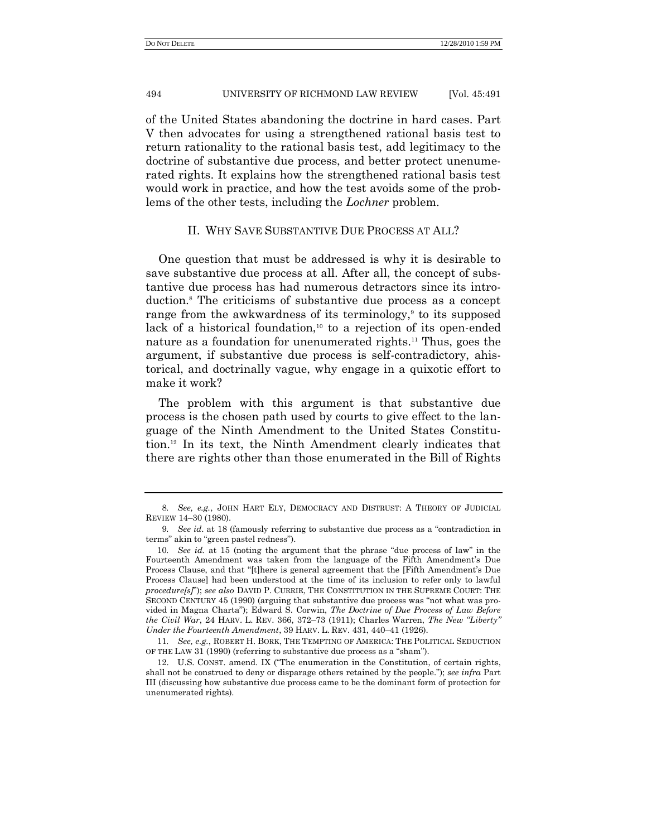of the United States abandoning the doctrine in hard cases. Part V then advocates for using a strengthened rational basis test to return rationality to the rational basis test, add legitimacy to the doctrine of substantive due process, and better protect unenumerated rights. It explains how the strengthened rational basis test would work in practice, and how the test avoids some of the problems of the other tests, including the *Lochner* problem.

## II. WHY SAVE SUBSTANTIVE DUE PROCESS AT ALL?

One question that must be addressed is why it is desirable to save substantive due process at all. After all, the concept of substantive due process has had numerous detractors since its introduction.<sup>8</sup> The criticisms of substantive due process as a concept range from the awkwardness of its terminology,<sup>9</sup> to its supposed lack of a historical foundation, $10$  to a rejection of its open-ended nature as a foundation for unenumerated rights.<sup>11</sup> Thus, goes the argument, if substantive due process is self-contradictory, ahistorical, and doctrinally vague, why engage in a quixotic effort to make it work?

The problem with this argument is that substantive due process is the chosen path used by courts to give effect to the language of the Ninth Amendment to the United States Constitution.<sup>12</sup> In its text, the Ninth Amendment clearly indicates that there are rights other than those enumerated in the Bill of Rights

<sup>8</sup>*. See, e.g.*, JOHN HART ELY, DEMOCRACY AND DISTRUST: A THEORY OF JUDICIAL REVIEW 14–30 (1980).

<sup>9.</sup> See id. at 18 (famously referring to substantive due process as a "contradiction in terms" akin to "green pastel redness").

<sup>10</sup>*. See id.* at 15 (noting the argument that the phrase "due process of law" in the Fourteenth Amendment was taken from the language of the Fifth Amendment's Due Process Clause, and that "[t]here is general agreement that the [Fifth Amendment's Due Process Clause] had been understood at the time of its inclusion to refer only to lawful *procedure[s]*‖); *see also* DAVID P. CURRIE, THE CONSTITUTION IN THE SUPREME COURT: THE SECOND CENTURY 45 (1990) (arguing that substantive due process was "not what was provided in Magna Charta"); Edward S. Corwin, *The Doctrine of Due Process of Law Before the Civil War*, 24 HARV. L. REV. 366, 372-73 (1911); Charles Warren, *The New "Liberty" Under the Fourteenth Amendment*, 39 HARV. L. REV. 431, 440–41 (1926).

<sup>11</sup>*. See, e.g.*, ROBERT H. BORK, THE TEMPTING OF AMERICA: THE POLITICAL SEDUCTION OF THE LAW 31 (1990) (referring to substantive due process as a "sham").

<sup>12.</sup> U.S. CONST. amend. IX ("The enumeration in the Constitution, of certain rights, shall not be construed to deny or disparage others retained by the people."); *see infra* Part III (discussing how substantive due process came to be the dominant form of protection for unenumerated rights).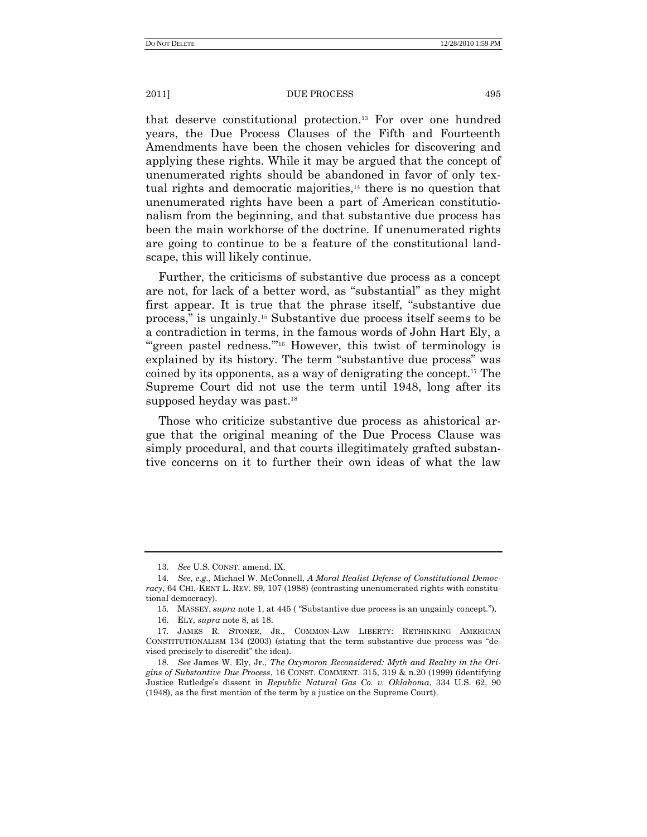that deserve constitutional protection.<sup>13</sup> For over one hundred years, the Due Process Clauses of the Fifth and Fourteenth Amendments have been the chosen vehicles for discovering and applying these rights. While it may be argued that the concept of unenumerated rights should be abandoned in favor of only textual rights and democratic majorities,<sup>14</sup> there is no question that unenumerated rights have been a part of American constitutionalism from the beginning, and that substantive due process has been the main workhorse of the doctrine. If unenumerated rights are going to continue to be a feature of the constitutional landscape, this will likely continue.

Further, the criticisms of substantive due process as a concept are not, for lack of a better word, as "substantial" as they might first appear. It is true that the phrase itself, "substantive due process,‖ is ungainly.<sup>15</sup> Substantive due process itself seems to be a contradiction in terms, in the famous words of John Hart Ely, a "green pastel redness."<sup>16</sup> However, this twist of terminology is explained by its history. The term "substantive due process" was coined by its opponents, as a way of denigrating the concept.<sup>17</sup> The Supreme Court did not use the term until 1948, long after its supposed heyday was past.<sup>18</sup>

Those who criticize substantive due process as ahistorical argue that the original meaning of the Due Process Clause was simply procedural, and that courts illegitimately grafted substantive concerns on it to further their own ideas of what the law

<sup>13.</sup> *See* U.S. CONST. amend. IX.

<sup>14</sup>*. See, e.g.*, Michael W. McConnell, *A Moral Realist Defense of Constitutional Democracy*, 64 CHI.-KENT L. REV. 89, 107 (1988) (contrasting unenumerated rights with constitutional democracy).

<sup>15.</sup> MASSEY, *supra* note 1, at 445 ("Substantive due process is an ungainly concept.").

<sup>16.</sup> ELY, *supra* note 8, at 18.

<sup>17</sup>*.* JAMES R. STONER, JR., COMMON-LAW LIBERTY: RETHINKING AMERICAN CONSTITUTIONALISM  $134$  (2003) (stating that the term substantive due process was "devised precisely to discredit" the idea).

<sup>18</sup>*. See* James W. Ely, Jr., *The Oxymoron Reconsidered: Myth and Reality in the Origins of Substantive Due Process*, 16 CONST. COMMENT. 315, 319 & n.20 (1999) (identifying Justice Rutledge's dissent in *Republic Natural Gas Co. v. Oklahoma*, 334 U.S. 62, 90 (1948), as the first mention of the term by a justice on the Supreme Court).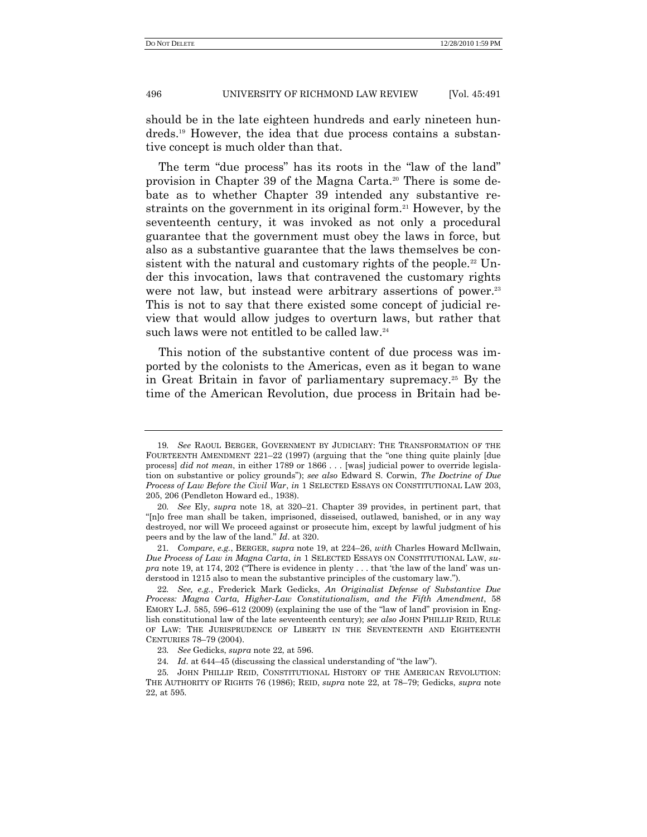should be in the late eighteen hundreds and early nineteen hundreds.<sup>19</sup> However, the idea that due process contains a substantive concept is much older than that.

The term "due process" has its roots in the "law of the land" provision in Chapter 39 of the Magna Carta.<sup>20</sup> There is some debate as to whether Chapter 39 intended any substantive restraints on the government in its original form.<sup>21</sup> However, by the seventeenth century, it was invoked as not only a procedural guarantee that the government must obey the laws in force, but also as a substantive guarantee that the laws themselves be consistent with the natural and customary rights of the people.<sup>22</sup> Under this invocation, laws that contravened the customary rights were not law, but instead were arbitrary assertions of power.<sup>23</sup> This is not to say that there existed some concept of judicial review that would allow judges to overturn laws, but rather that such laws were not entitled to be called law.<sup>24</sup>

This notion of the substantive content of due process was imported by the colonists to the Americas, even as it began to wane in Great Britain in favor of parliamentary supremacy.<sup>25</sup> By the time of the American Revolution, due process in Britain had be-

<sup>19</sup>*. See* RAOUL BERGER, GOVERNMENT BY JUDICIARY: THE TRANSFORMATION OF THE FOURTEENTH AMENDMENT  $221-22$  (1997) (arguing that the "one thing quite plainly [due process] *did not mean*, in either 1789 or 1866 . . . [was] judicial power to override legislation on substantive or policy grounds‖); *see also* Edward S. Corwin, *The Doctrine of Due Process of Law Before the Civil War*, *in* 1 SELECTED ESSAYS ON CONSTITUTIONAL LAW 203, 205, 206 (Pendleton Howard ed., 1938).

<sup>20</sup>*. See* Ely, *supra* note 18, at 320–21. Chapter 39 provides, in pertinent part, that "[n]o free man shall be taken, imprisoned, disseised, outlawed, banished, or in any way destroyed, nor will We proceed against or prosecute him, except by lawful judgment of his peers and by the law of the land.‖ *Id*. at 320.

<sup>21</sup>*. Compare*, *e.g.*, BERGER, *supra* note 19, at 224–26, *with* Charles Howard McIlwain, *Due Process of Law in Magna Carta*, *in* 1 SELECTED ESSAYS ON CONSTITUTIONAL LAW, *su* $pra$  note 19, at 174, 202 ("There is evidence in plenty  $\dots$  that 'the law of the land' was understood in 1215 also to mean the substantive principles of the customary law.").

<sup>22</sup>*. See, e.g.*, Frederick Mark Gedicks, *An Originalist Defense of Substantive Due Process: Magna Carta, Higher-Law Constitutionalism, and the Fifth Amendment*, 58 EMORY L.J. 585, 596–612 (2009) (explaining the use of the "law of land" provision in English constitutional law of the late seventeenth century); *see also* JOHN PHILLIP REID, RULE OF LAW: THE JURISPRUDENCE OF LIBERTY IN THE SEVENTEENTH AND EIGHTEENTH CENTURIES 78–79 (2004).

<sup>23</sup>*. See* Gedicks, *supra* note 22, at 596.

<sup>24.</sup> *Id.* at 644–45 (discussing the classical understanding of "the law").

<sup>25</sup>*.* JOHN PHILLIP REID, CONSTITUTIONAL HISTORY OF THE AMERICAN REVOLUTION: THE AUTHORITY OF RIGHTS 76 (1986); REID, *supra* note 22, at 78–79; Gedicks, *supra* note 22, at 595.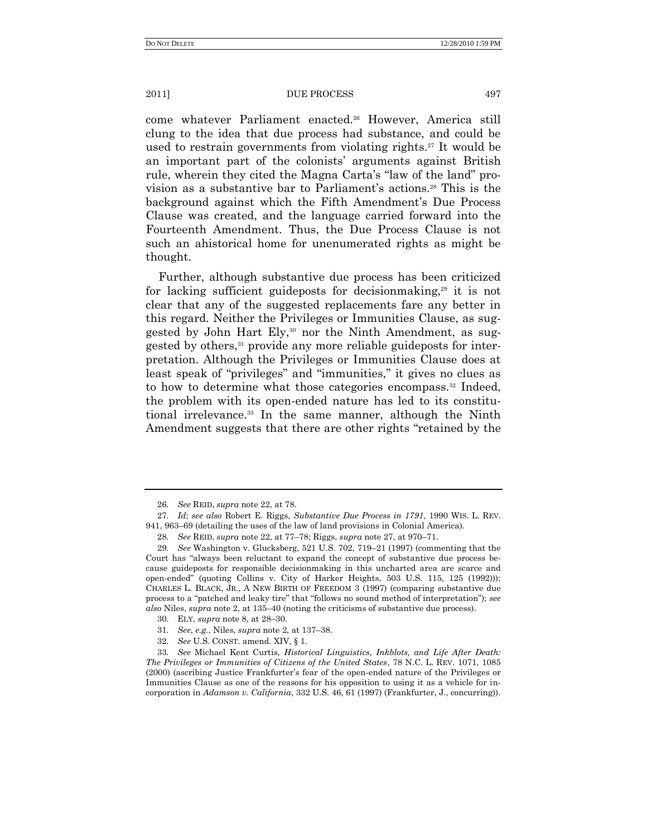come whatever Parliament enacted.<sup>26</sup> However, America still clung to the idea that due process had substance, and could be used to restrain governments from violating rights.<sup>27</sup> It would be an important part of the colonists' arguments against British rule, wherein they cited the Magna Carta's "law of the land" provision as a substantive bar to Parliament's actions.<sup>28</sup> This is the background against which the Fifth Amendment's Due Process Clause was created, and the language carried forward into the Fourteenth Amendment. Thus, the Due Process Clause is not such an ahistorical home for unenumerated rights as might be thought.

Further, although substantive due process has been criticized for lacking sufficient guideposts for decision making,<sup>29</sup> it is not clear that any of the suggested replacements fare any better in this regard. Neither the Privileges or Immunities Clause, as suggested by John Hart Ely,<sup>30</sup> nor the Ninth Amendment, as suggested by others,<sup>31</sup> provide any more reliable guideposts for interpretation. Although the Privileges or Immunities Clause does at least speak of "privileges" and "immunities," it gives no clues as to how to determine what those categories encompass.<sup>32</sup> Indeed, the problem with its open-ended nature has led to its constitutional irrelevance.<sup>33</sup> In the same manner, although the Ninth Amendment suggests that there are other rights "retained by the

- 31*. See*, *e.g.*, Niles, *supra* note 2, at 137–38.
- 32*. See* U.S. CONST. amend. XIV, § 1.

33*. See* Michael Kent Curtis, *Historical Linguistics, Inkblots, and Life After Death: The Privileges or Immunities of Citizens of the United States*, 78 N.C. L. REV. 1071, 1085 (2000) (ascribing Justice Frankfurter's fear of the open-ended nature of the Privileges or Immunities Clause as one of the reasons for his opposition to using it as a vehicle for incorporation in *Adamson v. California*, 332 U.S. 46, 61 (1997) (Frankfurter, J., concurring)).

<sup>26</sup>*. See* REID, *supra* note 22, at 78.

<sup>27</sup>*. Id*; *see also* Robert E. Riggs, *Substantive Due Process in 1791*, 1990 WIS. L. REV. 941, 963–69 (detailing the uses of the law of land provisions in Colonial America).

<sup>28</sup>*. See* REID, *supra* note 22, at 77–78; Riggs, *supra* note 27, at 970–71.

<sup>29</sup>*. See* Washington v. Glucksberg, 521 U.S. 702, 719–21 (1997) (commenting that the Court has "always been reluctant to expand the concept of substantive due process because guideposts for responsible decisionmaking in this uncharted area are scarce and open-ended‖ (quoting Collins v. City of Harker Heights, 503 U.S. 115, 125 (1992))); CHARLES L. BLACK, JR., A NEW BIRTH OF FREEDOM 3 (1997) (comparing substantive due process to a "patched and leaky tire" that "follows no sound method of interpretation"); *see also* Niles, *supra* note 2, at 135–40 (noting the criticisms of substantive due process).

<sup>30.</sup> ELY, *supra* note 8, at 28–30.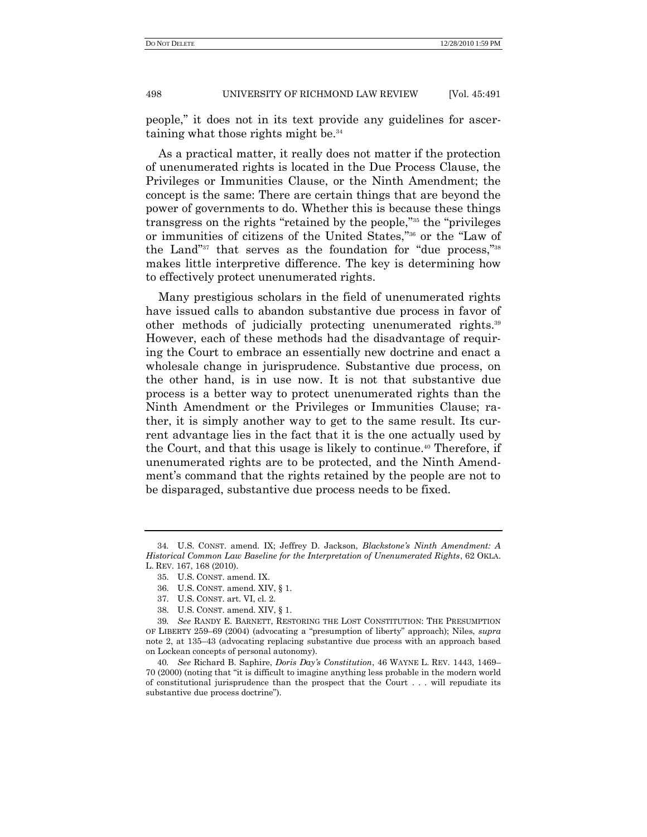people,‖ it does not in its text provide any guidelines for ascertaining what those rights might be.<sup>34</sup>

As a practical matter, it really does not matter if the protection of unenumerated rights is located in the Due Process Clause, the Privileges or Immunities Clause, or the Ninth Amendment; the concept is the same: There are certain things that are beyond the power of governments to do. Whether this is because these things transgress on the rights "retained by the people,"<sup>35</sup> the "privileges" or immunities of citizens of the United States,"<sup>36</sup> or the "Law of the Land"<sup>37</sup> that serves as the foundation for "due process,"<sup>38</sup> makes little interpretive difference. The key is determining how to effectively protect unenumerated rights.

Many prestigious scholars in the field of unenumerated rights have issued calls to abandon substantive due process in favor of other methods of judicially protecting unenumerated rights.<sup>39</sup> However, each of these methods had the disadvantage of requiring the Court to embrace an essentially new doctrine and enact a wholesale change in jurisprudence. Substantive due process, on the other hand, is in use now. It is not that substantive due process is a better way to protect unenumerated rights than the Ninth Amendment or the Privileges or Immunities Clause; rather, it is simply another way to get to the same result. Its current advantage lies in the fact that it is the one actually used by the Court, and that this usage is likely to continue.<sup>40</sup> Therefore, if unenumerated rights are to be protected, and the Ninth Amendment's command that the rights retained by the people are not to be disparaged, substantive due process needs to be fixed.

<sup>34</sup>*.* U.S. CONST. amend. IX; Jeffrey D. Jackson, *Blackstone's Ninth Amendment: A Historical Common Law Baseline for the Interpretation of Unenumerated Rights*, 62 OKLA. L. REV. 167, 168 (2010).

<sup>35.</sup> U.S. CONST. amend. IX.

<sup>36.</sup> U.S. CONST. amend. XIV, § 1.

<sup>37.</sup> U.S. CONST. art. VI, cl. 2.

<sup>38.</sup> U.S. CONST. amend. XIV, § 1.

<sup>39</sup>*. See* RANDY E. BARNETT, RESTORING THE LOST CONSTITUTION: THE PRESUMPTION OF LIBERTY 259–69 (2004) (advocating a "presumption of liberty" approach); Niles,  $supra$ note 2, at 135–43 (advocating replacing substantive due process with an approach based on Lockean concepts of personal autonomy).

<sup>40</sup>*. See* Richard B. Saphire, *Doris Day's Constitution*, 46 WAYNE L. REV. 1443, 1469– 70 (2000) (noting that "it is difficult to imagine anything less probable in the modern world of constitutional jurisprudence than the prospect that the Court . . . will repudiate its substantive due process doctrine").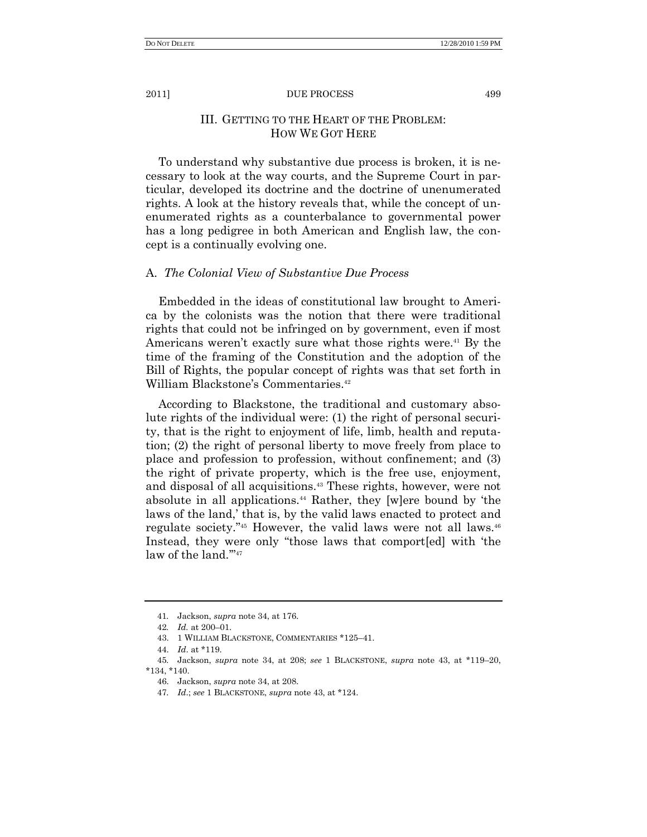# III. GETTING TO THE HEART OF THE PROBLEM: HOW WE GOT HERE

To understand why substantive due process is broken, it is necessary to look at the way courts, and the Supreme Court in particular, developed its doctrine and the doctrine of unenumerated rights. A look at the history reveals that, while the concept of unenumerated rights as a counterbalance to governmental power has a long pedigree in both American and English law, the concept is a continually evolving one.

## A. *The Colonial View of Substantive Due Process*

Embedded in the ideas of constitutional law brought to America by the colonists was the notion that there were traditional rights that could not be infringed on by government, even if most Americans weren't exactly sure what those rights were.<sup>41</sup> By the time of the framing of the Constitution and the adoption of the Bill of Rights, the popular concept of rights was that set forth in William Blackstone's Commentaries. 42

According to Blackstone, the traditional and customary absolute rights of the individual were: (1) the right of personal security, that is the right to enjoyment of life, limb, health and reputation; (2) the right of personal liberty to move freely from place to place and profession to profession, without confinement; and (3) the right of private property, which is the free use, enjoyment, and disposal of all acquisitions.<sup>43</sup> These rights, however, were not absolute in all applications.<sup>44</sup> Rather, they [w]ere bound by 'the laws of the land,' that is, by the valid laws enacted to protect and regulate society."<sup>45</sup> However, the valid laws were not all laws.<sup>46</sup> Instead, they were only "those laws that comport [ed] with 'the law of the land." $47$ 

<sup>41</sup>*.* Jackson, *supra* note 34, at 176.

<sup>42</sup>*. Id.* at 200–01.

<sup>43.</sup> 1 WILLIAM BLACKSTONE, COMMENTARIES \*125–41.

<sup>44.</sup> *Id*. at \*119.

<sup>45</sup>*.* Jackson, *supra* note 34, at 208; *see* 1 BLACKSTONE, *supra* note 43, at \*119–20, \*134, \*140.

<sup>46.</sup> Jackson, *supra* note 34, at 208.

<sup>47</sup>*. Id*.; *see* 1 BLACKSTONE, *supra* note 43, at \*124.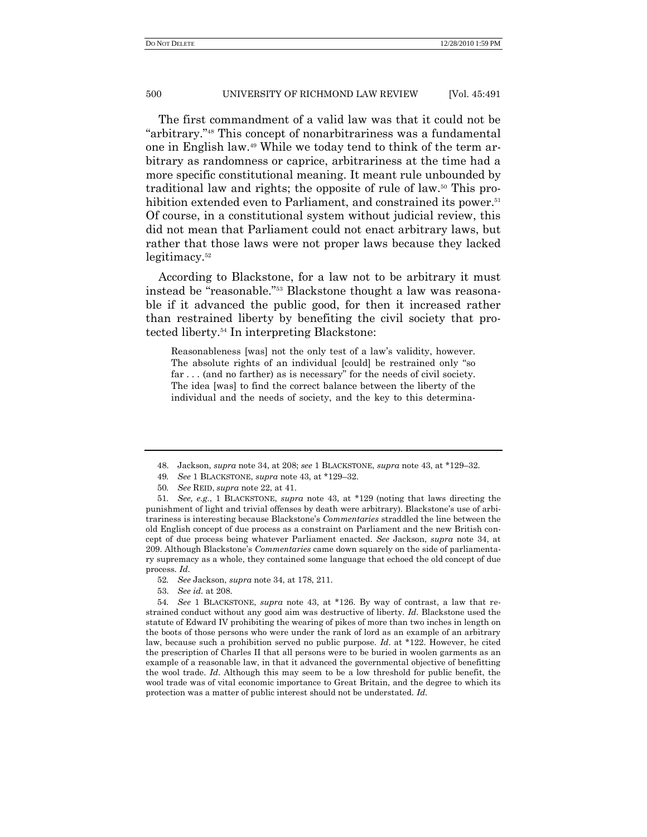The first commandment of a valid law was that it could not be "arbitrary."<sup>48</sup> This concept of nonarbitrariness was a fundamental one in English law.<sup>49</sup> While we today tend to think of the term arbitrary as randomness or caprice, arbitrariness at the time had a more specific constitutional meaning. It meant rule unbounded by traditional law and rights; the opposite of rule of law.<sup>50</sup> This prohibition extended even to Parliament, and constrained its power.<sup>51</sup> Of course, in a constitutional system without judicial review, this did not mean that Parliament could not enact arbitrary laws, but rather that those laws were not proper laws because they lacked legitimacy.<sup>52</sup>

According to Blackstone, for a law not to be arbitrary it must instead be "reasonable."<sup>53</sup> Blackstone thought a law was reasonable if it advanced the public good, for then it increased rather than restrained liberty by benefiting the civil society that protected liberty.<sup>54</sup> In interpreting Blackstone:

Reasonableness [was] not the only test of a law's validity, however. The absolute rights of an individual [could] be restrained only "so far  $\dots$  (and no farther) as is necessary" for the needs of civil society. The idea [was] to find the correct balance between the liberty of the individual and the needs of society, and the key to this determina-

<sup>48.</sup> Jackson, *supra* note 34, at 208; *see* 1 BLACKSTONE, *supra* note 43, at \*129–32.

<sup>49</sup>*. See* 1 BLACKSTONE, *supra* note 43, at \*129–32.

<sup>50</sup>*. See* REID, *supra* note 22, at 41.

<sup>51</sup>*. See, e.g.*, 1 BLACKSTONE, *supra* note 43, at \*129 (noting that laws directing the punishment of light and trivial offenses by death were arbitrary). Blackstone's use of arbitrariness is interesting because Blackstone's *Commentaries* straddled the line between the old English concept of due process as a constraint on Parliament and the new British concept of due process being whatever Parliament enacted. *See* Jackson, *supra* note 34, at 209. Although Blackstone's *Commentaries* came down squarely on the side of parliamentary supremacy as a whole, they contained some language that echoed the old concept of due process. *Id*.

<sup>52</sup>*. See* Jackson, *supra* note 34, at 178, 211.

<sup>53.</sup> *See id.* at 208.

<sup>54</sup>*. See* 1 BLACKSTONE, *supra* note 43, at \*126. By way of contrast, a law that restrained conduct without any good aim was destructive of liberty. *Id*. Blackstone used the statute of Edward IV prohibiting the wearing of pikes of more than two inches in length on the boots of those persons who were under the rank of lord as an example of an arbitrary law, because such a prohibition served no public purpose. *Id*. at \*122. However, he cited the prescription of Charles II that all persons were to be buried in woolen garments as an example of a reasonable law, in that it advanced the governmental objective of benefitting the wool trade. *Id*. Although this may seem to be a low threshold for public benefit, the wool trade was of vital economic importance to Great Britain, and the degree to which its protection was a matter of public interest should not be understated. *Id*.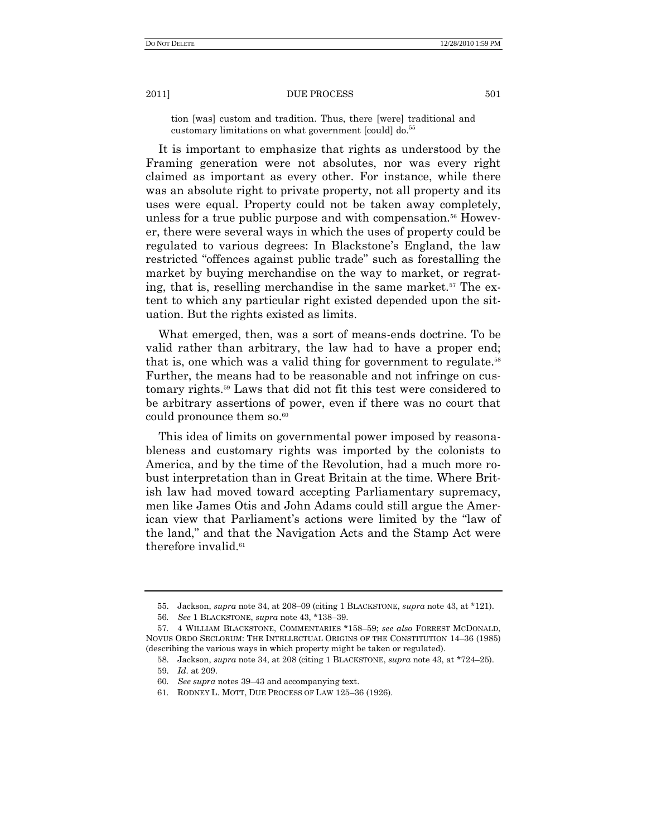tion [was] custom and tradition. Thus, there [were] traditional and customary limitations on what government [could] do. 55

It is important to emphasize that rights as understood by the Framing generation were not absolutes, nor was every right claimed as important as every other. For instance, while there was an absolute right to private property, not all property and its uses were equal. Property could not be taken away completely, unless for a true public purpose and with compensation.<sup>56</sup> However, there were several ways in which the uses of property could be regulated to various degrees: In Blackstone's England, the law restricted "offences against public trade" such as forestalling the market by buying merchandise on the way to market, or regrating, that is, reselling merchandise in the same market.<sup>57</sup> The extent to which any particular right existed depended upon the situation. But the rights existed as limits.

What emerged, then, was a sort of means-ends doctrine. To be valid rather than arbitrary, the law had to have a proper end; that is, one which was a valid thing for government to regulate.<sup>58</sup> Further, the means had to be reasonable and not infringe on customary rights.<sup>59</sup> Laws that did not fit this test were considered to be arbitrary assertions of power, even if there was no court that could pronounce them so. $60$ 

This idea of limits on governmental power imposed by reasonableness and customary rights was imported by the colonists to America, and by the time of the Revolution, had a much more robust interpretation than in Great Britain at the time. Where British law had moved toward accepting Parliamentary supremacy, men like James Otis and John Adams could still argue the American view that Parliament's actions were limited by the "law of the land," and that the Navigation Acts and the Stamp Act were therefore invalid. $61$ 

<sup>55.</sup> Jackson, *supra* note 34, at 208–09 (citing 1 BLACKSTONE, *supra* note 43, at \*121).

<sup>56</sup>*. See* 1 BLACKSTONE, *supra* note 43, \*138–39.

<sup>57</sup>*.* 4 WILLIAM BLACKSTONE, COMMENTARIES \*158–59; *see also* FORREST MCDONALD, NOVUS ORDO SECLORUM: THE INTELLECTUAL ORIGINS OF THE CONSTITUTION 14–36 (1985) (describing the various ways in which property might be taken or regulated).

<sup>58.</sup> Jackson, *supra* note 34, at 208 (citing 1 BLACKSTONE, *supra* note 43, at \*724–25).

<sup>59.</sup> *Id*. at 209.

<sup>60</sup>*. See supra* notes 39–43 and accompanying text.

<sup>61</sup>*.* RODNEY L. MOTT, DUE PROCESS OF LAW 125–36 (1926).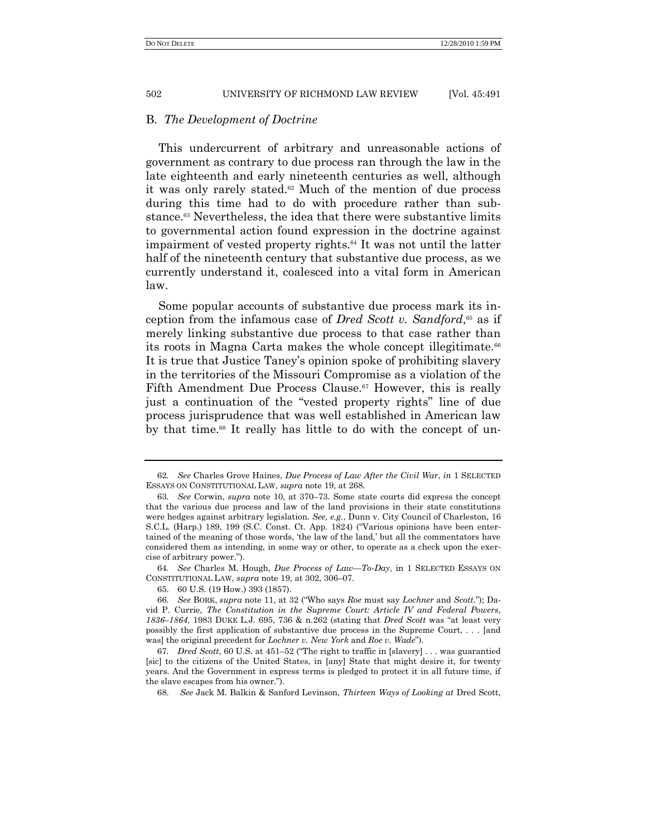## B. *The Development of Doctrine*

This undercurrent of arbitrary and unreasonable actions of government as contrary to due process ran through the law in the late eighteenth and early nineteenth centuries as well, although it was only rarely stated.<sup>62</sup> Much of the mention of due process during this time had to do with procedure rather than substance.<sup>63</sup> Nevertheless, the idea that there were substantive limits to governmental action found expression in the doctrine against impairment of vested property rights.<sup>64</sup> It was not until the latter half of the nineteenth century that substantive due process, as we currently understand it, coalesced into a vital form in American law.

Some popular accounts of substantive due process mark its inception from the infamous case of *Dred Scott v. Sandford*, <sup>65</sup> as if merely linking substantive due process to that case rather than its roots in Magna Carta makes the whole concept illegitimate.<sup>66</sup> It is true that Justice Taney's opinion spoke of prohibiting slavery in the territories of the Missouri Compromise as a violation of the Fifth Amendment Due Process Clause.<sup>67</sup> However, this is really just a continuation of the "vested property rights" line of due process jurisprudence that was well established in American law by that time.<sup>68</sup> It really has little to do with the concept of un-

64*. See* Charles M. Hough, *Due Process of Law—To-Day*, in 1 SELECTED ESSAYS ON CONSTITUTIONAL LAW, *supra* note 19, at 302, 306–07.

<sup>62</sup>*. See* Charles Grove Haines, *Due Process of Law After the Civil War*, *in* 1 SELECTED ESSAYS ON CONSTITUTIONAL LAW, *supra* note 19, at 268.

<sup>63</sup>*. See* Corwin, *supra* note 10, at 370–73. Some state courts did express the concept that the various due process and law of the land provisions in their state constitutions were hedges against arbitrary legislation. *See, e.g*., Dunn v. City Council of Charleston, 16 S.C.L. (Harp.) 189, 199 (S.C. Const. Ct. App. 1824) ("Various opinions have been entertained of the meaning of those words, 'the law of the land,' but all the commentators have considered them as intending, in some way or other, to operate as a check upon the exercise of arbitrary power.").

<sup>65.</sup> 60 U.S. (19 How.) 393 (1857).

<sup>66.</sup> *See* BORK, *supra* note 11, at 32 ("Who says *Roe* must say *Lochner* and *Scott*."); David P. Currie, *The Constitution in the Supreme Court: Article IV and Federal Powers,*  1836–1864, 1983 DUKE L.J. 695, 736 & n.262 (stating that *Dred Scott* was "at least very possibly the first application of substantive due process in the Supreme Court, . . . [and was] the original precedent for *Lochner v. New York* and *Roe v. Wade*").

<sup>67.</sup> *Dred Scott*, 60 U.S. at 451–52 ("The right to traffic in [slavery] . . . was guarantied [sic] to the citizens of the United States, in [any] State that might desire it, for twenty years. And the Government in express terms is pledged to protect it in all future time, if the slave escapes from his owner.‖).

<sup>68.</sup> *See* Jack M. Balkin & Sanford Levinson, *Thirteen Ways of Looking at* Dred Scott,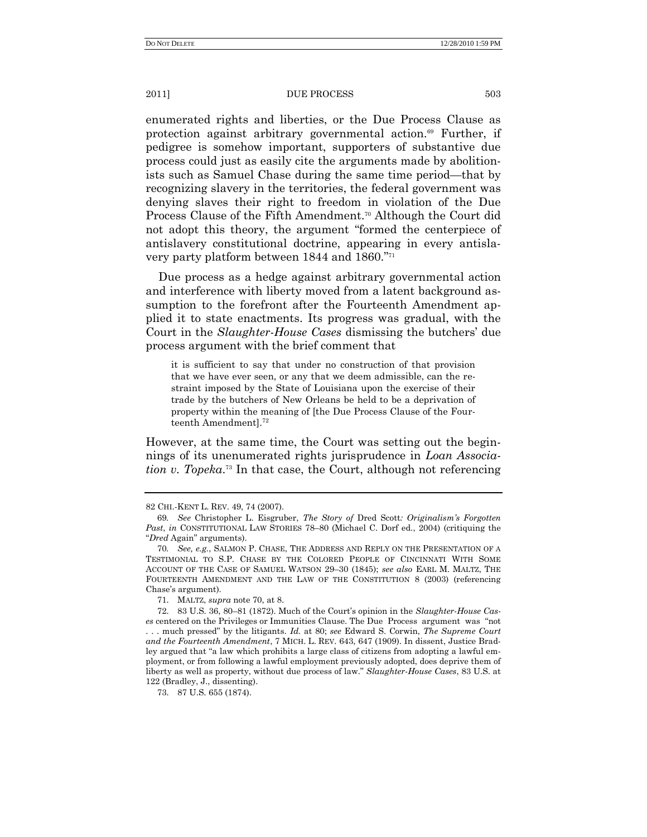enumerated rights and liberties, or the Due Process Clause as protection against arbitrary governmental action.<sup>69</sup> Further, if pedigree is somehow important, supporters of substantive due process could just as easily cite the arguments made by abolitionists such as Samuel Chase during the same time period—that by recognizing slavery in the territories, the federal government was denying slaves their right to freedom in violation of the Due Process Clause of the Fifth Amendment.<sup>70</sup> Although the Court did not adopt this theory, the argument "formed the centerpiece of antislavery constitutional doctrine, appearing in every antislavery party platform between 1844 and 1860."<sup>71</sup>

Due process as a hedge against arbitrary governmental action and interference with liberty moved from a latent background assumption to the forefront after the Fourteenth Amendment applied it to state enactments. Its progress was gradual, with the Court in the *Slaughter-House Cases* dismissing the butchers' due process argument with the brief comment that

it is sufficient to say that under no construction of that provision that we have ever seen, or any that we deem admissible, can the restraint imposed by the State of Louisiana upon the exercise of their trade by the butchers of New Orleans be held to be a deprivation of property within the meaning of [the Due Process Clause of the Fourteenth Amendment]. $^{72}$ 

However, at the same time, the Court was setting out the beginnings of its unenumerated rights jurisprudence in *Loan Association v. Topeka*. <sup>73</sup> In that case, the Court, although not referencing

73. 87 U.S. 655 (1874).

<sup>82</sup> CHI.-KENT L. REV. 49, 74 (2007).

<sup>69</sup>*. See* Christopher L. Eisgruber, *The Story of* Dred Scott*: Originalism's Forgotten Past*, *in* CONSTITUTIONAL LAW STORIES 78–80 (Michael C. Dorf ed., 2004) (critiquing the ―*Dred* Again‖ arguments).

<sup>70</sup>*. See, e.g.*, SALMON P. CHASE, THE ADDRESS AND REPLY ON THE PRESENTATION OF A TESTIMONIAL TO S.P. CHASE BY THE COLORED PEOPLE OF CINCINNATI WITH SOME ACCOUNT OF THE CASE OF SAMUEL WATSON 29–30 (1845); *see also* EARL M. MALTZ, THE FOURTEENTH AMENDMENT AND THE LAW OF THE CONSTITUTION 8 (2003) (referencing Chase's argument).

<sup>71.</sup> MALTZ, *supra* note 70, at 8.

<sup>72.</sup> 83 U.S. 36, 80–81 (1872). Much of the Court's opinion in the *Slaughter-House Cases* centered on the Privileges or Immunities Clause. The Due Process argument was "not . . . much pressed‖ by the litigants. *Id.* at 80; *see* Edward S. Corwin, *The Supreme Court and the Fourteenth Amendment*, 7 MICH. L. REV. 643, 647 (1909). In dissent, Justice Bradley argued that "a law which prohibits a large class of citizens from adopting a lawful employment, or from following a lawful employment previously adopted, does deprive them of liberty as well as property, without due process of law.‖ *Slaughter-House Cases*, 83 U.S. at 122 (Bradley, J., dissenting).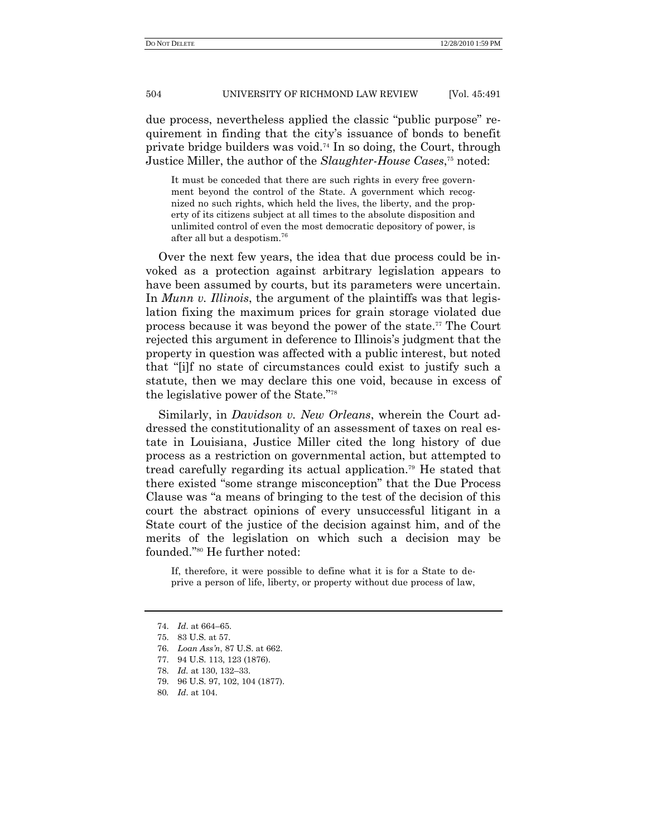due process, nevertheless applied the classic "public purpose" requirement in finding that the city's issuance of bonds to benefit private bridge builders was void.<sup>74</sup> In so doing, the Court, through Justice Miller, the author of the *Slaughter-House Cases*, <sup>75</sup> noted:

It must be conceded that there are such rights in every free government beyond the control of the State. A government which recognized no such rights, which held the lives, the liberty, and the property of its citizens subject at all times to the absolute disposition and unlimited control of even the most democratic depository of power, is after all but a despotism.<sup>76</sup>

Over the next few years, the idea that due process could be invoked as a protection against arbitrary legislation appears to have been assumed by courts, but its parameters were uncertain. In *Munn v. Illinois*, the argument of the plaintiffs was that legislation fixing the maximum prices for grain storage violated due process because it was beyond the power of the state. <sup>77</sup> The Court rejected this argument in deference to Illinois's judgment that the property in question was affected with a public interest, but noted that ―[i]f no state of circumstances could exist to justify such a statute, then we may declare this one void, because in excess of the legislative power of the State."<sup>78</sup>

Similarly, in *Davidson v. New Orleans*, wherein the Court addressed the constitutionality of an assessment of taxes on real estate in Louisiana, Justice Miller cited the long history of due process as a restriction on governmental action, but attempted to tread carefully regarding its actual application.<sup>79</sup> He stated that there existed "some strange misconception" that the Due Process Clause was "a means of bringing to the test of the decision of this court the abstract opinions of every unsuccessful litigant in a State court of the justice of the decision against him, and of the merits of the legislation on which such a decision may be founded."<sup>80</sup> He further noted:

If, therefore, it were possible to define what it is for a State to deprive a person of life, liberty, or property without due process of law,

<sup>74.</sup> *Id*. at 664–65.

<sup>75.</sup> 83 U.S. at 57.

<sup>76.</sup> *Loan Ass'n*, 87 U.S. at 662.

<sup>77.</sup> 94 U.S. 113, 123 (1876).

<sup>78.</sup> *Id.* at 130, 132–33.

<sup>79.</sup> 96 U.S. 97, 102, 104 (1877).

<sup>80</sup>*. Id*. at 104.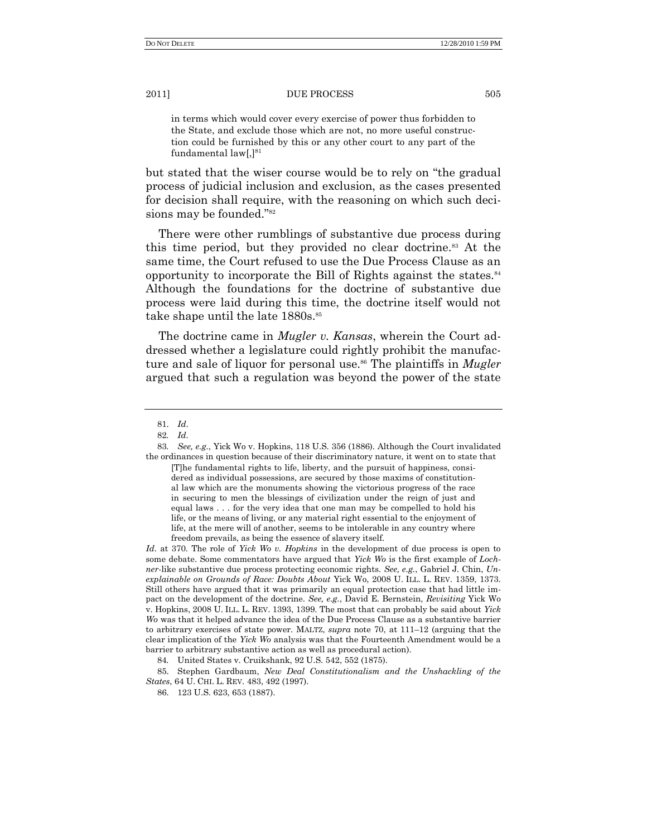in terms which would cover every exercise of power thus forbidden to the State, and exclude those which are not, no more useful construction could be furnished by this or any other court to any part of the fundamental law[,] 81

but stated that the wiser course would be to rely on "the gradual" process of judicial inclusion and exclusion, as the cases presented for decision shall require, with the reasoning on which such decisions may be founded."<sup>82</sup>

There were other rumblings of substantive due process during this time period, but they provided no clear doctrine.<sup>83</sup> At the same time, the Court refused to use the Due Process Clause as an opportunity to incorporate the Bill of Rights against the states.<sup>84</sup> Although the foundations for the doctrine of substantive due process were laid during this time, the doctrine itself would not take shape until the late 1880s.<sup>85</sup>

The doctrine came in *Mugler v. Kansas*, wherein the Court addressed whether a legislature could rightly prohibit the manufacture and sale of liquor for personal use. <sup>86</sup> The plaintiffs in *Mugler* argued that such a regulation was beyond the power of the state

*Id*. at 370. The role of *Yick Wo v. Hopkins* in the development of due process is open to some debate. Some commentators have argued that *Yick Wo* is the first example of *Lochner*-like substantive due process protecting economic rights*. See, e.g.*, Gabriel J. Chin, *Unexplainable on Grounds of Race: Doubts About* Yick Wo, 2008 U. ILL. L. REV. 1359, 1373. Still others have argued that it was primarily an equal protection case that had little impact on the development of the doctrine. *See, e.g.*, David E. Bernstein, *Revisiting* Yick Wo v. Hopkins, 2008 U. ILL. L. REV. 1393, 1399. The most that can probably be said about *Yick Wo* was that it helped advance the idea of the Due Process Clause as a substantive barrier to arbitrary exercises of state power. MALTZ, *supra* note 70, at 111–12 (arguing that the clear implication of the *Yick Wo* analysis was that the Fourteenth Amendment would be a barrier to arbitrary substantive action as well as procedural action).

85. Stephen Gardbaum, *New Deal Constitutionalism and the Unshackling of the States*, 64 U. CHI. L. REV. 483, 492 (1997).

<sup>81.</sup> *Id*.

<sup>82</sup>*. Id*.

<sup>83</sup>*. See, e.g.*, Yick Wo v. Hopkins, 118 U.S. 356 (1886). Although the Court invalidated the ordinances in question because of their discriminatory nature, it went on to state that

<sup>[</sup>T]he fundamental rights to life, liberty, and the pursuit of happiness, considered as individual possessions, are secured by those maxims of constitutional law which are the monuments showing the victorious progress of the race in securing to men the blessings of civilization under the reign of just and equal laws . . . for the very idea that one man may be compelled to hold his life, or the means of living, or any material right essential to the enjoyment of life, at the mere will of another, seems to be intolerable in any country where freedom prevails, as being the essence of slavery itself.

<sup>84</sup>*.* United States v. Cruikshank, 92 U.S. 542, 552 (1875).

<sup>86.</sup> 123 U.S. 623, 653 (1887).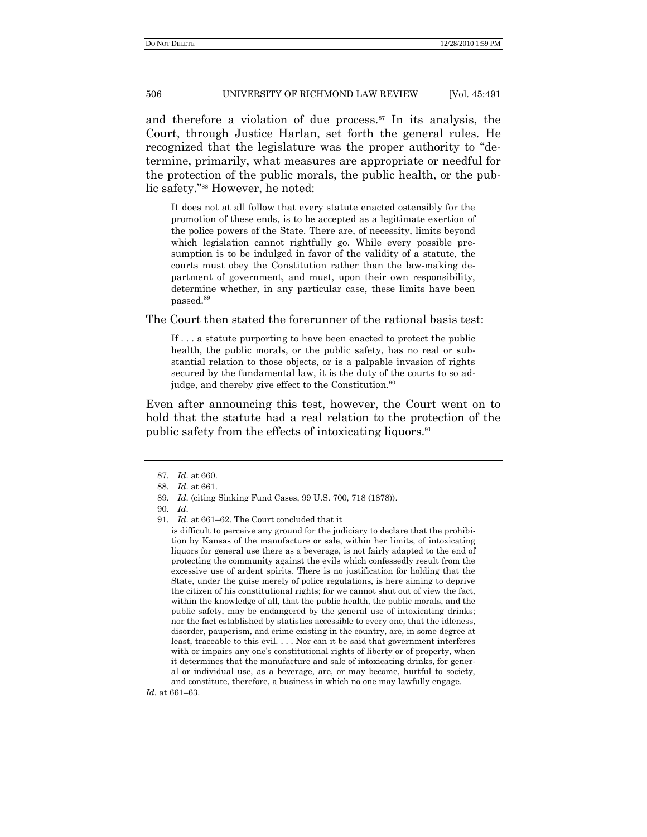and therefore a violation of due process.<sup>87</sup> In its analysis, the Court, through Justice Harlan, set forth the general rules. He recognized that the legislature was the proper authority to "determine, primarily, what measures are appropriate or needful for the protection of the public morals, the public health, or the public safety."<sup>88</sup> However, he noted:

It does not at all follow that every statute enacted ostensibly for the promotion of these ends, is to be accepted as a legitimate exertion of the police powers of the State. There are, of necessity, limits beyond which legislation cannot rightfully go. While every possible presumption is to be indulged in favor of the validity of a statute, the courts must obey the Constitution rather than the law-making department of government, and must, upon their own responsibility, determine whether, in any particular case, these limits have been passed.<sup>89</sup>

The Court then stated the forerunner of the rational basis test:

If . . . a statute purporting to have been enacted to protect the public health, the public morals, or the public safety, has no real or substantial relation to those objects, or is a palpable invasion of rights secured by the fundamental law, it is the duty of the courts to so adjudge, and thereby give effect to the Constitution.<sup>90</sup>

Even after announcing this test, however, the Court went on to hold that the statute had a real relation to the protection of the public safety from the effects of intoxicating liquors.<sup>91</sup>

*Id*. at 661–63.

<sup>87</sup>*. Id*. at 660.

<sup>88</sup>*. Id*. at 661.

<sup>89</sup>*. Id*. (citing Sinking Fund Cases, 99 U.S. 700, 718 (1878)).

<sup>90</sup>*. Id*.

<sup>91</sup>*. Id*. at 661–62. The Court concluded that it

is difficult to perceive any ground for the judiciary to declare that the prohibition by Kansas of the manufacture or sale, within her limits, of intoxicating liquors for general use there as a beverage, is not fairly adapted to the end of protecting the community against the evils which confessedly result from the excessive use of ardent spirits. There is no justification for holding that the State, under the guise merely of police regulations, is here aiming to deprive the citizen of his constitutional rights; for we cannot shut out of view the fact, within the knowledge of all, that the public health, the public morals, and the public safety, may be endangered by the general use of intoxicating drinks; nor the fact established by statistics accessible to every one, that the idleness, disorder, pauperism, and crime existing in the country, are, in some degree at least, traceable to this evil. . . . Nor can it be said that government interferes with or impairs any one's constitutional rights of liberty or of property, when it determines that the manufacture and sale of intoxicating drinks, for general or individual use, as a beverage, are, or may become, hurtful to society, and constitute, therefore, a business in which no one may lawfully engage.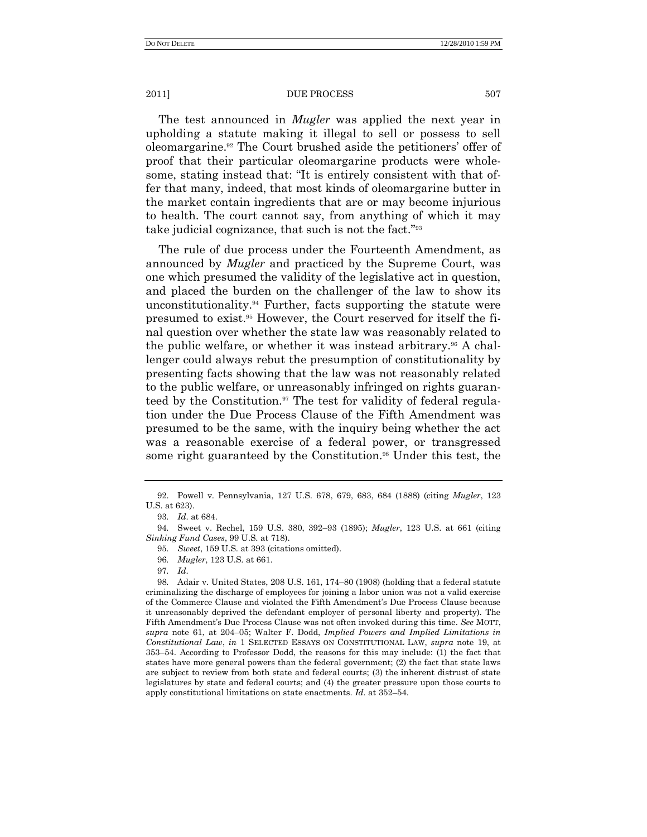The test announced in *Mugler* was applied the next year in upholding a statute making it illegal to sell or possess to sell oleomargarine.<sup>92</sup> The Court brushed aside the petitioners' offer of proof that their particular oleomargarine products were wholesome, stating instead that: "It is entirely consistent with that offer that many, indeed, that most kinds of oleomargarine butter in the market contain ingredients that are or may become injurious to health. The court cannot say, from anything of which it may take judicial cognizance, that such is not the fact."<sup>93</sup>

The rule of due process under the Fourteenth Amendment, as announced by *Mugler* and practiced by the Supreme Court, was one which presumed the validity of the legislative act in question, and placed the burden on the challenger of the law to show its unconstitutionality.<sup>94</sup> Further, facts supporting the statute were presumed to exist.<sup>95</sup> However, the Court reserved for itself the final question over whether the state law was reasonably related to the public welfare, or whether it was instead arbitrary.<sup>96</sup> A challenger could always rebut the presumption of constitutionality by presenting facts showing that the law was not reasonably related to the public welfare, or unreasonably infringed on rights guaranteed by the Constitution.<sup>97</sup> The test for validity of federal regulation under the Due Process Clause of the Fifth Amendment was presumed to be the same, with the inquiry being whether the act was a reasonable exercise of a federal power, or transgressed some right guaranteed by the Constitution.<sup>98</sup> Under this test, the

<sup>92.</sup> Powell v. Pennsylvania, 127 U.S. 678, 679, 683, 684 (1888) (citing *Mugler*, 123 U.S. at 623).

<sup>93</sup>*. Id*. at 684.

<sup>94</sup>*.* Sweet v. Rechel, 159 U.S. 380, 392–93 (1895); *Mugler*, 123 U.S. at 661 (citing *Sinking Fund Cases*, 99 U.S. at 718).

<sup>95</sup>*. Sweet*, 159 U.S. at 393 (citations omitted).

<sup>96</sup>*. Mugler*, 123 U.S. at 661.

<sup>97</sup>*. Id*.

<sup>98</sup>*.* Adair v. United States, 208 U.S. 161, 174–80 (1908) (holding that a federal statute criminalizing the discharge of employees for joining a labor union was not a valid exercise of the Commerce Clause and violated the Fifth Amendment's Due Process Clause because it unreasonably deprived the defendant employer of personal liberty and property). The Fifth Amendment's Due Process Clause was not often invoked during this time. *See* MOTT, *supra* note 61, at 204–05; Walter F. Dodd, *Implied Powers and Implied Limitations in Constitutional Law*, *in* 1 SELECTED ESSAYS ON CONSTITUTIONAL LAW, *supra* note 19, at 353–54. According to Professor Dodd, the reasons for this may include: (1) the fact that states have more general powers than the federal government; (2) the fact that state laws are subject to review from both state and federal courts; (3) the inherent distrust of state legislatures by state and federal courts; and (4) the greater pressure upon those courts to apply constitutional limitations on state enactments. *Id.* at 352–54.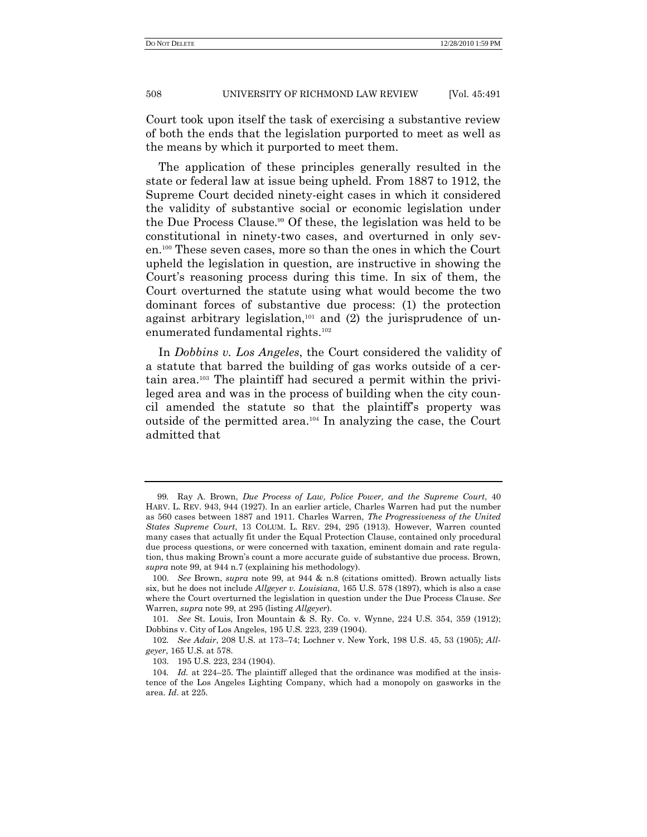Court took upon itself the task of exercising a substantive review of both the ends that the legislation purported to meet as well as the means by which it purported to meet them.

The application of these principles generally resulted in the state or federal law at issue being upheld. From 1887 to 1912, the Supreme Court decided ninety-eight cases in which it considered the validity of substantive social or economic legislation under the Due Process Clause.<sup>99</sup> Of these, the legislation was held to be constitutional in ninety-two cases, and overturned in only seven.<sup>100</sup> These seven cases, more so than the ones in which the Court upheld the legislation in question, are instructive in showing the Court's reasoning process during this time. In six of them, the Court overturned the statute using what would become the two dominant forces of substantive due process: (1) the protection against arbitrary legislation,<sup>101</sup> and  $(2)$  the jurisprudence of unenumerated fundamental rights.<sup>102</sup>

In *Dobbins v. Los Angeles*, the Court considered the validity of a statute that barred the building of gas works outside of a certain area.<sup>103</sup> The plaintiff had secured a permit within the privileged area and was in the process of building when the city council amended the statute so that the plaintiff's property was outside of the permitted area.<sup>104</sup> In analyzing the case, the Court admitted that

<sup>99</sup>*.* Ray A. Brown, *Due Process of Law, Police Power, and the Supreme Court*, 40 HARV. L. REV. 943, 944 (1927). In an earlier article, Charles Warren had put the number as 560 cases between 1887 and 1911. Charles Warren, *The Progressiveness of the United States Supreme Court*, 13 COLUM. L. REV. 294, 295 (1913). However, Warren counted many cases that actually fit under the Equal Protection Clause, contained only procedural due process questions, or were concerned with taxation, eminent domain and rate regulation, thus making Brown's count a more accurate guide of substantive due process. Brown, *supra* note 99, at 944 n.7 (explaining his methodology).

<sup>100.</sup> *See* Brown, *supra* note 99, at 944 & n.8 (citations omitted). Brown actually lists six, but he does not include *Allgeyer v. Louisiana*, 165 U.S. 578 (1897), which is also a case where the Court overturned the legislation in question under the Due Process Clause. *See* Warren, *supra* note 99, at 295 (listing *Allgeyer*).

<sup>101</sup>*. See* St. Louis, Iron Mountain & S. Ry. Co. v. Wynne, 224 U.S. 354, 359 (1912); Dobbins v. City of Los Angeles, 195 U.S. 223, 239 (1904).

<sup>102</sup>*. See Adair*, 208 U.S. at 173–74; Lochner v. New York, 198 U.S. 45, 53 (1905); *Allgeyer*, 165 U.S. at 578.

<sup>103.</sup> 195 U.S. 223, 234 (1904).

<sup>104</sup>*. Id.* at 224–25. The plaintiff alleged that the ordinance was modified at the insistence of the Los Angeles Lighting Company, which had a monopoly on gasworks in the area. *Id*. at 225.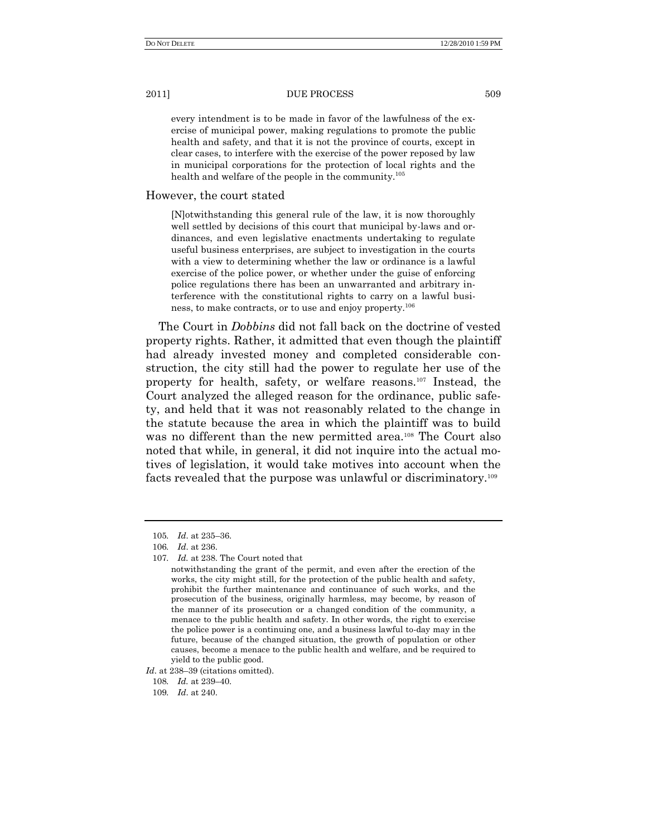every intendment is to be made in favor of the lawfulness of the exercise of municipal power, making regulations to promote the public health and safety, and that it is not the province of courts, except in clear cases, to interfere with the exercise of the power reposed by law in municipal corporations for the protection of local rights and the health and welfare of the people in the community.<sup>105</sup>

## However, the court stated

[N]otwithstanding this general rule of the law, it is now thoroughly well settled by decisions of this court that municipal by-laws and ordinances, and even legislative enactments undertaking to regulate useful business enterprises, are subject to investigation in the courts with a view to determining whether the law or ordinance is a lawful exercise of the police power, or whether under the guise of enforcing police regulations there has been an unwarranted and arbitrary interference with the constitutional rights to carry on a lawful business, to make contracts, or to use and enjoy property.<sup>106</sup>

The Court in *Dobbins* did not fall back on the doctrine of vested property rights. Rather, it admitted that even though the plaintiff had already invested money and completed considerable construction, the city still had the power to regulate her use of the property for health, safety, or welfare reasons.<sup>107</sup> Instead, the Court analyzed the alleged reason for the ordinance, public safety, and held that it was not reasonably related to the change in the statute because the area in which the plaintiff was to build was no different than the new permitted area.<sup>108</sup> The Court also noted that while, in general, it did not inquire into the actual motives of legislation, it would take motives into account when the facts revealed that the purpose was unlawful or discriminatory.<sup>109</sup>

*Id*. at 238–39 (citations omitted).

<sup>105</sup>*. Id*. at 235–36.

<sup>106</sup>*. Id*. at 236.

<sup>107</sup>*. Id.* at 238. The Court noted that

notwithstanding the grant of the permit, and even after the erection of the works, the city might still, for the protection of the public health and safety, prohibit the further maintenance and continuance of such works, and the prosecution of the business, originally harmless, may become, by reason of the manner of its prosecution or a changed condition of the community, a menace to the public health and safety. In other words, the right to exercise the police power is a continuing one, and a business lawful to-day may in the future, because of the changed situation, the growth of population or other causes, become a menace to the public health and welfare, and be required to yield to the public good.

<sup>108</sup>*. Id.* at 239–40.

<sup>109</sup>*. Id*. at 240.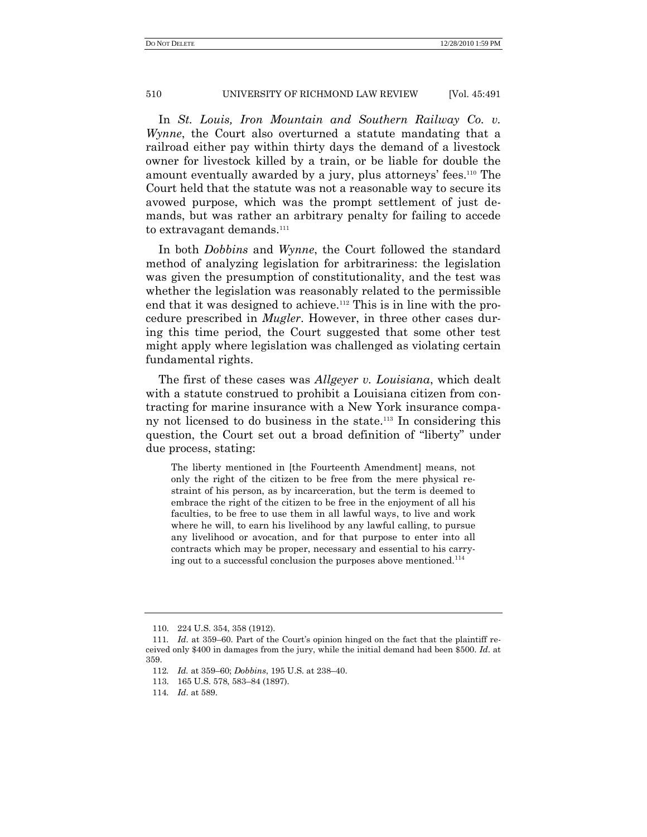In *St. Louis, Iron Mountain and Southern Railway Co. v. Wynne*, the Court also overturned a statute mandating that a railroad either pay within thirty days the demand of a livestock owner for livestock killed by a train, or be liable for double the amount eventually awarded by a jury, plus attorneys' fees.<sup>110</sup> The Court held that the statute was not a reasonable way to secure its avowed purpose, which was the prompt settlement of just demands, but was rather an arbitrary penalty for failing to accede to extravagant demands.<sup>111</sup>

In both *Dobbins* and *Wynne*, the Court followed the standard method of analyzing legislation for arbitrariness: the legislation was given the presumption of constitutionality, and the test was whether the legislation was reasonably related to the permissible end that it was designed to achieve.<sup>112</sup> This is in line with the procedure prescribed in *Mugler*. However, in three other cases during this time period, the Court suggested that some other test might apply where legislation was challenged as violating certain fundamental rights.

The first of these cases was *Allgeyer v. Louisiana*, which dealt with a statute construed to prohibit a Louisiana citizen from contracting for marine insurance with a New York insurance company not licensed to do business in the state.<sup>113</sup> In considering this question, the Court set out a broad definition of "liberty" under due process, stating:

The liberty mentioned in [the Fourteenth Amendment] means, not only the right of the citizen to be free from the mere physical restraint of his person, as by incarceration, but the term is deemed to embrace the right of the citizen to be free in the enjoyment of all his faculties, to be free to use them in all lawful ways, to live and work where he will, to earn his livelihood by any lawful calling, to pursue any livelihood or avocation, and for that purpose to enter into all contracts which may be proper, necessary and essential to his carrying out to a successful conclusion the purposes above mentioned.<sup>114</sup>

<sup>110.</sup> 224 U.S. 354, 358 (1912).

<sup>111</sup>*. Id*. at 359–60. Part of the Court's opinion hinged on the fact that the plaintiff received only \$400 in damages from the jury, while the initial demand had been \$500. *Id*. at 359.

<sup>112</sup>*. Id.* at 359–60; *Dobbins*, 195 U.S. at 238–40.

<sup>113.</sup> 165 U.S. 578, 583–84 (1897).

<sup>114</sup>*. Id*. at 589.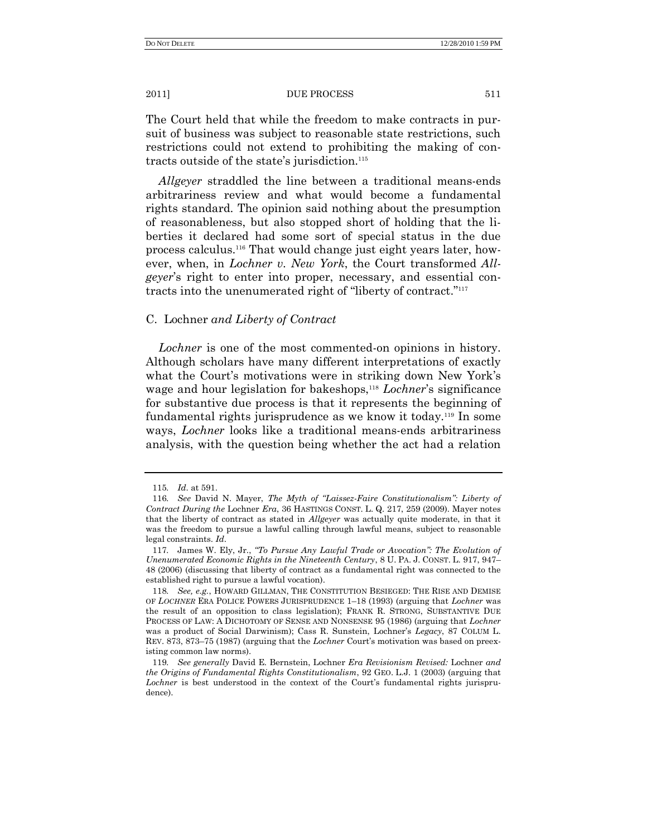The Court held that while the freedom to make contracts in pursuit of business was subject to reasonable state restrictions, such restrictions could not extend to prohibiting the making of contracts outside of the state's jurisdiction.<sup>115</sup>

*Allgeyer* straddled the line between a traditional means-ends arbitrariness review and what would become a fundamental rights standard. The opinion said nothing about the presumption of reasonableness, but also stopped short of holding that the liberties it declared had some sort of special status in the due process calculus.<sup>116</sup> That would change just eight years later, however, when, in *Lochner v. New York*, the Court transformed *Allgeyer*'s right to enter into proper, necessary, and essential contracts into the unenumerated right of "liberty of contract."<sup>117</sup>

## C. Lochner *and Liberty of Contract*

*Lochner* is one of the most commented-on opinions in history. Although scholars have many different interpretations of exactly what the Court's motivations were in striking down New York's wage and hour legislation for bakeshops,<sup>118</sup> *Lochner's* significance for substantive due process is that it represents the beginning of fundamental rights jurisprudence as we know it today.<sup>119</sup> In some ways, *Lochner* looks like a traditional means-ends arbitrariness analysis, with the question being whether the act had a relation

<sup>115</sup>*. Id*. at 591.

<sup>116.</sup> See David N. Mayer, *The Myth of "Laissez-Faire Constitutionalism": Liberty of Contract During the* Lochner *Era*, 36 HASTINGS CONST. L. Q. 217, 259 (2009). Mayer notes that the liberty of contract as stated in *Allgeyer* was actually quite moderate, in that it was the freedom to pursue a lawful calling through lawful means, subject to reasonable legal constraints. *Id*.

<sup>117.</sup> James W. Ely, Jr., "To Pursue Any Lawful Trade or Avocation": The Evolution of *Unenumerated Economic Rights in the Nineteenth Century*, 8 U. PA. J. CONST. L. 917, 947– 48 (2006) (discussing that liberty of contract as a fundamental right was connected to the established right to pursue a lawful vocation).

<sup>118</sup>*. See, e.g.*, HOWARD GILLMAN, THE CONSTITUTION BESIEGED: THE RISE AND DEMISE OF *LOCHNER* ERA POLICE POWERS JURISPRUDENCE 1–18 (1993) (arguing that *Lochner* was the result of an opposition to class legislation); FRANK R. STRONG, SUBSTANTIVE DUE PROCESS OF LAW: A DICHOTOMY OF SENSE AND NONSENSE 95 (1986) (arguing that *Lochner* was a product of Social Darwinism); Cass R. Sunstein, Lochner's *Legacy*, 87 COLUM L. REV. 873, 873–75 (1987) (arguing that the *Lochner* Court's motivation was based on preexisting common law norms).

<sup>119</sup>*. See generally* David E. Bernstein, Lochner *Era Revisionism Revised:* Lochner *and the Origins of Fundamental Rights Constitutionalism*, 92 GEO. L.J. 1 (2003) (arguing that *Lochner* is best understood in the context of the Court's fundamental rights jurisprudence).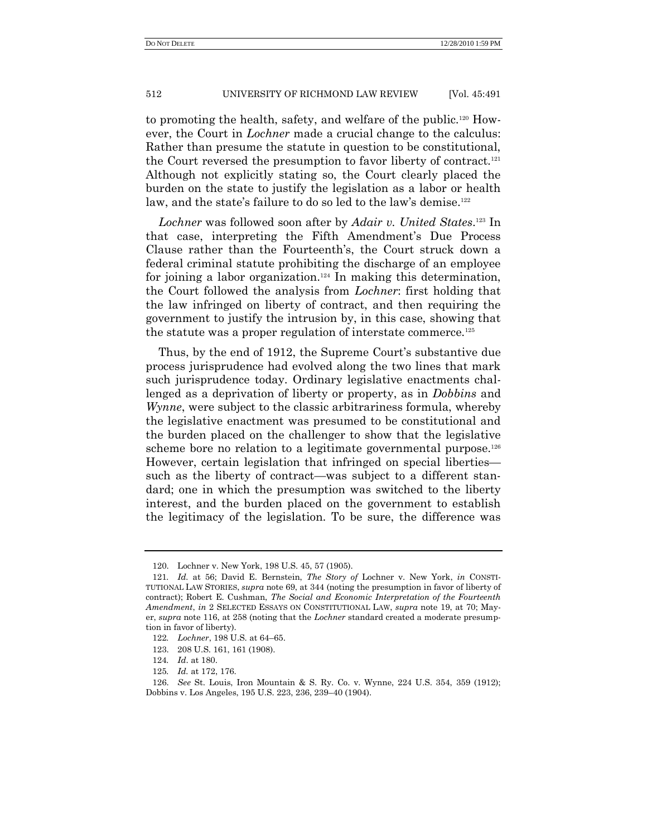to promoting the health, safety, and welfare of the public.<sup>120</sup> However, the Court in *Lochner* made a crucial change to the calculus: Rather than presume the statute in question to be constitutional, the Court reversed the presumption to favor liberty of contract.<sup>121</sup> Although not explicitly stating so, the Court clearly placed the burden on the state to justify the legislation as a labor or health law, and the state's failure to do so led to the law's demise.<sup>122</sup>

*Lochner* was followed soon after by *Adair v. United States*. <sup>123</sup> In that case, interpreting the Fifth Amendment's Due Process Clause rather than the Fourteenth's, the Court struck down a federal criminal statute prohibiting the discharge of an employee for joining a labor organization.<sup>124</sup> In making this determination, the Court followed the analysis from *Lochner*: first holding that the law infringed on liberty of contract, and then requiring the government to justify the intrusion by, in this case, showing that the statute was a proper regulation of interstate commerce.<sup>125</sup>

Thus, by the end of 1912, the Supreme Court's substantive due process jurisprudence had evolved along the two lines that mark such jurisprudence today. Ordinary legislative enactments challenged as a deprivation of liberty or property, as in *Dobbins* and *Wynne*, were subject to the classic arbitrariness formula, whereby the legislative enactment was presumed to be constitutional and the burden placed on the challenger to show that the legislative scheme bore no relation to a legitimate governmental purpose.<sup>126</sup> However, certain legislation that infringed on special liberties such as the liberty of contract—was subject to a different standard; one in which the presumption was switched to the liberty interest, and the burden placed on the government to establish the legitimacy of the legislation. To be sure, the difference was

<sup>120.</sup> Lochner v. New York, 198 U.S. 45, 57 (1905).

<sup>121</sup>*. Id.* at 56; David E. Bernstein, *The Story of* Lochner v. New York, *in* CONSTI-TUTIONAL LAW STORIES, *supra* note 69, at 344 (noting the presumption in favor of liberty of contract); Robert E. Cushman, *The Social and Economic Interpretation of the Fourteenth Amendment*, *in* 2 SELECTED ESSAYS ON CONSTITUTIONAL LAW, *supra* note 19, at 70; Mayer, *supra* note 116, at 258 (noting that the *Lochner* standard created a moderate presumption in favor of liberty).

<sup>122</sup>*. Lochner*, 198 U.S. at 64–65.

<sup>123.</sup> 208 U.S. 161, 161 (1908).

<sup>124</sup>*. Id*. at 180.

<sup>125</sup>*. Id.* at 172, 176.

<sup>126.</sup> *See* St. Louis, Iron Mountain & S. Ry. Co. v. Wynne, 224 U.S. 354, 359 (1912); Dobbins v. Los Angeles, 195 U.S. 223, 236, 239–40 (1904).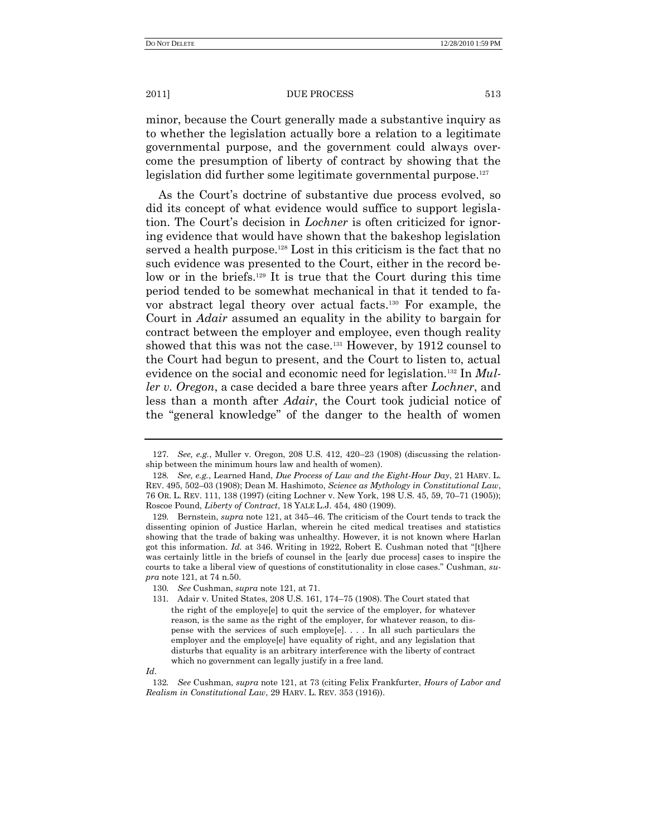minor, because the Court generally made a substantive inquiry as to whether the legislation actually bore a relation to a legitimate governmental purpose, and the government could always overcome the presumption of liberty of contract by showing that the legislation did further some legitimate governmental purpose.<sup>127</sup>

As the Court's doctrine of substantive due process evolved, so did its concept of what evidence would suffice to support legislation. The Court's decision in *Lochner* is often criticized for ignoring evidence that would have shown that the bakeshop legislation served a health purpose.<sup>128</sup> Lost in this criticism is the fact that no such evidence was presented to the Court, either in the record below or in the briefs.<sup>129</sup> It is true that the Court during this time period tended to be somewhat mechanical in that it tended to favor abstract legal theory over actual facts.<sup>130</sup> For example, the Court in *Adair* assumed an equality in the ability to bargain for contract between the employer and employee, even though reality showed that this was not the case.<sup>131</sup> However, by 1912 counsel to the Court had begun to present, and the Court to listen to, actual evidence on the social and economic need for legislation.<sup>132</sup> In *Muller v. Oregon*, a case decided a bare three years after *Lochner*, and less than a month after *Adair*, the Court took judicial notice of the "general knowledge" of the danger to the health of women

<sup>127</sup>*. See, e.g.*, Muller v. Oregon, 208 U.S. 412, 420–23 (1908) (discussing the relationship between the minimum hours law and health of women).

<sup>128</sup>*. See, e.g.*, Learned Hand, *Due Process of Law and the Eight-Hour Day*, 21 HARV. L. REV. 495, 502–03 (1908); Dean M. Hashimoto, *Science as Mythology in Constitutional Law*, 76 OR. L. REV. 111, 138 (1997) (citing Lochner v. New York, 198 U.S. 45, 59, 70–71 (1905)); Roscoe Pound, *Liberty of Contract*, 18 YALE L.J. 454, 480 (1909).

<sup>129</sup>*.* Bernstein, *supra* note 121, at 345–46. The criticism of the Court tends to track the dissenting opinion of Justice Harlan, wherein he cited medical treatises and statistics showing that the trade of baking was unhealthy. However, it is not known where Harlan got this information. *Id.* at 346. Writing in 1922, Robert E. Cushman noted that "[t]here was certainly little in the briefs of counsel in the [early due process] cases to inspire the courts to take a liberal view of questions of constitutionality in close cases.‖ Cushman, *supra* note 121, at 74 n.50.

<sup>130</sup>*. See* Cushman, *supra* note 121, at 71.

<sup>131</sup>*.* Adair v. United States, 208 U.S. 161, 174–75 (1908). The Court stated that the right of the employe[e] to quit the service of the employer, for whatever reason, is the same as the right of the employer, for whatever reason, to dispense with the services of such employe[e]. . . . In all such particulars the employer and the employe[e] have equality of right, and any legislation that disturbs that equality is an arbitrary interference with the liberty of contract which no government can legally justify in a free land.

*Id*.

<sup>132</sup>*. See* Cushman, *supra* note 121, at 73 (citing Felix Frankfurter, *Hours of Labor and Realism in Constitutional Law*, 29 HARV. L. REV. 353 (1916)).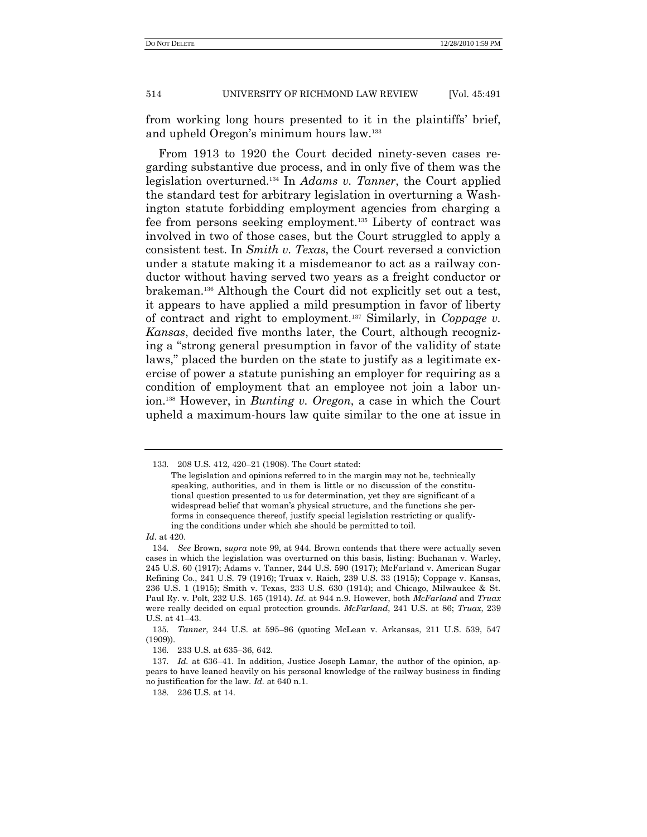from working long hours presented to it in the plaintiffs' brief, and upheld Oregon's minimum hours law.<sup>133</sup>

From 1913 to 1920 the Court decided ninety-seven cases regarding substantive due process, and in only five of them was the legislation overturned.<sup>134</sup> In *Adams v. Tanner*, the Court applied the standard test for arbitrary legislation in overturning a Washington statute forbidding employment agencies from charging a fee from persons seeking employment.<sup>135</sup> Liberty of contract was involved in two of those cases, but the Court struggled to apply a consistent test. In *Smith v. Texas*, the Court reversed a conviction under a statute making it a misdemeanor to act as a railway conductor without having served two years as a freight conductor or brakeman.<sup>136</sup> Although the Court did not explicitly set out a test, it appears to have applied a mild presumption in favor of liberty of contract and right to employment.<sup>137</sup> Similarly, in *Coppage v. Kansas*, decided five months later, the Court, although recognizing a "strong general presumption in favor of the validity of state laws," placed the burden on the state to justify as a legitimate exercise of power a statute punishing an employer for requiring as a condition of employment that an employee not join a labor union.<sup>138</sup> However, in *Bunting v. Oregon*, a case in which the Court upheld a maximum-hours law quite similar to the one at issue in

*Id*. at 420.

<sup>133</sup>*.* 208 U.S. 412, 420–21 (1908). The Court stated:

The legislation and opinions referred to in the margin may not be, technically speaking, authorities, and in them is little or no discussion of the constitutional question presented to us for determination, yet they are significant of a widespread belief that woman's physical structure, and the functions she performs in consequence thereof, justify special legislation restricting or qualifying the conditions under which she should be permitted to toil.

<sup>134</sup>*. See* Brown, *supra* note 99, at 944. Brown contends that there were actually seven cases in which the legislation was overturned on this basis, listing: Buchanan v. Warley, 245 U.S. 60 (1917); Adams v. Tanner, 244 U.S. 590 (1917); McFarland v. American Sugar Refining Co., 241 U.S. 79 (1916); Truax v. Raich, 239 U.S. 33 (1915); Coppage v. Kansas, 236 U.S. 1 (1915); Smith v. Texas, 233 U.S. 630 (1914); and Chicago, Milwaukee & St. Paul Ry. v. Polt, 232 U.S. 165 (1914). *Id*. at 944 n.9. However, both *McFarland* and *Truax*  were really decided on equal protection grounds. *McFarland*, 241 U.S. at 86; *Truax*, 239 U.S. at 41–43.

<sup>135</sup>*. Tanner*, 244 U.S. at 595–96 (quoting McLean v. Arkansas, 211 U.S. 539, 547 (1909)).

<sup>136</sup>*.* 233 U.S. at 635–36, 642.

<sup>137</sup>*. Id.* at 636–41. In addition, Justice Joseph Lamar, the author of the opinion, appears to have leaned heavily on his personal knowledge of the railway business in finding no justification for the law. *Id.* at 640 n.1.

<sup>138</sup>*.* 236 U.S. at 14.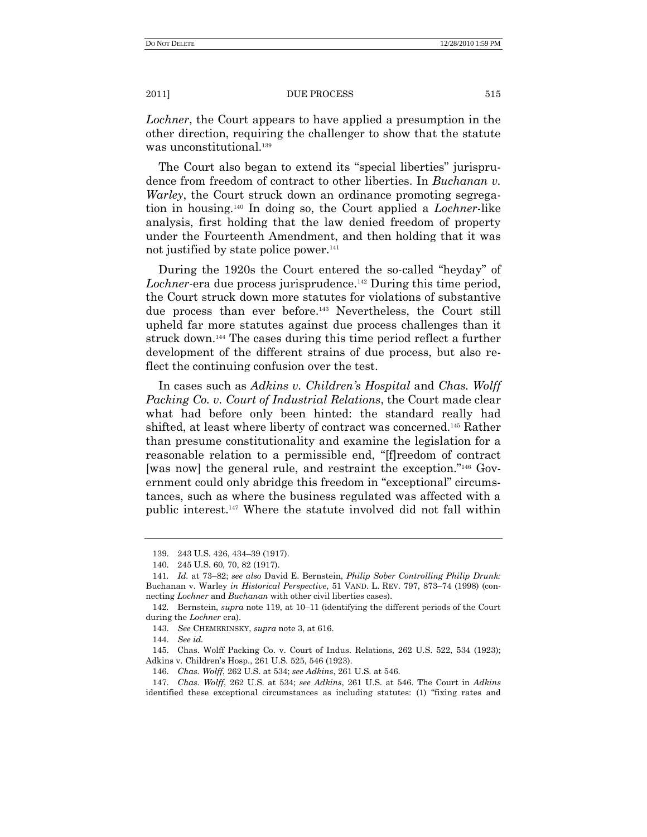*Lochner*, the Court appears to have applied a presumption in the other direction, requiring the challenger to show that the statute was unconstitutional.<sup>139</sup>

The Court also began to extend its "special liberties" jurisprudence from freedom of contract to other liberties. In *Buchanan v. Warley*, the Court struck down an ordinance promoting segregation in housing.<sup>140</sup> In doing so, the Court applied a *Lochner*-like analysis, first holding that the law denied freedom of property under the Fourteenth Amendment, and then holding that it was not justified by state police power.<sup>141</sup>

During the 1920s the Court entered the so-called "heyday" of *Lochner*-era due process jurisprudence.<sup>142</sup> During this time period, the Court struck down more statutes for violations of substantive due process than ever before.<sup>143</sup> Nevertheless, the Court still upheld far more statutes against due process challenges than it struck down.<sup>144</sup> The cases during this time period reflect a further development of the different strains of due process, but also reflect the continuing confusion over the test.

In cases such as *Adkins v. Children's Hospital* and *Chas. Wolff Packing Co. v. Court of Industrial Relations*, the Court made clear what had before only been hinted: the standard really had shifted, at least where liberty of contract was concerned.<sup>145</sup> Rather than presume constitutionality and examine the legislation for a reasonable relation to a permissible end, "[f]reedom of contract [was now] the general rule, and restraint the exception."<sup>146</sup> Government could only abridge this freedom in "exceptional" circumstances, such as where the business regulated was affected with a public interest.<sup>147</sup> Where the statute involved did not fall within

144. *See id.*

145. Chas. Wolff Packing Co. v. Court of Indus. Relations, 262 U.S. 522, 534 (1923); Adkins v. Children's Hosp., 261 U.S. 525, 546 (1923).

<sup>139.</sup> 243 U.S. 426, 434–39 (1917).

<sup>140.</sup> 245 U.S. 60, 70, 82 (1917).

<sup>141</sup>*. Id.* at 73–82; *see also* David E. Bernstein, *Philip Sober Controlling Philip Drunk:*  Buchanan v. Warley *in Historical Perspective*, 51 VAND. L. REV. 797, 873–74 (1998) (connecting *Lochner* and *Buchanan* with other civil liberties cases).

<sup>142</sup>*.* Bernstein, *supra* note 119, at 10–11 (identifying the different periods of the Court during the *Lochner* era).

<sup>143.</sup> *See* CHEMERINSKY, *supra* note 3, at 616.

<sup>146.</sup> *Chas. Wolff*, 262 U.S. at 534; *see Adkins*, 261 U.S. at 546.

<sup>147.</sup> *Chas. Wolff*, 262 U.S. at 534; *see Adkins*, 261 U.S. at 546. The Court in *Adkins* identified these exceptional circumstances as including statutes: (1) "fixing rates and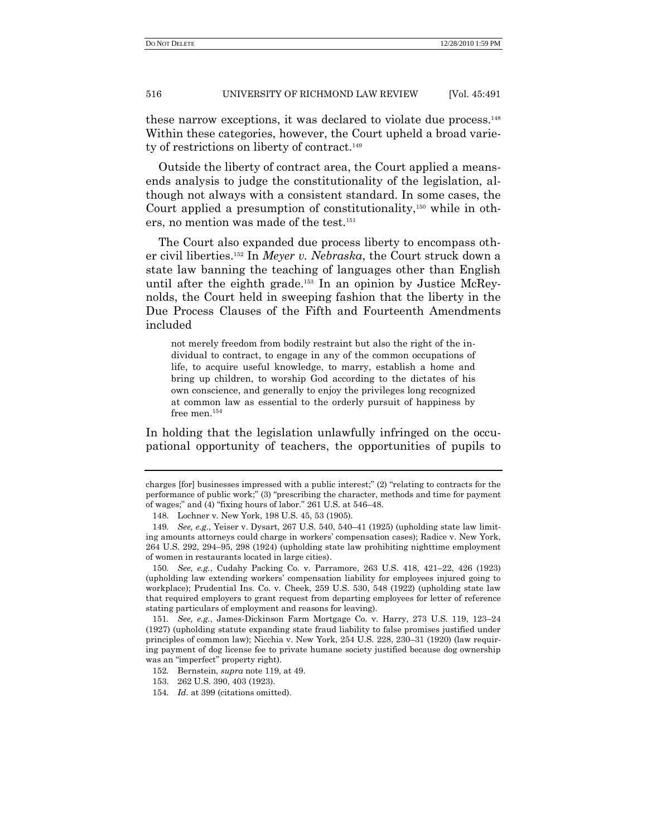these narrow exceptions, it was declared to violate due process.<sup>148</sup> Within these categories, however, the Court upheld a broad variety of restrictions on liberty of contract.<sup>149</sup>

Outside the liberty of contract area, the Court applied a meansends analysis to judge the constitutionality of the legislation, although not always with a consistent standard. In some cases, the Court applied a presumption of constitutionality, $150$  while in others, no mention was made of the test.<sup>151</sup>

The Court also expanded due process liberty to encompass other civil liberties.<sup>152</sup> In *Meyer v. Nebraska*, the Court struck down a state law banning the teaching of languages other than English until after the eighth grade.<sup>153</sup> In an opinion by Justice McReynolds, the Court held in sweeping fashion that the liberty in the Due Process Clauses of the Fifth and Fourteenth Amendments included

not merely freedom from bodily restraint but also the right of the individual to contract, to engage in any of the common occupations of life, to acquire useful knowledge, to marry, establish a home and bring up children, to worship God according to the dictates of his own conscience, and generally to enjoy the privileges long recognized at common law as essential to the orderly pursuit of happiness by free men.<sup>154</sup>

In holding that the legislation unlawfully infringed on the occupational opportunity of teachers, the opportunities of pupils to

charges  $[for]$  businesses impressed with a public interest;"  $(2)$  "relating to contracts for the performance of public work;" (3) "prescribing the character, methods and time for payment of wages;" and  $(4)$  "fixing hours of labor." 261 U.S. at 546–48.

<sup>148.</sup> Lochner v. New York, 198 U.S. 45, 53 (1905).

<sup>149</sup>*. See, e.g.*, Yeiser v. Dysart, 267 U.S. 540, 540–41 (1925) (upholding state law limiting amounts attorneys could charge in workers' compensation cases); Radice v. New York, 264 U.S. 292, 294–95, 298 (1924) (upholding state law prohibiting nighttime employment of women in restaurants located in large cities).

<sup>150</sup>*. See, e.g.*, Cudahy Packing Co. v. Parramore, 263 U.S. 418, 421–22, 426 (1923) (upholding law extending workers' compensation liability for employees injured going to workplace); Prudential Ins. Co. v. Cheek, 259 U.S. 530, 548 (1922) (upholding state law that required employers to grant request from departing employees for letter of reference stating particulars of employment and reasons for leaving).

<sup>151</sup>*. See, e.g.*, James-Dickinson Farm Mortgage Co. v. Harry, 273 U.S. 119, 123–24 (1927) (upholding statute expanding state fraud liability to false promises justified under principles of common law); Nicchia v. New York, 254 U.S. 228, 230–31 (1920) (law requiring payment of dog license fee to private humane society justified because dog ownership was an "imperfect" property right).

<sup>152</sup>*.* Bernstein, *supra* note 119, at 49.

<sup>153.</sup> 262 U.S. 390, 403 (1923).

<sup>154</sup>*. Id*. at 399 (citations omitted).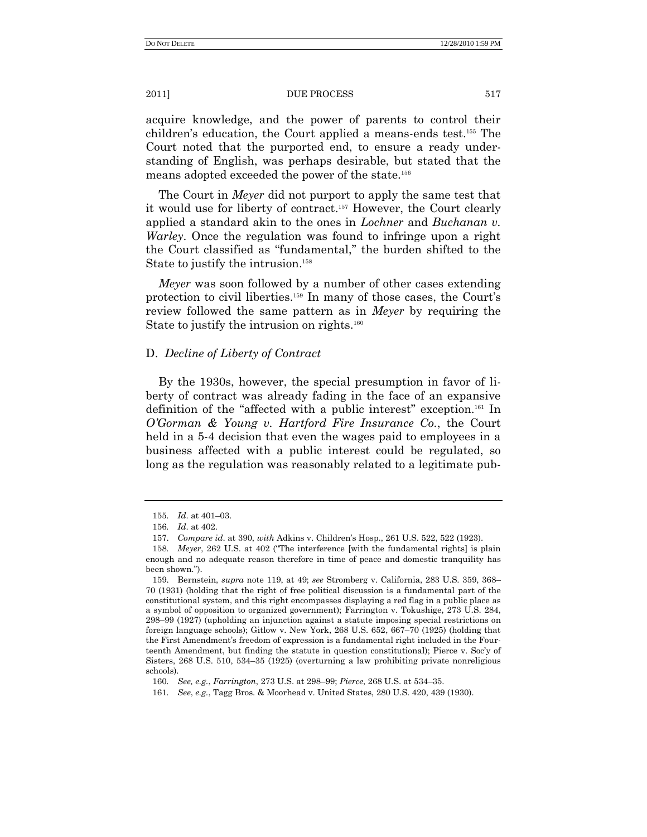acquire knowledge, and the power of parents to control their children's education, the Court applied a means-ends test.<sup>155</sup> The Court noted that the purported end, to ensure a ready understanding of English, was perhaps desirable, but stated that the means adopted exceeded the power of the state.<sup>156</sup>

The Court in *Meyer* did not purport to apply the same test that it would use for liberty of contract. <sup>157</sup> However, the Court clearly applied a standard akin to the ones in *Lochner* and *Buchanan v. Warley*. Once the regulation was found to infringe upon a right the Court classified as "fundamental," the burden shifted to the State to justify the intrusion.<sup>158</sup>

*Meyer* was soon followed by a number of other cases extending protection to civil liberties.<sup>159</sup> In many of those cases, the Court's review followed the same pattern as in *Meyer* by requiring the State to justify the intrusion on rights. $160$ 

## D. *Decline of Liberty of Contract*

By the 1930s, however, the special presumption in favor of liberty of contract was already fading in the face of an expansive definition of the "affected with a public interest" exception.<sup>161</sup> In *O'Gorman & Young v. Hartford Fire Insurance Co.*, the Court held in a 5-4 decision that even the wages paid to employees in a business affected with a public interest could be regulated, so long as the regulation was reasonably related to a legitimate pub-

<sup>155</sup>*. Id*. at 401–03.

<sup>156</sup>*. Id*. at 402.

<sup>157.</sup> *Compare id*. at 390, *with* Adkins v. Children's Hosp., 261 U.S. 522, 522 (1923).

<sup>158.</sup> *Meyer*, 262 U.S. at 402 ("The interference [with the fundamental rights] is plain enough and no adequate reason therefore in time of peace and domestic tranquility has been shown.").

<sup>159.</sup> Bernstein, *supra* note 119, at 49; *see* Stromberg v. California, 283 U.S. 359, 368– 70 (1931) (holding that the right of free political discussion is a fundamental part of the constitutional system, and this right encompasses displaying a red flag in a public place as a symbol of opposition to organized government); Farrington v. Tokushige, 273 U.S. 284, 298–99 (1927) (upholding an injunction against a statute imposing special restrictions on foreign language schools); Gitlow v. New York, 268 U.S. 652, 667–70 (1925) (holding that the First Amendment's freedom of expression is a fundamental right included in the Fourteenth Amendment, but finding the statute in question constitutional); Pierce v. Soc'y of Sisters, 268 U.S. 510, 534–35 (1925) (overturning a law prohibiting private nonreligious schools).

<sup>160</sup>*. See, e.g.*, *Farrington*, 273 U.S. at 298–99; *Pierce*, 268 U.S. at 534–35.

<sup>161</sup>*. See*, *e.g.*, Tagg Bros. & Moorhead v. United States, 280 U.S. 420, 439 (1930).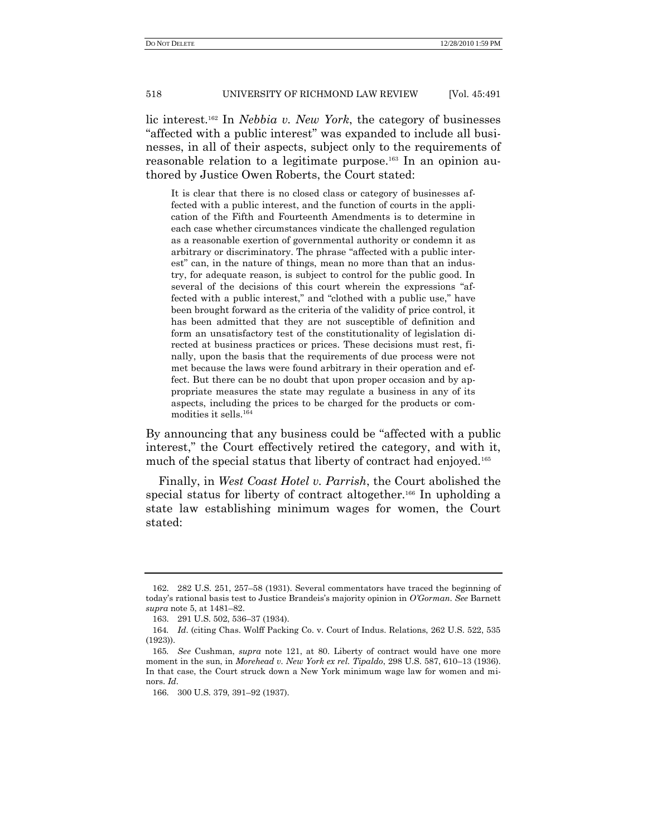lic interest.<sup>162</sup> In *Nebbia v. New York*, the category of businesses "affected with a public interest" was expanded to include all businesses, in all of their aspects, subject only to the requirements of reasonable relation to a legitimate purpose.<sup>163</sup> In an opinion authored by Justice Owen Roberts, the Court stated:

It is clear that there is no closed class or category of businesses affected with a public interest, and the function of courts in the application of the Fifth and Fourteenth Amendments is to determine in each case whether circumstances vindicate the challenged regulation as a reasonable exertion of governmental authority or condemn it as arbitrary or discriminatory. The phrase "affected with a public interest" can, in the nature of things, mean no more than that an industry, for adequate reason, is subject to control for the public good. In several of the decisions of this court wherein the expressions "affected with a public interest," and "clothed with a public use," have been brought forward as the criteria of the validity of price control, it has been admitted that they are not susceptible of definition and form an unsatisfactory test of the constitutionality of legislation directed at business practices or prices. These decisions must rest, finally, upon the basis that the requirements of due process were not met because the laws were found arbitrary in their operation and effect. But there can be no doubt that upon proper occasion and by appropriate measures the state may regulate a business in any of its aspects, including the prices to be charged for the products or commodities it sells.  $^{164}$ 

By announcing that any business could be "affected with a public interest," the Court effectively retired the category, and with it, much of the special status that liberty of contract had enjoyed*.* 165

Finally, in *West Coast Hotel v. Parrish*, the Court abolished the special status for liberty of contract altogether.<sup>166</sup> In upholding a state law establishing minimum wages for women, the Court stated:

<sup>162.</sup> 282 U.S. 251, 257–58 (1931). Several commentators have traced the beginning of today's rational basis test to Justice Brandeis's majority opinion in *O'Gorman*. *See* Barnett *supra* note 5, at 1481–82.

<sup>163.</sup> 291 U.S. 502, 536–37 (1934).

<sup>164</sup>*. Id*. (citing Chas. Wolff Packing Co. v. Court of Indus. Relations, 262 U.S. 522, 535 (1923)).

<sup>165</sup>*. See* Cushman, *supra* note 121, at 80. Liberty of contract would have one more moment in the sun, in *Morehead v. New York ex rel. Tipaldo*, 298 U.S. 587, 610–13 (1936). In that case, the Court struck down a New York minimum wage law for women and minors. *Id*.

<sup>166.</sup> 300 U.S. 379, 391–92 (1937).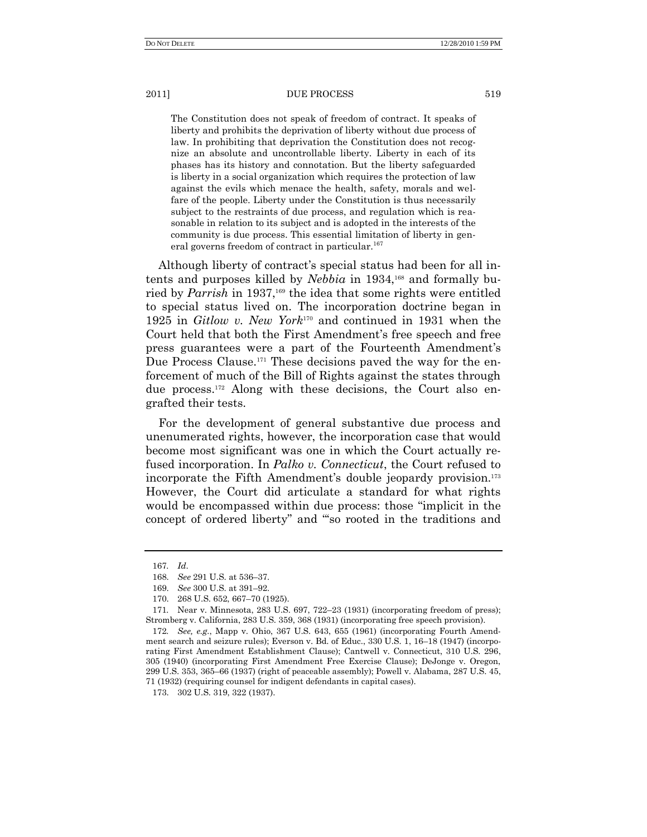The Constitution does not speak of freedom of contract. It speaks of liberty and prohibits the deprivation of liberty without due process of law. In prohibiting that deprivation the Constitution does not recognize an absolute and uncontrollable liberty. Liberty in each of its phases has its history and connotation. But the liberty safeguarded is liberty in a social organization which requires the protection of law against the evils which menace the health, safety, morals and welfare of the people. Liberty under the Constitution is thus necessarily subject to the restraints of due process, and regulation which is reasonable in relation to its subject and is adopted in the interests of the community is due process. This essential limitation of liberty in general governs freedom of contract in particular.<sup>167</sup>

Although liberty of contract's special status had been for all intents and purposes killed by *Nebbia* in 1934, <sup>168</sup> and formally buried by *Parrish* in 1937,<sup>169</sup> the idea that some rights were entitled to special status lived on. The incorporation doctrine began in 1925 in *Gitlow v. New York*<sup>170</sup> and continued in 1931 when the Court held that both the First Amendment's free speech and free press guarantees were a part of the Fourteenth Amendment's Due Process Clause.<sup>171</sup> These decisions paved the way for the enforcement of much of the Bill of Rights against the states through due process.<sup>172</sup> Along with these decisions, the Court also engrafted their tests.

For the development of general substantive due process and unenumerated rights, however, the incorporation case that would become most significant was one in which the Court actually refused incorporation. In *Palko v. Connecticut*, the Court refused to incorporate the Fifth Amendment's double jeopardy provision.<sup>173</sup> However, the Court did articulate a standard for what rights would be encompassed within due process: those "implicit in the concept of ordered liberty" and "so rooted in the traditions and

<sup>167</sup>*. Id*.

<sup>168.</sup> *See* 291 U.S. at 536–37.

<sup>169.</sup> *See* 300 U.S. at 391–92.

<sup>170.</sup> 268 U.S. 652, 667–70 (1925).

<sup>171</sup>*.* Near v. Minnesota, 283 U.S. 697, 722–23 (1931) (incorporating freedom of press); Stromberg v. California, 283 U.S. 359, 368 (1931) (incorporating free speech provision).

<sup>172</sup>*. See, e.g.*, Mapp v. Ohio, 367 U.S. 643, 655 (1961) (incorporating Fourth Amendment search and seizure rules); Everson v. Bd. of Educ., 330 U.S. 1, 16–18 (1947) (incorporating First Amendment Establishment Clause); Cantwell v. Connecticut, 310 U.S. 296, 305 (1940) (incorporating First Amendment Free Exercise Clause); DeJonge v. Oregon, 299 U.S. 353, 365–66 (1937) (right of peaceable assembly); Powell v. Alabama, 287 U.S. 45, 71 (1932) (requiring counsel for indigent defendants in capital cases).

<sup>173.</sup> 302 U.S. 319, 322 (1937).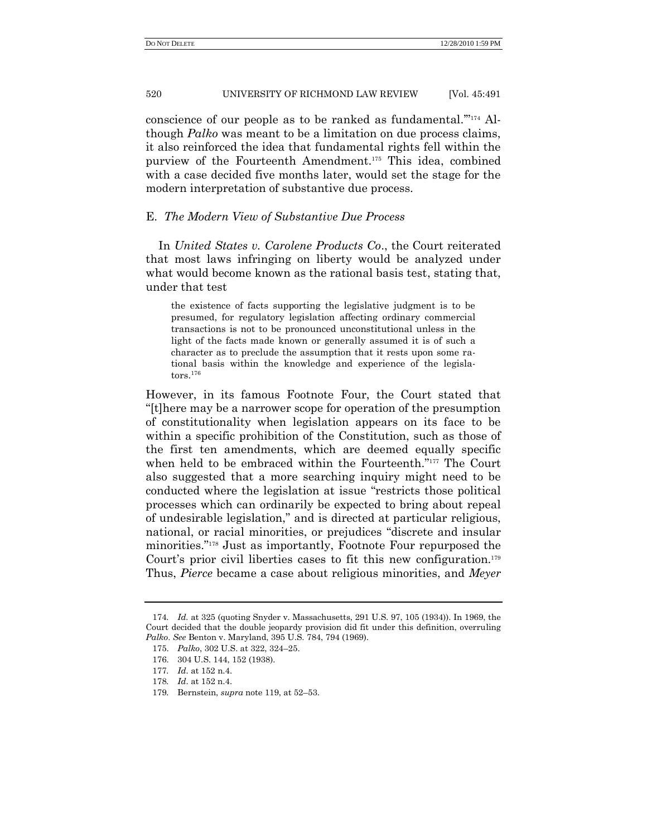conscience of our people as to be ranked as fundamental."<sup>174</sup> Although *Palko* was meant to be a limitation on due process claims, it also reinforced the idea that fundamental rights fell within the purview of the Fourteenth Amendment.<sup>175</sup> This idea, combined with a case decided five months later, would set the stage for the modern interpretation of substantive due process.

## E. *The Modern View of Substantive Due Process*

In *United States v. Carolene Products Co*., the Court reiterated that most laws infringing on liberty would be analyzed under what would become known as the rational basis test, stating that, under that test

the existence of facts supporting the legislative judgment is to be presumed, for regulatory legislation affecting ordinary commercial transactions is not to be pronounced unconstitutional unless in the light of the facts made known or generally assumed it is of such a character as to preclude the assumption that it rests upon some rational basis within the knowledge and experience of the legisla- $\mathrm{tors.}^\mathrm{176}$ 

However, in its famous Footnote Four, the Court stated that ―[t]here may be a narrower scope for operation of the presumption of constitutionality when legislation appears on its face to be within a specific prohibition of the Constitution, such as those of the first ten amendments, which are deemed equally specific when held to be embraced within the Fourteenth."<sup>177</sup> The Court also suggested that a more searching inquiry might need to be conducted where the legislation at issue "restricts those political processes which can ordinarily be expected to bring about repeal of undesirable legislation," and is directed at particular religious, national, or racial minorities, or prejudices "discrete and insular minorities."<sup>178</sup> Just as importantly, Footnote Four repurposed the Court's prior civil liberties cases to fit this new configuration.<sup>179</sup> Thus, *Pierce* became a case about religious minorities, and *Meyer*

<sup>174</sup>*. Id.* at 325 (quoting Snyder v. Massachusetts, 291 U.S. 97, 105 (1934)). In 1969, the Court decided that the double jeopardy provision did fit under this definition, overruling *Palko*. *See* Benton v. Maryland, 395 U.S. 784, 794 (1969).

<sup>175.</sup> *Palko*, 302 U.S. at 322, 324–25.

<sup>176.</sup> 304 U.S. 144, 152 (1938).

<sup>177</sup>*. Id*. at 152 n.4.

<sup>178</sup>*. Id*. at 152 n.4.

<sup>179</sup>*.* Bernstein, *supra* note 119, at 52–53.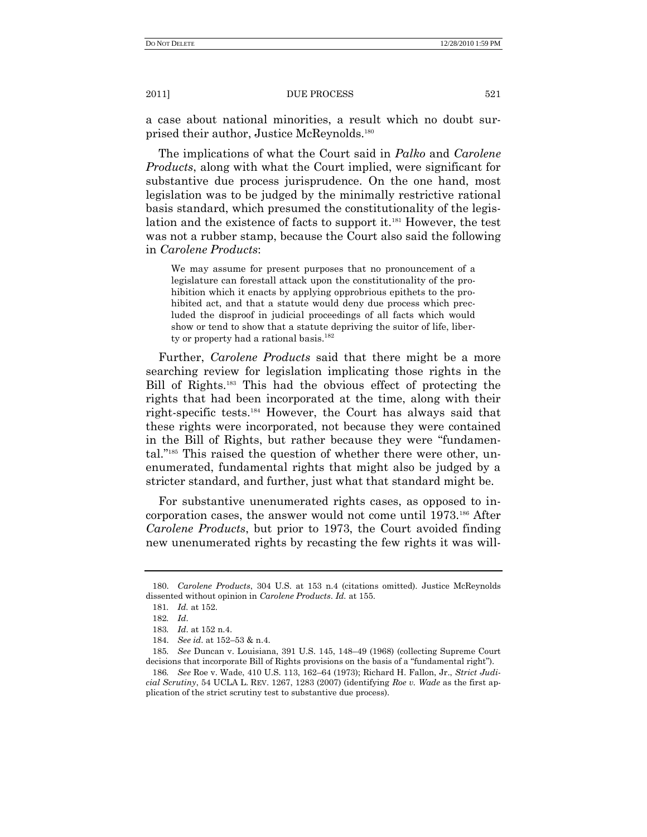a case about national minorities, a result which no doubt surprised their author, Justice McReynolds.<sup>180</sup>

The implications of what the Court said in *Palko* and *Carolene Products*, along with what the Court implied, were significant for substantive due process jurisprudence. On the one hand, most legislation was to be judged by the minimally restrictive rational basis standard, which presumed the constitutionality of the legislation and the existence of facts to support it.<sup>181</sup> However, the test was not a rubber stamp, because the Court also said the following in *Carolene Products*:

We may assume for present purposes that no pronouncement of a legislature can forestall attack upon the constitutionality of the prohibition which it enacts by applying opprobrious epithets to the prohibited act, and that a statute would deny due process which precluded the disproof in judicial proceedings of all facts which would show or tend to show that a statute depriving the suitor of life, liberty or property had a rational basis.<sup>182</sup>

Further, *Carolene Products* said that there might be a more searching review for legislation implicating those rights in the Bill of Rights.<sup>183</sup> This had the obvious effect of protecting the rights that had been incorporated at the time, along with their right-specific tests.<sup>184</sup> However, the Court has always said that these rights were incorporated, not because they were contained in the Bill of Rights, but rather because they were "fundamental."<sup>185</sup> This raised the question of whether there were other, unenumerated, fundamental rights that might also be judged by a stricter standard, and further, just what that standard might be.

For substantive unenumerated rights cases, as opposed to incorporation cases, the answer would not come until 1973.<sup>186</sup> After *Carolene Products*, but prior to 1973, the Court avoided finding new unenumerated rights by recasting the few rights it was will-

<sup>180.</sup> *Carolene Products*, 304 U.S. at 153 n.4 (citations omitted). Justice McReynolds dissented without opinion in *Carolene Products*. *Id.* at 155.

<sup>181</sup>*. Id.* at 152.

<sup>182</sup>*. Id*.

<sup>183</sup>*. Id*. at 152 n.4.

<sup>184.</sup> *See id*. at 152–53 & n.4.

<sup>185</sup>*. See* Duncan v. Louisiana, 391 U.S. 145, 148–49 (1968) (collecting Supreme Court decisions that incorporate Bill of Rights provisions on the basis of a "fundamental right").

<sup>186</sup>*. See* Roe v. Wade, 410 U.S. 113, 162–64 (1973); Richard H. Fallon, Jr., *Strict Judicial Scrutiny*, 54 UCLA L. REV. 1267, 1283 (2007) (identifying *Roe v. Wade* as the first application of the strict scrutiny test to substantive due process).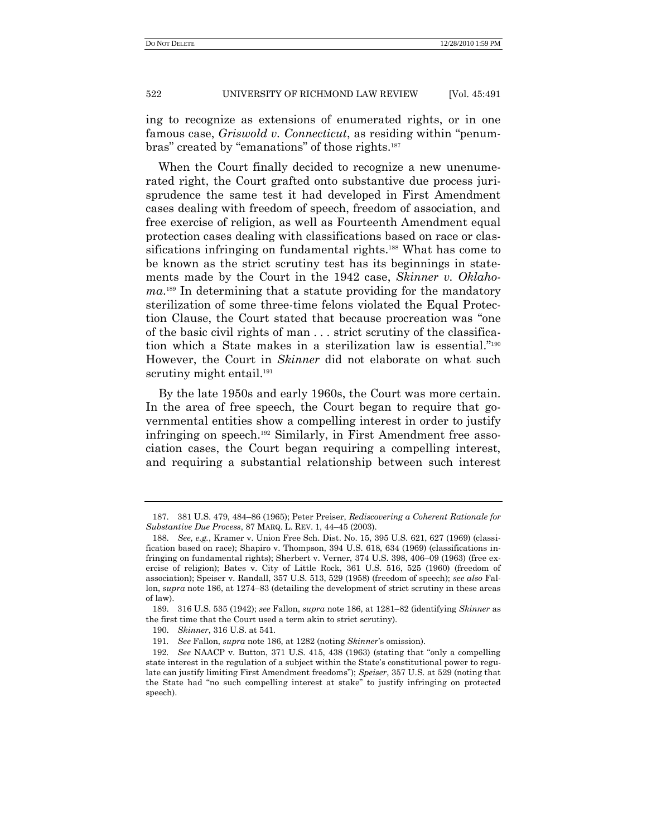ing to recognize as extensions of enumerated rights, or in one famous case, *Griswold v. Connecticut*, as residing within "penumbras" created by "emanations" of those rights.<sup>187</sup>

When the Court finally decided to recognize a new unenumerated right, the Court grafted onto substantive due process jurisprudence the same test it had developed in First Amendment cases dealing with freedom of speech, freedom of association, and free exercise of religion, as well as Fourteenth Amendment equal protection cases dealing with classifications based on race or classifications infringing on fundamental rights.<sup>188</sup> What has come to be known as the strict scrutiny test has its beginnings in statements made by the Court in the 1942 case, *Skinner v. Oklahoma*. <sup>189</sup> In determining that a statute providing for the mandatory sterilization of some three-time felons violated the Equal Protection Clause, the Court stated that because procreation was "one of the basic civil rights of man . . . strict scrutiny of the classification which a State makes in a sterilization law is essential."<sup>190</sup> However, the Court in *Skinner* did not elaborate on what such scrutiny might entail.<sup>191</sup>

By the late 1950s and early 1960s, the Court was more certain. In the area of free speech, the Court began to require that governmental entities show a compelling interest in order to justify infringing on speech.<sup>192</sup> Similarly, in First Amendment free association cases, the Court began requiring a compelling interest, and requiring a substantial relationship between such interest

<sup>187.</sup> 381 U.S. 479, 484–86 (1965); Peter Preiser, *Rediscovering a Coherent Rationale for Substantive Due Process*, 87 MARQ. L. REV. 1, 44–45 (2003).

<sup>188.</sup> *See, e.g.*, Kramer v. Union Free Sch. Dist. No. 15, 395 U.S. 621, 627 (1969) (classification based on race); Shapiro v. Thompson, 394 U.S. 618, 634 (1969) (classifications infringing on fundamental rights); Sherbert v. Verner, 374 U.S. 398, 406–09 (1963) (free exercise of religion); Bates v. City of Little Rock, 361 U.S. 516, 525 (1960) (freedom of association); Speiser v. Randall, 357 U.S. 513, 529 (1958) (freedom of speech); *see also* Fallon, *supra* note 186, at 1274–83 (detailing the development of strict scrutiny in these areas of law).

<sup>189.</sup> 316 U.S. 535 (1942); *see* Fallon, *supra* note 186, at 1281–82 (identifying *Skinner* as the first time that the Court used a term akin to strict scrutiny).

<sup>190.</sup> *Skinner*, 316 U.S. at 541.

<sup>191</sup>*. See* Fallon, *supra* note 186, at 1282 (noting *Skinner*'s omission).

<sup>192</sup>*. See* NAACP v. Button, 371 U.S. 415, 438 (1963) (stating that "only a compelling state interest in the regulation of a subject within the State's constitutional power to regulate can justify limiting First Amendment freedoms"); *Speiser*, 357 U.S. at 529 (noting that the State had "no such compelling interest at stake" to justify infringing on protected speech).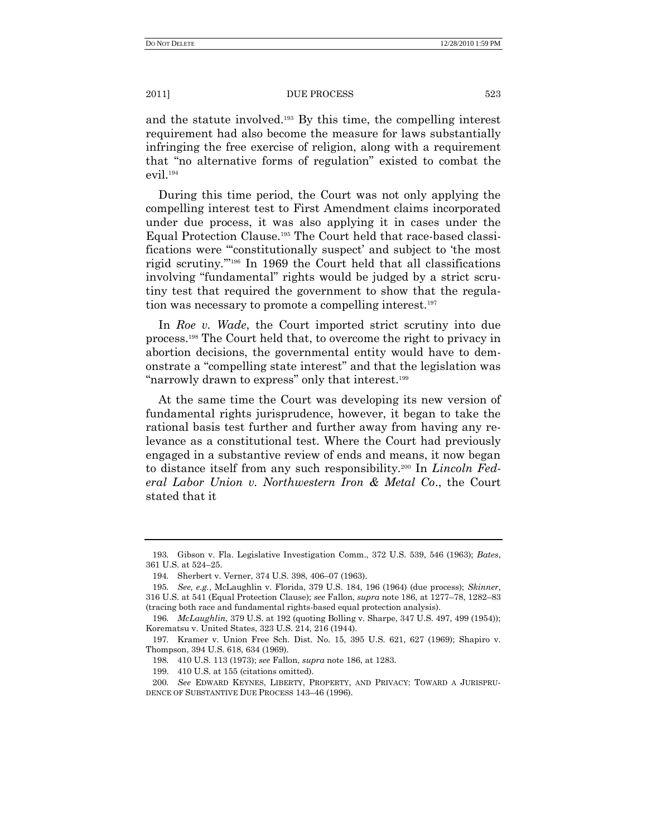and the statute involved.<sup>193</sup> By this time, the compelling interest requirement had also become the measure for laws substantially infringing the free exercise of religion, along with a requirement that "no alternative forms of regulation" existed to combat the evil.<sup>194</sup>

During this time period, the Court was not only applying the compelling interest test to First Amendment claims incorporated under due process, it was also applying it in cases under the Equal Protection Clause.<sup>195</sup> The Court held that race-based classifications were "constitutionally suspect' and subject to 'the most rigid scrutiny."<sup>196</sup> In 1969 the Court held that all classifications involving "fundamental" rights would be judged by a strict scrutiny test that required the government to show that the regulation was necessary to promote a compelling interest.<sup>197</sup>

In *Roe v. Wade*, the Court imported strict scrutiny into due process.<sup>198</sup> The Court held that, to overcome the right to privacy in abortion decisions, the governmental entity would have to demonstrate a "compelling state interest" and that the legislation was "narrowly drawn to express" only that interest.<sup>199</sup>

At the same time the Court was developing its new version of fundamental rights jurisprudence, however, it began to take the rational basis test further and further away from having any relevance as a constitutional test. Where the Court had previously engaged in a substantive review of ends and means, it now began to distance itself from any such responsibility.<sup>200</sup> In *Lincoln Federal Labor Union v. Northwestern Iron & Metal Co*., the Court stated that it

<sup>193</sup>*.* Gibson v. Fla. Legislative Investigation Comm., 372 U.S. 539, 546 (1963); *Bates*, 361 U.S. at 524–25.

<sup>194</sup>*.* Sherbert v. Verner, 374 U.S. 398, 406–07 (1963).

<sup>195</sup>*. See, e.g.*, McLaughlin v. Florida, 379 U.S. 184, 196 (1964) (due process); *Skinner*, 316 U.S. at 541 (Equal Protection Clause); *see* Fallon, *supra* note 186, at 1277–78, 1282–83 (tracing both race and fundamental rights-based equal protection analysis).

<sup>196</sup>*. McLaughlin*, 379 U.S. at 192 (quoting Bolling v. Sharpe, 347 U.S. 497, 499 (1954)); Korematsu v. United States, 323 U.S. 214, 216 (1944).

<sup>197</sup>*.* Kramer v. Union Free Sch. Dist. No. 15, 395 U.S. 621, 627 (1969); Shapiro v. Thompson, 394 U.S. 618, 634 (1969).

<sup>198</sup>*.* 410 U.S. 113 (1973); *see* Fallon, *supra* note 186, at 1283.

<sup>199.</sup> 410 U.S. at 155 (citations omitted).

<sup>200</sup>*. See* EDWARD KEYNES, LIBERTY, PROPERTY, AND PRIVACY: TOWARD A JURISPRU-DENCE OF SUBSTANTIVE DUE PROCESS 143–46 (1996).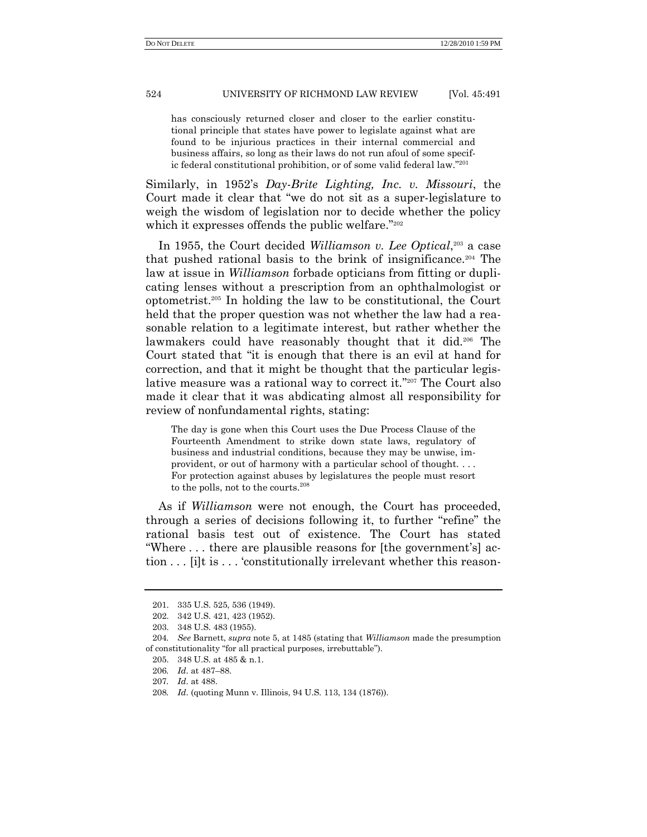has consciously returned closer and closer to the earlier constitutional principle that states have power to legislate against what are found to be injurious practices in their internal commercial and business affairs, so long as their laws do not run afoul of some specific federal constitutional prohibition, or of some valid federal law."<sup>201</sup>

Similarly, in 1952's *Day-Brite Lighting, Inc. v. Missouri*, the Court made it clear that "we do not sit as a super-legislature to weigh the wisdom of legislation nor to decide whether the policy which it expresses offends the public welfare."202

In 1955, the Court decided *Williamson v. Lee Optical*, <sup>203</sup> a case that pushed rational basis to the brink of insignificance.<sup>204</sup> The law at issue in *Williamson* forbade opticians from fitting or duplicating lenses without a prescription from an ophthalmologist or optometrist.<sup>205</sup> In holding the law to be constitutional, the Court held that the proper question was not whether the law had a reasonable relation to a legitimate interest, but rather whether the lawmakers could have reasonably thought that it did.<sup>206</sup> The Court stated that "it is enough that there is an evil at hand for correction, and that it might be thought that the particular legislative measure was a rational way to correct it."<sup>207</sup> The Court also made it clear that it was abdicating almost all responsibility for review of nonfundamental rights, stating:

The day is gone when this Court uses the Due Process Clause of the Fourteenth Amendment to strike down state laws, regulatory of business and industrial conditions, because they may be unwise, improvident, or out of harmony with a particular school of thought. . . . For protection against abuses by legislatures the people must resort to the polls, not to the courts.<sup>208</sup>

As if *Williamson* were not enough, the Court has proceeded, through a series of decisions following it, to further "refine" the rational basis test out of existence. The Court has stated ―Where . . . there are plausible reasons for [the government's] action . . . [i]t is . . . 'constitutionally irrelevant whether this reason-

<sup>201.</sup> 335 U.S. 525, 536 (1949).

<sup>202.</sup> 342 U.S. 421, 423 (1952).

<sup>203.</sup> 348 U.S. 483 (1955).

<sup>204</sup>*. See* Barnett, *supra* note 5, at 1485 (stating that *Williamson* made the presumption of constitutionality "for all practical purposes, irrebuttable").

<sup>205.</sup> 348 U.S. at 485 & n.1.

<sup>206</sup>*. Id*. at 487–88.

<sup>207</sup>*. Id*. at 488.

<sup>208</sup>*. Id*. (quoting Munn v. Illinois, 94 U.S. 113, 134 (1876)).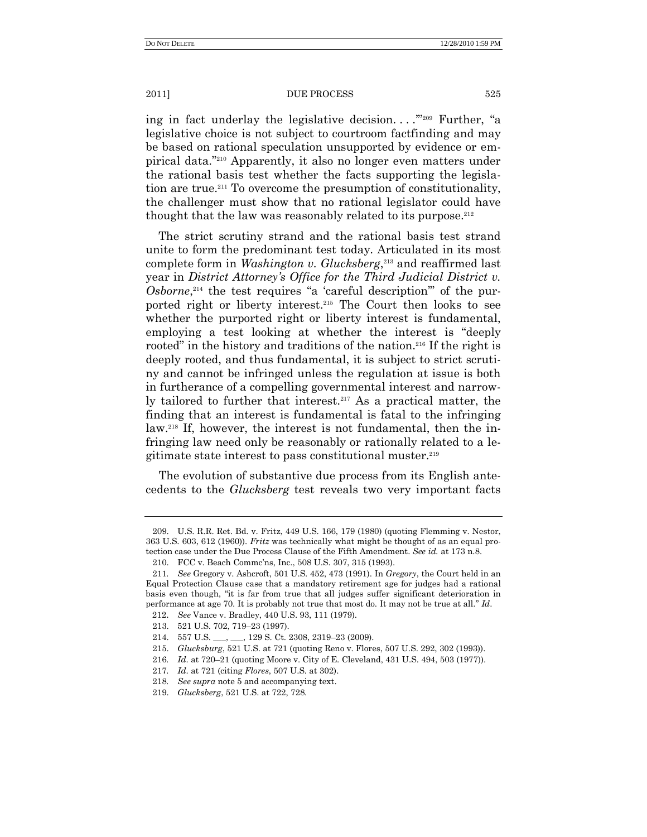ing in fact underlay the legislative decision.  $\ldots$ <sup>209</sup> Further, "a legislative choice is not subject to courtroom factfinding and may be based on rational speculation unsupported by evidence or empirical data."<sup>210</sup> Apparently, it also no longer even matters under the rational basis test whether the facts supporting the legislation are true.<sup>211</sup> To overcome the presumption of constitutionality, the challenger must show that no rational legislator could have thought that the law was reasonably related to its purpose. $212$ 

The strict scrutiny strand and the rational basis test strand unite to form the predominant test today. Articulated in its most complete form in *Washington v. Glucksberg*, <sup>213</sup> and reaffirmed last year in *District Attorney's Office for the Third Judicial District v.*   $Osborne$ <sup>214</sup>, the test requires "a 'careful description" of the purported right or liberty interest. <sup>215</sup> The Court then looks to see whether the purported right or liberty interest is fundamental, employing a test looking at whether the interest is "deeply" rooted" in the history and traditions of the nation.<sup>216</sup> If the right is deeply rooted, and thus fundamental, it is subject to strict scrutiny and cannot be infringed unless the regulation at issue is both in furtherance of a compelling governmental interest and narrowly tailored to further that interest. $217$  As a practical matter, the finding that an interest is fundamental is fatal to the infringing law.<sup>218</sup> If, however, the interest is not fundamental, then the infringing law need only be reasonably or rationally related to a legitimate state interest to pass constitutional muster.<sup>219</sup>

The evolution of substantive due process from its English antecedents to the *Glucksberg* test reveals two very important facts

<sup>209.</sup> U.S. R.R. Ret. Bd. v. Fritz, 449 U.S. 166, 179 (1980) (quoting Flemming v. Nestor, 363 U.S. 603, 612 (1960)). *Fritz* was technically what might be thought of as an equal protection case under the Due Process Clause of the Fifth Amendment. *See id.* at 173 n.8.

<sup>210.</sup> FCC v. Beach Commc'ns, Inc., 508 U.S. 307, 315 (1993).

<sup>211</sup>*. See* Gregory v. Ashcroft, 501 U.S. 452, 473 (1991). In *Gregory*, the Court held in an Equal Protection Clause case that a mandatory retirement age for judges had a rational basis even though, "it is far from true that all judges suffer significant deterioration in performance at age 70. It is probably not true that most do. It may not be true at all." Id.

<sup>212</sup>. *See* Vance v. Bradley, 440 U.S. 93, 111 (1979).

<sup>213.</sup> 521 U.S. 702, 719–23 (1997).

<sup>214.</sup> 557 U.S. \_\_\_, \_\_\_, 129 S. Ct. 2308, 2319–23 (2009).

<sup>215.</sup> *Glucksburg*, 521 U.S. at 721 (quoting Reno v. Flores, 507 U.S. 292, 302 (1993)).

<sup>216</sup>*. Id*. at 720–21 (quoting Moore v. City of E. Cleveland, 431 U.S. 494, 503 (1977)).

<sup>217</sup>*. Id*. at 721 (citing *Flores*, 507 U.S. at 302).

<sup>218</sup>*. See supra* note 5 and accompanying text.

<sup>219.</sup> *Glucksberg*, 521 U.S. at 722, 728.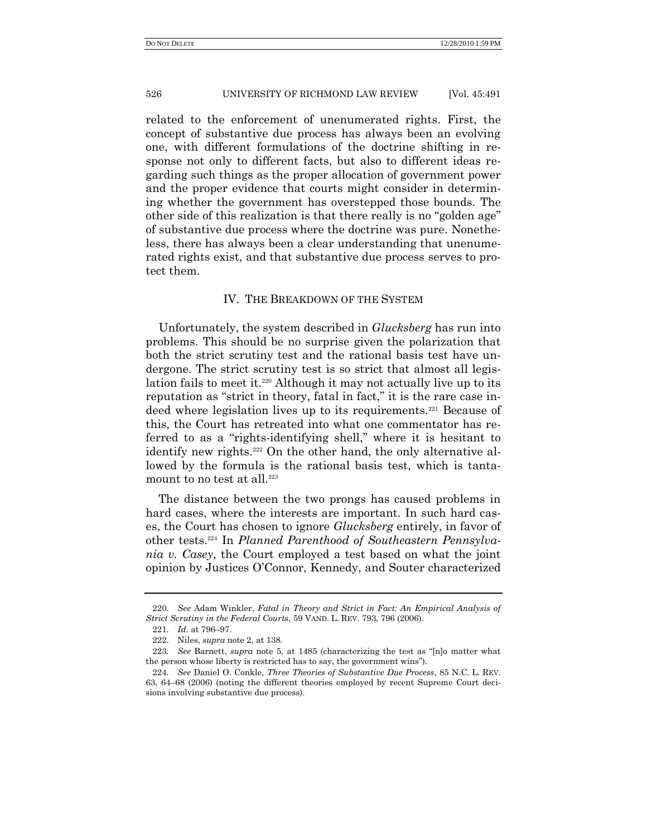related to the enforcement of unenumerated rights. First, the concept of substantive due process has always been an evolving one, with different formulations of the doctrine shifting in response not only to different facts, but also to different ideas regarding such things as the proper allocation of government power and the proper evidence that courts might consider in determining whether the government has overstepped those bounds. The other side of this realization is that there really is no "golden age" of substantive due process where the doctrine was pure. Nonetheless, there has always been a clear understanding that unenumerated rights exist, and that substantive due process serves to protect them.

## IV. THE BREAKDOWN OF THE SYSTEM

Unfortunately, the system described in *Glucksberg* has run into problems. This should be no surprise given the polarization that both the strict scrutiny test and the rational basis test have undergone. The strict scrutiny test is so strict that almost all legislation fails to meet it.<sup>220</sup> Although it may not actually live up to its reputation as "strict in theory, fatal in fact," it is the rare case indeed where legislation lives up to its requirements.<sup>221</sup> Because of this, the Court has retreated into what one commentator has referred to as a "rights-identifying shell," where it is hesitant to identify new rights.<sup>222</sup> On the other hand, the only alternative allowed by the formula is the rational basis test, which is tantamount to no test at all.<sup>223</sup>

The distance between the two prongs has caused problems in hard cases, where the interests are important. In such hard cases, the Court has chosen to ignore *Glucksberg* entirely, in favor of other tests.<sup>224</sup> In *Planned Parenthood of Southeastern Pennsylvania v. Casey*, the Court employed a test based on what the joint opinion by Justices O'Connor, Kennedy, and Souter characterized

<sup>220.</sup> *See* Adam Winkler, *Fatal in Theory and Strict in Fact: An Empirical Analysis of Strict Scrutiny in the Federal Courts*, 59 VAND. L. REV. 793, 796 (2006).

<sup>221.</sup> *Id.* at 796–97.

<sup>222.</sup> Niles, *supra* note 2, at 138.

<sup>223.</sup> *See* Barnett, *supra* note 5, at 1485 (characterizing the test as "[n]o matter what the person whose liberty is restricted has to say, the government wins").

<sup>224</sup>*. See* Daniel O. Conkle, *Three Theories of Substantive Due Process*, 85 N.C. L. REV. 63, 64–68 (2006) (noting the different theories employed by recent Supreme Court decisions involving substantive due process).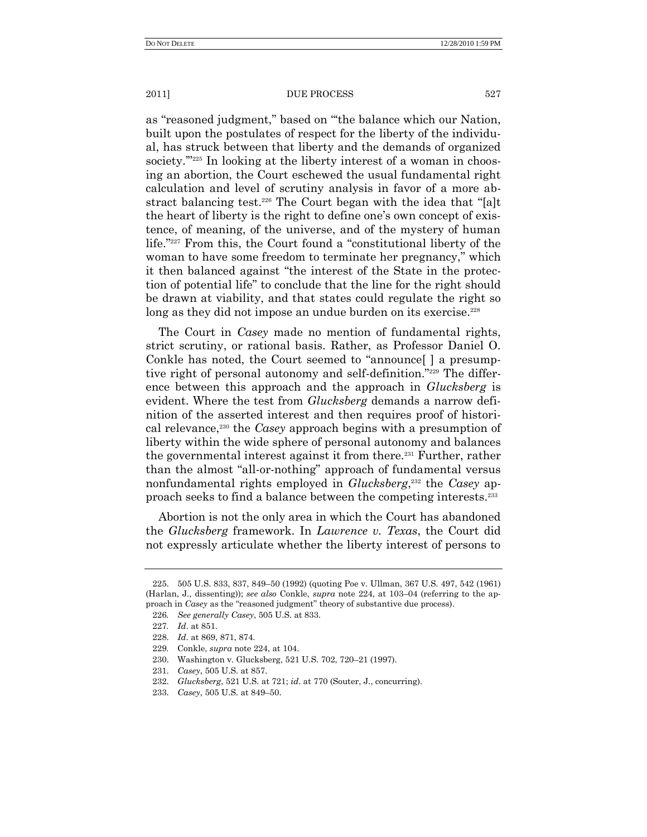as "reasoned judgment," based on "the balance which our Nation, built upon the postulates of respect for the liberty of the individual, has struck between that liberty and the demands of organized society. $\frac{m_{225}}{m_{225}}$  In looking at the liberty interest of a woman in choosing an abortion, the Court eschewed the usual fundamental right calculation and level of scrutiny analysis in favor of a more abstract balancing test.<sup>226</sup> The Court began with the idea that "[a]t the heart of liberty is the right to define one's own concept of existence, of meaning, of the universe, and of the mystery of human life."<sup>227</sup> From this, the Court found a "constitutional liberty of the woman to have some freedom to terminate her pregnancy," which it then balanced against "the interest of the State in the protection of potential life" to conclude that the line for the right should be drawn at viability, and that states could regulate the right so long as they did not impose an undue burden on its exercise.<sup>228</sup>

The Court in *Casey* made no mention of fundamental rights, strict scrutiny, or rational basis. Rather, as Professor Daniel O. Conkle has noted, the Court seemed to "announce" a presumptive right of personal autonomy and self-definition."229 The difference between this approach and the approach in *Glucksberg* is evident. Where the test from *Glucksberg* demands a narrow definition of the asserted interest and then requires proof of historical relevance,<sup>230</sup> the *Casey* approach begins with a presumption of liberty within the wide sphere of personal autonomy and balances the governmental interest against it from there.<sup>231</sup> Further, rather than the almost "all-or-nothing" approach of fundamental versus nonfundamental rights employed in *Glucksberg*, <sup>232</sup> the *Casey* approach seeks to find a balance between the competing interests.<sup>233</sup>

Abortion is not the only area in which the Court has abandoned the *Glucksberg* framework. In *Lawrence v. Texas*, the Court did not expressly articulate whether the liberty interest of persons to

<sup>225.</sup> 505 U.S. 833, 837, 849–50 (1992) (quoting Poe v. Ullman, 367 U.S. 497, 542 (1961) (Harlan, J., dissenting)); *see also* Conkle, *supra* note 224, at 103–04 (referring to the approach in *Casey* as the "reasoned judgment" theory of substantive due process).

<sup>226</sup>*. See generally Casey*, 505 U.S. at 833.

<sup>227</sup>*. Id*. at 851.

<sup>228.</sup> *Id*. at 869, 871, 874.

<sup>229</sup>*.* Conkle, *supra* note 224, at 104.

<sup>230.</sup> Washington v. Glucksberg, 521 U.S. 702, 720–21 (1997).

<sup>231.</sup> *Casey*, 505 U.S. at 857.

<sup>232.</sup> *Glucksberg*, 521 U.S. at 721; *id*. at 770 (Souter, J., concurring).

<sup>233.</sup> *Casey*, 505 U.S. at 849–50.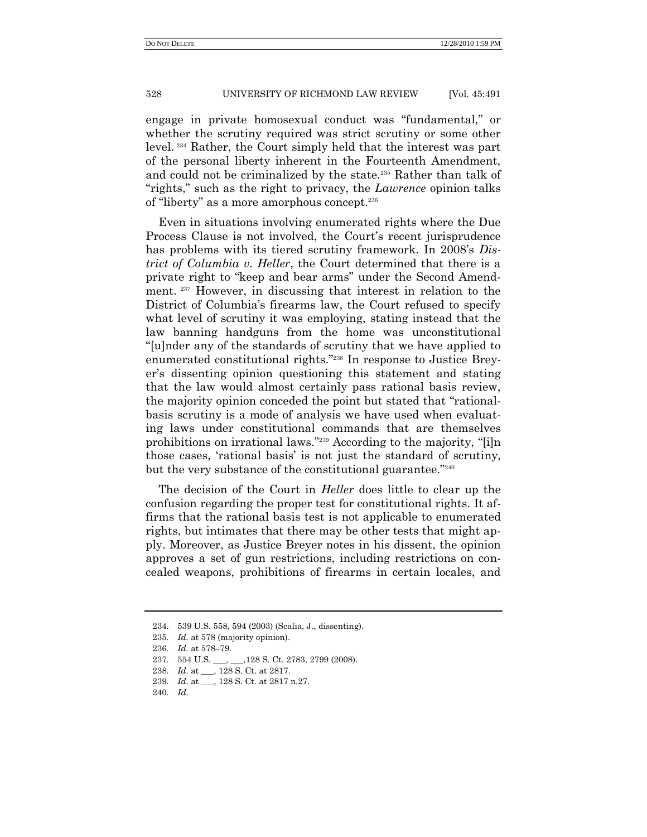engage in private homosexual conduct was "fundamental," or whether the scrutiny required was strict scrutiny or some other level. <sup>234</sup> Rather, the Court simply held that the interest was part of the personal liberty inherent in the Fourteenth Amendment, and could not be criminalized by the state.<sup>235</sup> Rather than talk of "rights," such as the right to privacy, the *Lawrence* opinion talks of "liberty" as a more amorphous concept.<sup>236</sup>

Even in situations involving enumerated rights where the Due Process Clause is not involved, the Court's recent jurisprudence has problems with its tiered scrutiny framework. In 2008's *District of Columbia v. Heller*, the Court determined that there is a private right to "keep and bear arms" under the Second Amendment. <sup>237</sup> However, in discussing that interest in relation to the District of Columbia's firearms law, the Court refused to specify what level of scrutiny it was employing, stating instead that the law banning handguns from the home was unconstitutional ―[u]nder any of the standards of scrutiny that we have applied to enumerated constitutional rights."<sup>238</sup> In response to Justice Breyer's dissenting opinion questioning this statement and stating that the law would almost certainly pass rational basis review, the majority opinion conceded the point but stated that "rationalbasis scrutiny is a mode of analysis we have used when evaluating laws under constitutional commands that are themselves prohibitions on irrational laws."<sup>239</sup> According to the majority, "[i]n those cases, ‗rational basis' is not just the standard of scrutiny, but the very substance of the constitutional guarantee."<sup>240</sup>

The decision of the Court in *Heller* does little to clear up the confusion regarding the proper test for constitutional rights. It affirms that the rational basis test is not applicable to enumerated rights, but intimates that there may be other tests that might apply. Moreover, as Justice Breyer notes in his dissent, the opinion approves a set of gun restrictions, including restrictions on concealed weapons, prohibitions of firearms in certain locales, and

<sup>234.</sup> 539 U.S. 558, 594 (2003) (Scalia, J., dissenting).

<sup>235</sup>*. Id.* at 578 (majority opinion).

<sup>236</sup>*. Id*. at 578–79.

<sup>237.</sup> 554 U.S. \_\_\_, \_\_\_,128 S. Ct. 2783, 2799 (2008).

<sup>238</sup>*. Id*. at \_\_\_, 128 S. Ct. at 2817.

<sup>239.</sup> *Id*. at \_\_\_, 128 S. Ct. at 2817 n.27.

<sup>240</sup>*. Id*.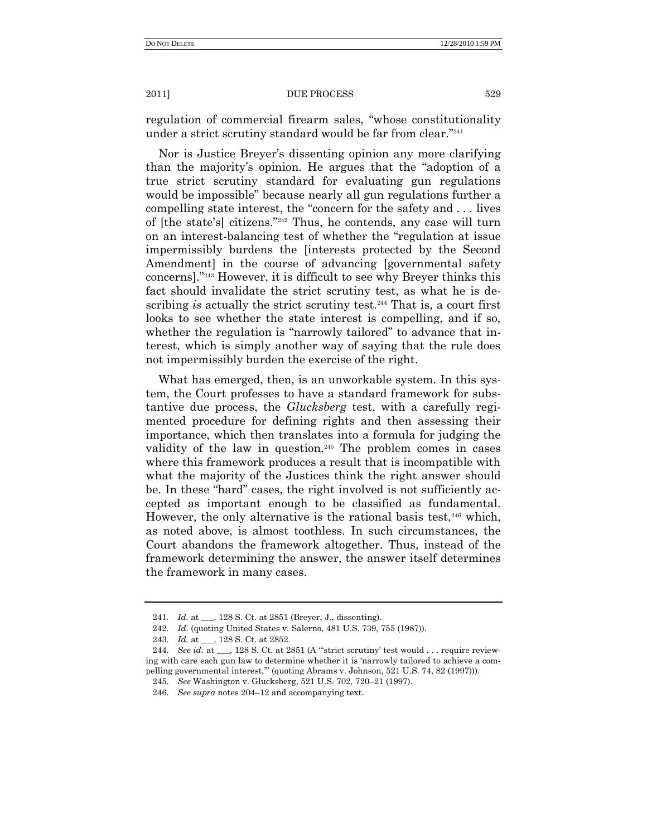regulation of commercial firearm sales, "whose constitutionality" under a strict scrutiny standard would be far from clear."<sup>241</sup>

Nor is Justice Breyer's dissenting opinion any more clarifying than the majority's opinion. He argues that the "adoption of a true strict scrutiny standard for evaluating gun regulations would be impossible" because nearly all gun regulations further a compelling state interest, the "concern for the safety and  $\dots$  lives of [the state's] citizens."<sup>242</sup> Thus, he contends, any case will turn on an interest-balancing test of whether the "regulation at issue impermissibly burdens the [interests protected by the Second Amendment] in the course of advancing [governmental safety concerns]."<sup>243</sup> However, it is difficult to see why Breyer thinks this fact should invalidate the strict scrutiny test, as what he is describing *is* actually the strict scrutiny test.<sup>244</sup> That is, a court first looks to see whether the state interest is compelling, and if so, whether the regulation is "narrowly tailored" to advance that interest, which is simply another way of saying that the rule does not impermissibly burden the exercise of the right.

What has emerged, then, is an unworkable system. In this system, the Court professes to have a standard framework for substantive due process, the *Glucksberg* test, with a carefully regimented procedure for defining rights and then assessing their importance, which then translates into a formula for judging the validity of the law in question.<sup>245</sup> The problem comes in cases where this framework produces a result that is incompatible with what the majority of the Justices think the right answer should be. In these "hard" cases, the right involved is not sufficiently accepted as important enough to be classified as fundamental. However, the only alternative is the rational basis test, $246$  which, as noted above, is almost toothless. In such circumstances, the Court abandons the framework altogether. Thus, instead of the framework determining the answer, the answer itself determines the framework in many cases.

<sup>241.</sup> *Id.* at . 128 S. Ct. at 2851 (Breyer, J., dissenting).

<sup>242</sup>*. Id*. (quoting United States v. Salerno, 481 U.S. 739, 755 (1987)).

<sup>243</sup>*. Id*. at \_\_\_, 128 S. Ct. at 2852.

<sup>244.</sup> *See id.* at \_\_, 128 S. Ct. at 2851 (A "strict scrutiny' test would . . . require reviewing with care each gun law to determine whether it is 'narrowly tailored to achieve a compelling governmental interest," (quoting Abrams v. Johnson, 521 U.S. 74, 82 (1997))).

<sup>245.</sup> *See* Washington v. Glucksberg, 521 U.S. 702, 720–21 (1997).

<sup>246.</sup> *See supra* notes 204–12 and accompanying text.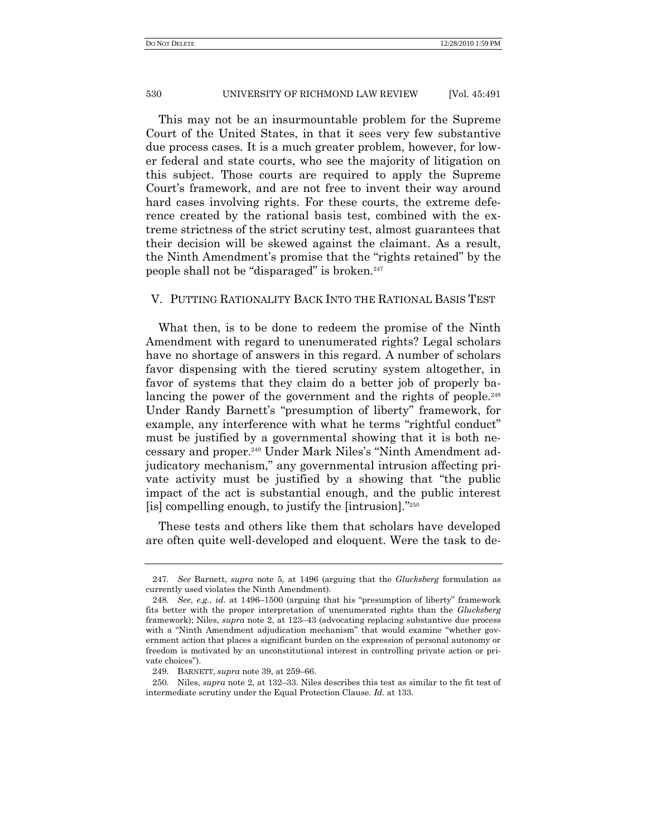This may not be an insurmountable problem for the Supreme Court of the United States, in that it sees very few substantive due process cases. It is a much greater problem, however, for lower federal and state courts, who see the majority of litigation on this subject. Those courts are required to apply the Supreme Court's framework, and are not free to invent their way around hard cases involving rights. For these courts, the extreme deference created by the rational basis test, combined with the extreme strictness of the strict scrutiny test, almost guarantees that their decision will be skewed against the claimant. As a result, the Ninth Amendment's promise that the "rights retained" by the people shall not be "disparaged" is broken.<sup>247</sup>

## V. PUTTING RATIONALITY BACK INTO THE RATIONAL BASIS TEST

What then, is to be done to redeem the promise of the Ninth Amendment with regard to unenumerated rights? Legal scholars have no shortage of answers in this regard. A number of scholars favor dispensing with the tiered scrutiny system altogether, in favor of systems that they claim do a better job of properly balancing the power of the government and the rights of people.<sup>248</sup> Under Randy Barnett's "presumption of liberty" framework, for example, any interference with what he terms "rightful conduct" must be justified by a governmental showing that it is both necessary and proper.<sup>249</sup> Under Mark Niles's "Ninth Amendment adjudicatory mechanism," any governmental intrusion affecting private activity must be justified by a showing that "the public impact of the act is substantial enough, and the public interest [is] compelling enough, to justify the [intrusion]. $"250$ 

These tests and others like them that scholars have developed are often quite well-developed and eloquent. Were the task to de-

<sup>247</sup>*. See* Barnett, *supra* note 5, at 1496 (arguing that the *Glucksberg* formulation as currently used violates the Ninth Amendment).

<sup>248.</sup> *See, e.g., id.* at 1496–1500 (arguing that his "presumption of liberty" framework fits better with the proper interpretation of unenumerated rights than the *Glucksberg* framework); Niles, *supra* note 2, at 123–43 (advocating replacing substantive due process with a "Ninth Amendment adjudication mechanism" that would examine "whether government action that places a significant burden on the expression of personal autonomy or freedom is motivated by an unconstitutional interest in controlling private action or private choices").

<sup>249.</sup> BARNETT, *supra* note 39, at 259–66.

<sup>250.</sup> Niles, *supra* note 2, at 132–33. Niles describes this test as similar to the fit test of intermediate scrutiny under the Equal Protection Clause. *Id*. at 133.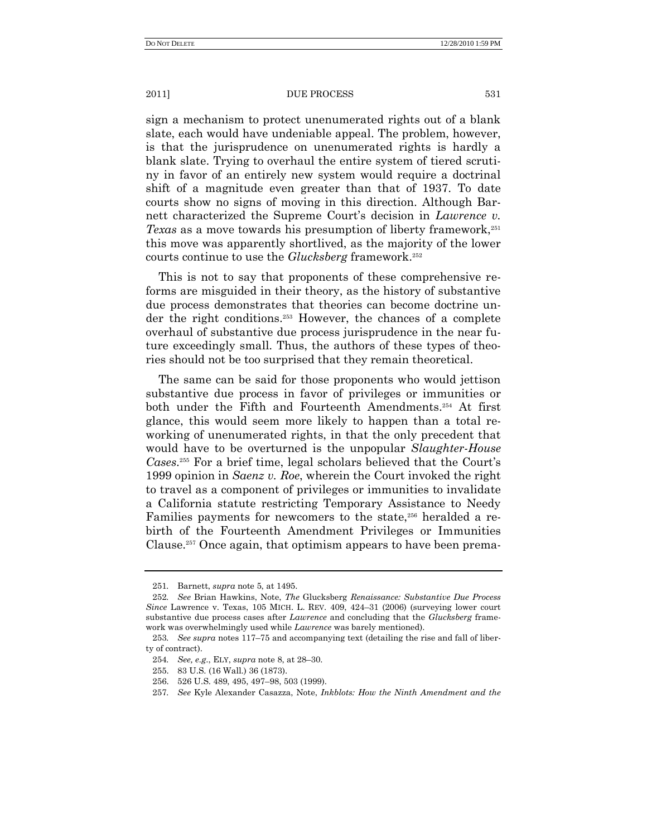sign a mechanism to protect unenumerated rights out of a blank slate, each would have undeniable appeal. The problem, however, is that the jurisprudence on unenumerated rights is hardly a blank slate. Trying to overhaul the entire system of tiered scrutiny in favor of an entirely new system would require a doctrinal shift of a magnitude even greater than that of 1937. To date courts show no signs of moving in this direction. Although Barnett characterized the Supreme Court's decision in *Lawrence v. Texas* as a move towards his presumption of liberty framework,<sup>251</sup> this move was apparently shortlived, as the majority of the lower courts continue to use the *Glucksberg* framework.<sup>252</sup>

This is not to say that proponents of these comprehensive reforms are misguided in their theory, as the history of substantive due process demonstrates that theories can become doctrine under the right conditions.<sup>253</sup> However, the chances of a complete overhaul of substantive due process jurisprudence in the near future exceedingly small. Thus, the authors of these types of theories should not be too surprised that they remain theoretical.

The same can be said for those proponents who would jettison substantive due process in favor of privileges or immunities or both under the Fifth and Fourteenth Amendments.<sup>254</sup> At first glance, this would seem more likely to happen than a total reworking of unenumerated rights, in that the only precedent that would have to be overturned is the unpopular *Slaughter-House Cases*. <sup>255</sup> For a brief time, legal scholars believed that the Court's 1999 opinion in *Saenz v. Roe*, wherein the Court invoked the right to travel as a component of privileges or immunities to invalidate a California statute restricting Temporary Assistance to Needy Families payments for newcomers to the state,<sup>256</sup> heralded a rebirth of the Fourteenth Amendment Privileges or Immunities Clause.<sup>257</sup> Once again, that optimism appears to have been prema-

<sup>251</sup>*.* Barnett, *supra* note 5, at 1495.

<sup>252</sup>*. See* Brian Hawkins, Note, *The* Glucksberg *Renaissance: Substantive Due Process Since* Lawrence v. Texas, 105 MICH. L. REV. 409, 424–31 (2006) (surveying lower court substantive due process cases after *Lawrence* and concluding that the *Glucksberg* framework was overwhelmingly used while *Lawrence* was barely mentioned).

<sup>253</sup>*. See supra* notes 117–75 and accompanying text (detailing the rise and fall of liberty of contract).

<sup>254</sup>*. See, e.g*., ELY, *supra* note 8, at 28–30.

<sup>255.</sup> 83 U.S. (16 Wall.) 36 (1873).

<sup>256.</sup> 526 U.S. 489, 495, 497–98, 503 (1999).

<sup>257</sup>*. See* Kyle Alexander Casazza, Note, *Inkblots: How the Ninth Amendment and the*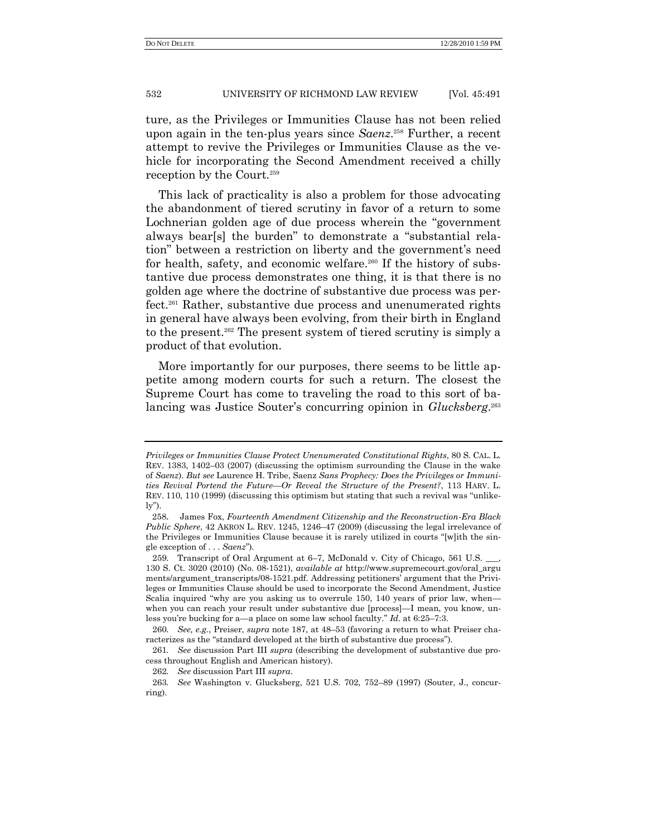ture, as the Privileges or Immunities Clause has not been relied upon again in the ten-plus years since *Saenz*. <sup>258</sup> Further, a recent attempt to revive the Privileges or Immunities Clause as the vehicle for incorporating the Second Amendment received a chilly reception by the Court.<sup>259</sup>

This lack of practicality is also a problem for those advocating the abandonment of tiered scrutiny in favor of a return to some Lochnerian golden age of due process wherein the "government" always bear[s] the burden" to demonstrate a "substantial relation" between a restriction on liberty and the government's need for health, safety, and economic welfare.<sup>260</sup> If the history of substantive due process demonstrates one thing, it is that there is no golden age where the doctrine of substantive due process was perfect.<sup>261</sup> Rather, substantive due process and unenumerated rights in general have always been evolving, from their birth in England to the present.<sup>262</sup> The present system of tiered scrutiny is simply a product of that evolution.

More importantly for our purposes, there seems to be little appetite among modern courts for such a return. The closest the Supreme Court has come to traveling the road to this sort of balancing was Justice Souter's concurring opinion in *Glucksberg*. 263

*Privileges or Immunities Clause Protect Unenumerated Constitutional Rights*, 80 S. CAL. L. REV. 1383, 1402–03 (2007) (discussing the optimism surrounding the Clause in the wake of *Saenz*). *But see* Laurence H. Tribe, Saenz *Sans Prophecy: Does the Privileges or Immunities Revival Portend the Future—Or Reveal the Structure of the Present?*, 113 HARV. L. REV.  $110$ ,  $110$  ( $1999$ ) (discussing this optimism but stating that such a revival was "unlike- $\lg$ ").

<sup>258</sup>. James Fox, *Fourteenth Amendment Citizenship and the Reconstruction-Era Black Public Sphere*, 42 AKRON L. REV. 1245, 1246–47 (2009) (discussing the legal irrelevance of the Privileges or Immunities Clause because it is rarely utilized in courts "[w]ith the single exception of . . . *Saenz*‖).

<sup>259.</sup> Transcript of Oral Argument at 6–7, McDonald v. City of Chicago, 561 U.S. 130 S. Ct. 3020 (2010) (No. 08-1521), *available at* http://www.supremecourt.gov/oral\_argu ments/argument\_transcripts/08-1521.pdf. Addressing petitioners' argument that the Privileges or Immunities Clause should be used to incorporate the Second Amendment, Justice Scalia inquired "why are you asking us to overrule 150, 140 years of prior law, when when you can reach your result under substantive due [process]—I mean, you know, unless you're bucking for a—a place on some law school faculty." *Id.* at 6:25–7:3.

<sup>260</sup>*. See, e.g.*, Preiser, *supra* note 187, at 48–53 (favoring a return to what Preiser characterizes as the "standard developed at the birth of substantive due process").

<sup>261</sup>*. See* discussion Part III *supra* (describing the development of substantive due process throughout English and American history).

<sup>262</sup>*. See* discussion Part III *supra*.

<sup>263</sup>*. See* Washington v. Glucksberg, 521 U.S. 702, 752–89 (1997) (Souter, J., concurring).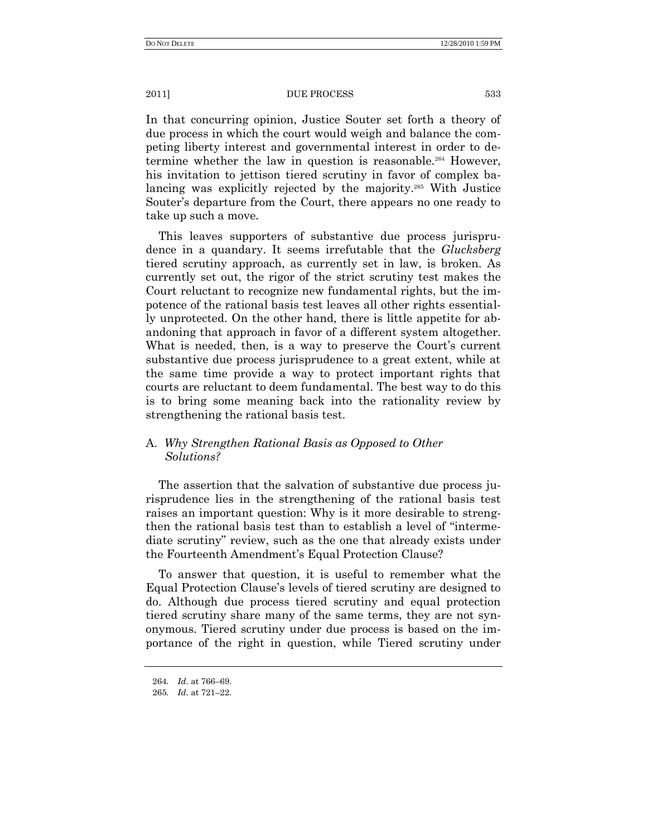In that concurring opinion, Justice Souter set forth a theory of due process in which the court would weigh and balance the competing liberty interest and governmental interest in order to determine whether the law in question is reasonable.<sup>264</sup> However, his invitation to jettison tiered scrutiny in favor of complex balancing was explicitly rejected by the majority.<sup>265</sup> With Justice Souter's departure from the Court, there appears no one ready to take up such a move.

This leaves supporters of substantive due process jurisprudence in a quandary. It seems irrefutable that the *Glucksberg* tiered scrutiny approach, as currently set in law, is broken. As currently set out, the rigor of the strict scrutiny test makes the Court reluctant to recognize new fundamental rights, but the impotence of the rational basis test leaves all other rights essentially unprotected. On the other hand, there is little appetite for abandoning that approach in favor of a different system altogether. What is needed, then, is a way to preserve the Court's current substantive due process jurisprudence to a great extent, while at the same time provide a way to protect important rights that courts are reluctant to deem fundamental. The best way to do this is to bring some meaning back into the rationality review by strengthening the rational basis test.

# A. *Why Strengthen Rational Basis as Opposed to Other Solutions?*

The assertion that the salvation of substantive due process jurisprudence lies in the strengthening of the rational basis test raises an important question: Why is it more desirable to strengthen the rational basis test than to establish a level of "intermediate scrutiny" review, such as the one that already exists under the Fourteenth Amendment's Equal Protection Clause?

To answer that question, it is useful to remember what the Equal Protection Clause's levels of tiered scrutiny are designed to do. Although due process tiered scrutiny and equal protection tiered scrutiny share many of the same terms, they are not synonymous. Tiered scrutiny under due process is based on the importance of the right in question, while Tiered scrutiny under

<sup>264</sup>*. Id*. at 766–69.

<sup>265</sup>*. Id*. at 721–22.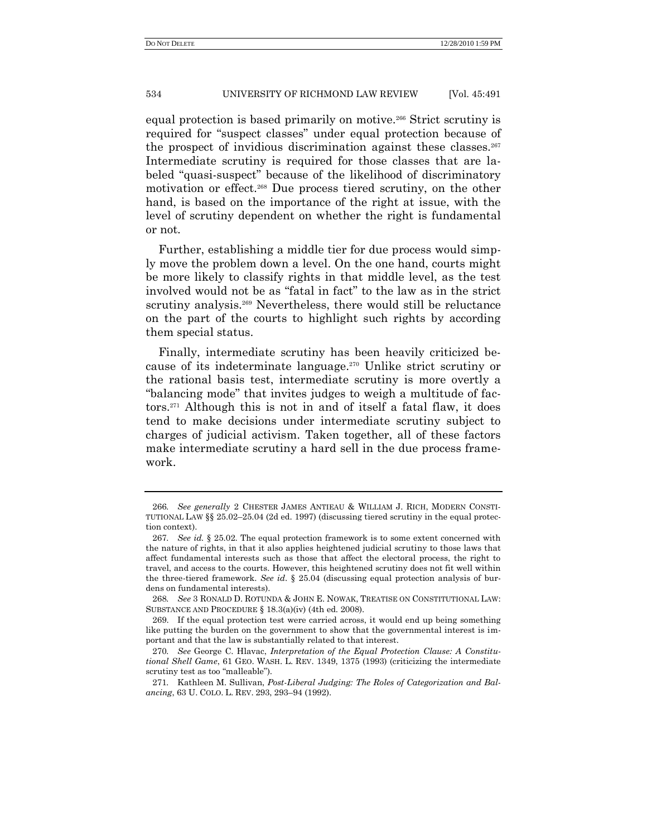equal protection is based primarily on motive.<sup>266</sup> Strict scrutiny is required for "suspect classes" under equal protection because of the prospect of invidious discrimination against these classes.<sup>267</sup> Intermediate scrutiny is required for those classes that are labeled "quasi-suspect" because of the likelihood of discriminatory motivation or effect.<sup>268</sup> Due process tiered scrutiny, on the other hand, is based on the importance of the right at issue, with the level of scrutiny dependent on whether the right is fundamental or not.

Further, establishing a middle tier for due process would simply move the problem down a level. On the one hand, courts might be more likely to classify rights in that middle level, as the test involved would not be as "fatal in fact" to the law as in the strict scrutiny analysis.<sup>269</sup> Nevertheless, there would still be reluctance on the part of the courts to highlight such rights by according them special status.

Finally, intermediate scrutiny has been heavily criticized because of its indeterminate language.<sup>270</sup> Unlike strict scrutiny or the rational basis test, intermediate scrutiny is more overtly a "balancing mode" that invites judges to weigh a multitude of factors.<sup>271</sup> Although this is not in and of itself a fatal flaw, it does tend to make decisions under intermediate scrutiny subject to charges of judicial activism. Taken together, all of these factors make intermediate scrutiny a hard sell in the due process framework.

<sup>266</sup>*. See generally* 2 CHESTER JAMES ANTIEAU & WILLIAM J. RICH, MODERN CONSTI-TUTIONAL LAW §§ 25.02–25.04 (2d ed. 1997) (discussing tiered scrutiny in the equal protection context).

<sup>267</sup>*. See id.* § 25.02. The equal protection framework is to some extent concerned with the nature of rights, in that it also applies heightened judicial scrutiny to those laws that affect fundamental interests such as those that affect the electoral process, the right to travel, and access to the courts. However, this heightened scrutiny does not fit well within the three-tiered framework. *See id*. § 25.04 (discussing equal protection analysis of burdens on fundamental interests).

<sup>268</sup>*. See* 3 RONALD D. ROTUNDA & JOHN E. NOWAK, TREATISE ON CONSTITUTIONAL LAW: SUBSTANCE AND PROCEDURE § 18.3(a)(iv) (4th ed. 2008).

<sup>269.</sup> If the equal protection test were carried across, it would end up being something like putting the burden on the government to show that the governmental interest is important and that the law is substantially related to that interest.

<sup>270</sup>*. See* George C. Hlavac, *Interpretation of the Equal Protection Clause: A Constitutional Shell Game*, 61 GEO. WASH. L. REV. 1349, 1375 (1993) (criticizing the intermediate scrutiny test as too "malleable").

<sup>271</sup>*.* Kathleen M. Sullivan, *Post-Liberal Judging: The Roles of Categorization and Balancing*, 63 U. COLO. L. REV. 293, 293–94 (1992).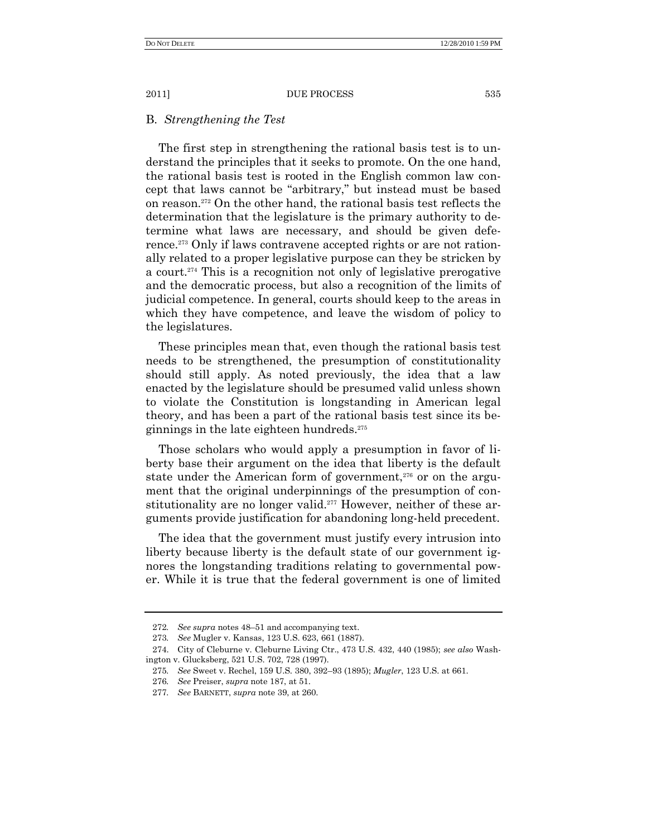## B. *Strengthening the Test*

The first step in strengthening the rational basis test is to understand the principles that it seeks to promote. On the one hand, the rational basis test is rooted in the English common law concept that laws cannot be "arbitrary," but instead must be based on reason.<sup>272</sup> On the other hand, the rational basis test reflects the determination that the legislature is the primary authority to determine what laws are necessary, and should be given deference.<sup>273</sup> Only if laws contravene accepted rights or are not rationally related to a proper legislative purpose can they be stricken by a court.<sup>274</sup> This is a recognition not only of legislative prerogative and the democratic process, but also a recognition of the limits of judicial competence. In general, courts should keep to the areas in which they have competence, and leave the wisdom of policy to the legislatures.

These principles mean that, even though the rational basis test needs to be strengthened, the presumption of constitutionality should still apply. As noted previously, the idea that a law enacted by the legislature should be presumed valid unless shown to violate the Constitution is longstanding in American legal theory, and has been a part of the rational basis test since its beginnings in the late eighteen hundreds. 275

Those scholars who would apply a presumption in favor of liberty base their argument on the idea that liberty is the default state under the American form of government, $276$  or on the argument that the original underpinnings of the presumption of constitutionality are no longer valid.<sup>277</sup> However, neither of these arguments provide justification for abandoning long-held precedent.

The idea that the government must justify every intrusion into liberty because liberty is the default state of our government ignores the longstanding traditions relating to governmental power. While it is true that the federal government is one of limited

<sup>272</sup>*. See supra* notes 48–51 and accompanying text.

<sup>273</sup>*. See* Mugler v. Kansas, 123 U.S. 623, 661 (1887).

<sup>274.</sup> City of Cleburne v. Cleburne Living Ctr., 473 U.S. 432, 440 (1985); *see also* Washington v. Glucksberg, 521 U.S. 702, 728 (1997).

<sup>275</sup>*. See* Sweet v. Rechel, 159 U.S. 380, 392–93 (1895); *Mugler*, 123 U.S. at 661.

<sup>276</sup>*. See* Preiser, *supra* note 187, at 51.

<sup>277</sup>*. See* BARNETT, *supra* note 39, at 260.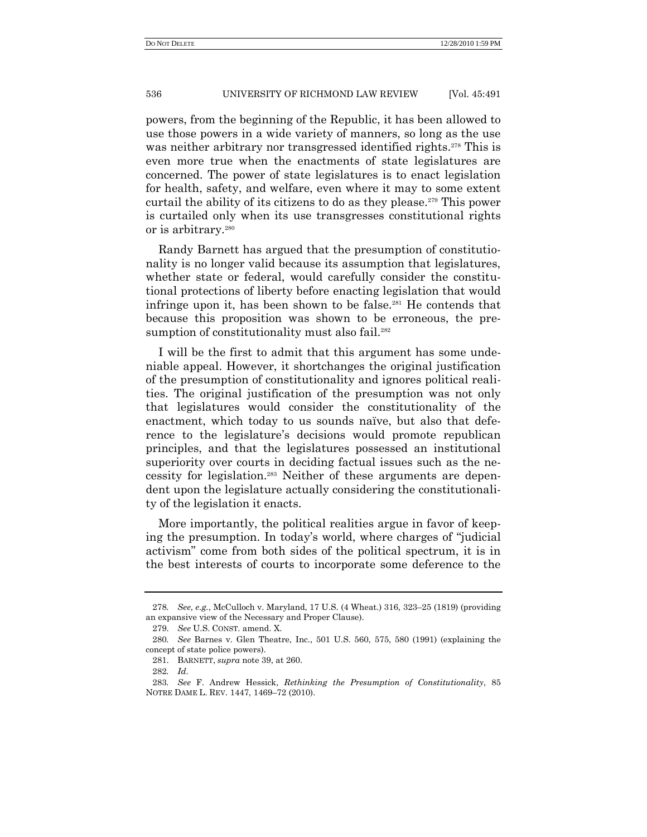powers, from the beginning of the Republic, it has been allowed to use those powers in a wide variety of manners, so long as the use was neither arbitrary nor transgressed identified rights.<sup>278</sup> This is even more true when the enactments of state legislatures are concerned. The power of state legislatures is to enact legislation for health, safety, and welfare, even where it may to some extent curtail the ability of its citizens to do as they please.<sup>279</sup> This power is curtailed only when its use transgresses constitutional rights or is arbitrary.<sup>280</sup>

Randy Barnett has argued that the presumption of constitutionality is no longer valid because its assumption that legislatures, whether state or federal, would carefully consider the constitutional protections of liberty before enacting legislation that would infringe upon it, has been shown to be false.<sup>281</sup> He contends that because this proposition was shown to be erroneous, the presumption of constitutionality must also fail.<sup>282</sup>

I will be the first to admit that this argument has some undeniable appeal. However, it shortchanges the original justification of the presumption of constitutionality and ignores political realities. The original justification of the presumption was not only that legislatures would consider the constitutionality of the enactment, which today to us sounds naïve, but also that deference to the legislature's decisions would promote republican principles, and that the legislatures possessed an institutional superiority over courts in deciding factual issues such as the necessity for legislation.<sup>283</sup> Neither of these arguments are dependent upon the legislature actually considering the constitutionality of the legislation it enacts.

More importantly, the political realities argue in favor of keeping the presumption. In today's world, where charges of "judicial" activism" come from both sides of the political spectrum, it is in the best interests of courts to incorporate some deference to the

<sup>278</sup>*. See*, *e.g.*, McCulloch v. Maryland, 17 U.S. (4 Wheat.) 316, 323–25 (1819) (providing an expansive view of the Necessary and Proper Clause).

<sup>279.</sup> *See* U.S. CONST. amend. X.

<sup>280</sup>*. See* Barnes v. Glen Theatre, Inc., 501 U.S. 560, 575, 580 (1991) (explaining the concept of state police powers).

<sup>281.</sup> BARNETT, *supra* note 39, at 260.

<sup>282</sup>*. Id*.

<sup>283</sup>*. See* F. Andrew Hessick, *Rethinking the Presumption of Constitutionality*, 85 NOTRE DAME L. REV. 1447, 1469–72 (2010).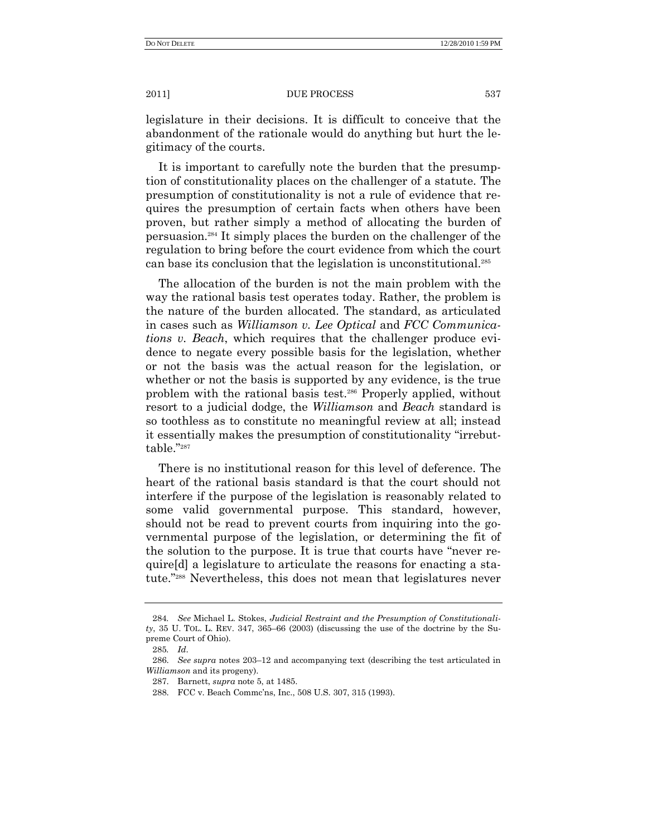legislature in their decisions. It is difficult to conceive that the abandonment of the rationale would do anything but hurt the legitimacy of the courts.

It is important to carefully note the burden that the presumption of constitutionality places on the challenger of a statute. The presumption of constitutionality is not a rule of evidence that requires the presumption of certain facts when others have been proven, but rather simply a method of allocating the burden of persuasion.<sup>284</sup> It simply places the burden on the challenger of the regulation to bring before the court evidence from which the court can base its conclusion that the legislation is unconstitutional.<sup>285</sup>

The allocation of the burden is not the main problem with the way the rational basis test operates today. Rather, the problem is the nature of the burden allocated. The standard, as articulated in cases such as *Williamson v. Lee Optical* and *FCC Communications v. Beach*, which requires that the challenger produce evidence to negate every possible basis for the legislation, whether or not the basis was the actual reason for the legislation, or whether or not the basis is supported by any evidence, is the true problem with the rational basis test.<sup>286</sup> Properly applied, without resort to a judicial dodge, the *Williamson* and *Beach* standard is so toothless as to constitute no meaningful review at all; instead it essentially makes the presumption of constitutionality "irrebuttable."287

There is no institutional reason for this level of deference. The heart of the rational basis standard is that the court should not interfere if the purpose of the legislation is reasonably related to some valid governmental purpose. This standard, however, should not be read to prevent courts from inquiring into the governmental purpose of the legislation, or determining the fit of the solution to the purpose. It is true that courts have "never require[d] a legislature to articulate the reasons for enacting a statute."<sup>288</sup> Nevertheless, this does not mean that legislatures never

<sup>284</sup>*. See* Michael L. Stokes, *Judicial Restraint and the Presumption of Constitutionali* $t$ y, 35 U. TOL. L. REV. 347, 365–66 (2003) (discussing the use of the doctrine by the Supreme Court of Ohio).

<sup>285</sup>*. Id*.

<sup>286.</sup> *See supra* notes 203–12 and accompanying text (describing the test articulated in *Williamson* and its progeny).

<sup>287.</sup> Barnett, *supra* note 5, at 1485.

<sup>288.</sup> FCC v. Beach Commc'ns, Inc., 508 U.S. 307, 315 (1993).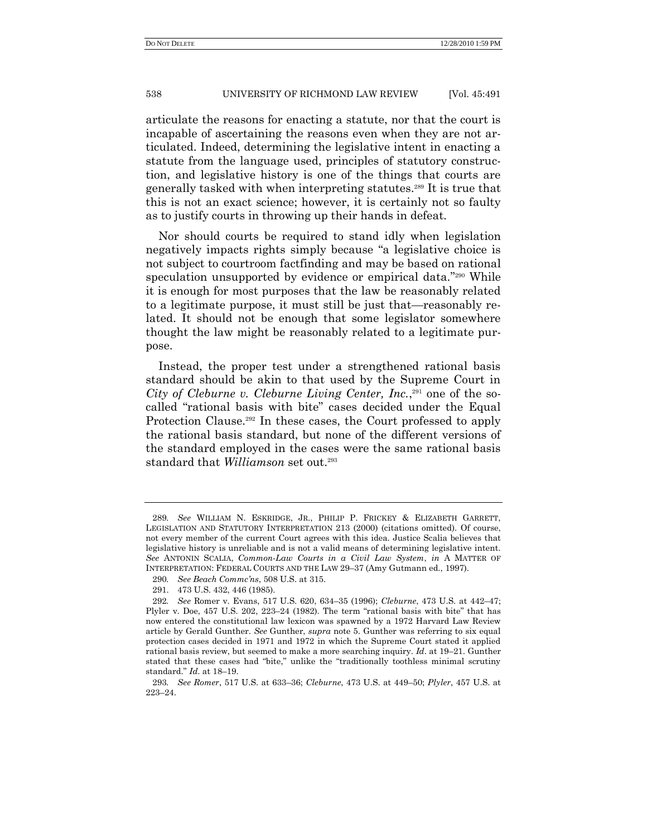articulate the reasons for enacting a statute, nor that the court is incapable of ascertaining the reasons even when they are not articulated. Indeed, determining the legislative intent in enacting a statute from the language used, principles of statutory construction, and legislative history is one of the things that courts are generally tasked with when interpreting statutes.<sup>289</sup> It is true that this is not an exact science; however, it is certainly not so faulty as to justify courts in throwing up their hands in defeat.

Nor should courts be required to stand idly when legislation negatively impacts rights simply because "a legislative choice is not subject to courtroom factfinding and may be based on rational speculation unsupported by evidence or empirical data."<sup>290</sup> While it is enough for most purposes that the law be reasonably related to a legitimate purpose, it must still be just that—reasonably related. It should not be enough that some legislator somewhere thought the law might be reasonably related to a legitimate purpose.

Instead, the proper test under a strengthened rational basis standard should be akin to that used by the Supreme Court in *City of Cleburne v. Cleburne Living Center, Inc.*, <sup>291</sup> one of the socalled "rational basis with bite" cases decided under the Equal Protection Clause.<sup>292</sup> In these cases, the Court professed to apply the rational basis standard, but none of the different versions of the standard employed in the cases were the same rational basis standard that *Williamson* set out.<sup>293</sup>

<sup>289</sup>*. See* WILLIAM N. ESKRIDGE, JR., PHILIP P. FRICKEY & ELIZABETH GARRETT, LEGISLATION AND STATUTORY INTERPRETATION 213 (2000) (citations omitted). Of course, not every member of the current Court agrees with this idea. Justice Scalia believes that legislative history is unreliable and is not a valid means of determining legislative intent. *See* ANTONIN SCALIA, *Common-Law Courts in a Civil Law System*, *in* A MATTER OF INTERPRETATION: FEDERAL COURTS AND THE LAW 29–37 (Amy Gutmann ed., 1997).

<sup>290</sup>*. See Beach Commc'ns*, 508 U.S. at 315.

<sup>291.</sup> 473 U.S. 432, 446 (1985).

<sup>292</sup>*. See* Romer v. Evans, 517 U.S. 620, 634–35 (1996); *Cleburne*, 473 U.S. at 442–47; Plyler v. Doe,  $457$  U.S.  $202$ ,  $223-24$  (1982). The term "rational basis with bite" that has now entered the constitutional law lexicon was spawned by a 1972 Harvard Law Review article by Gerald Gunther. *See* Gunther, *supra* note 5. Gunther was referring to six equal protection cases decided in 1971 and 1972 in which the Supreme Court stated it applied rational basis review, but seemed to make a more searching inquiry. *Id*. at 19–21. Gunther stated that these cases had "bite," unlike the "traditionally toothless minimal scrutiny standard.‖ *Id*. at 18–19.

<sup>293</sup>*. See Romer*, 517 U.S. at 633–36; *Cleburne*, 473 U.S. at 449–50; *Plyler*, 457 U.S. at 223–24.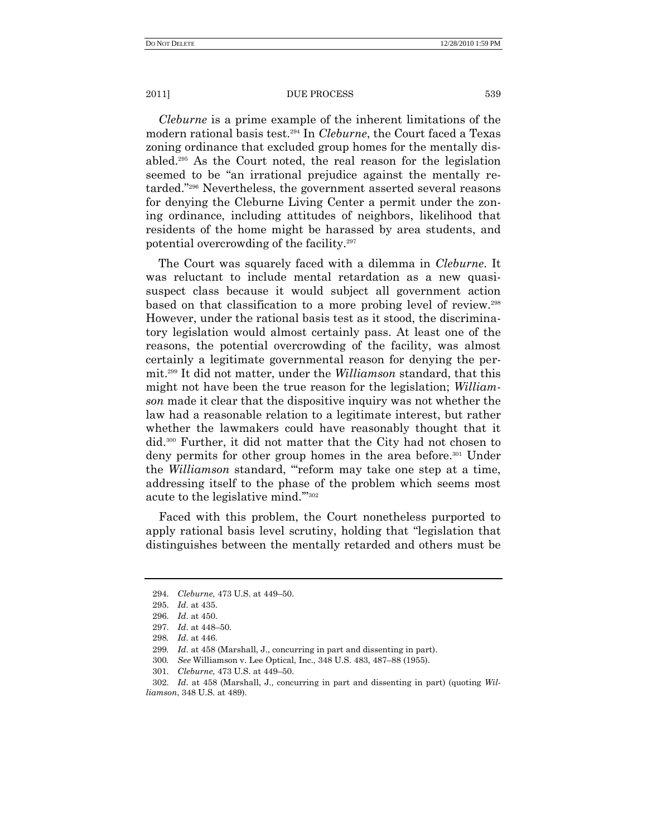*Cleburne* is a prime example of the inherent limitations of the modern rational basis test.<sup>294</sup> In *Cleburne*, the Court faced a Texas zoning ordinance that excluded group homes for the mentally disabled.<sup>295</sup> As the Court noted, the real reason for the legislation seemed to be "an irrational prejudice against the mentally retarded."<sup>296</sup> Nevertheless, the government asserted several reasons for denying the Cleburne Living Center a permit under the zoning ordinance, including attitudes of neighbors, likelihood that residents of the home might be harassed by area students, and potential overcrowding of the facility.<sup>297</sup>

The Court was squarely faced with a dilemma in *Cleburne*. It was reluctant to include mental retardation as a new quasisuspect class because it would subject all government action based on that classification to a more probing level of review.<sup>298</sup> However, under the rational basis test as it stood, the discriminatory legislation would almost certainly pass. At least one of the reasons, the potential overcrowding of the facility, was almost certainly a legitimate governmental reason for denying the permit.<sup>299</sup> It did not matter, under the *Williamson* standard, that this might not have been the true reason for the legislation; *Williamson* made it clear that the dispositive inquiry was not whether the law had a reasonable relation to a legitimate interest, but rather whether the lawmakers could have reasonably thought that it did.<sup>300</sup> Further, it did not matter that the City had not chosen to deny permits for other group homes in the area before.<sup>301</sup> Under the *Williamson* standard, "reform may take one step at a time, addressing itself to the phase of the problem which seems most acute to the legislative mind."<sup>302</sup>

Faced with this problem, the Court nonetheless purported to apply rational basis level scrutiny, holding that "legislation that" distinguishes between the mentally retarded and others must be

<sup>294.</sup> *Cleburne*, 473 U.S. at 449–50.

<sup>295.</sup> *Id*. at 435.

<sup>296.</sup> *Id*. at 450.

<sup>297.</sup> *Id*. at 448–50.

<sup>298</sup>*. Id*. at 446.

<sup>299</sup>*. Id*. at 458 (Marshall, J., concurring in part and dissenting in part).

<sup>300</sup>*. See* Williamson v. Lee Optical, Inc., 348 U.S. 483, 487–88 (1955).

<sup>301.</sup> *Cleburne*, 473 U.S. at 449–50.

<sup>302.</sup> *Id*. at 458 (Marshall, J., concurring in part and dissenting in part) (quoting *Williamson*, 348 U.S. at 489).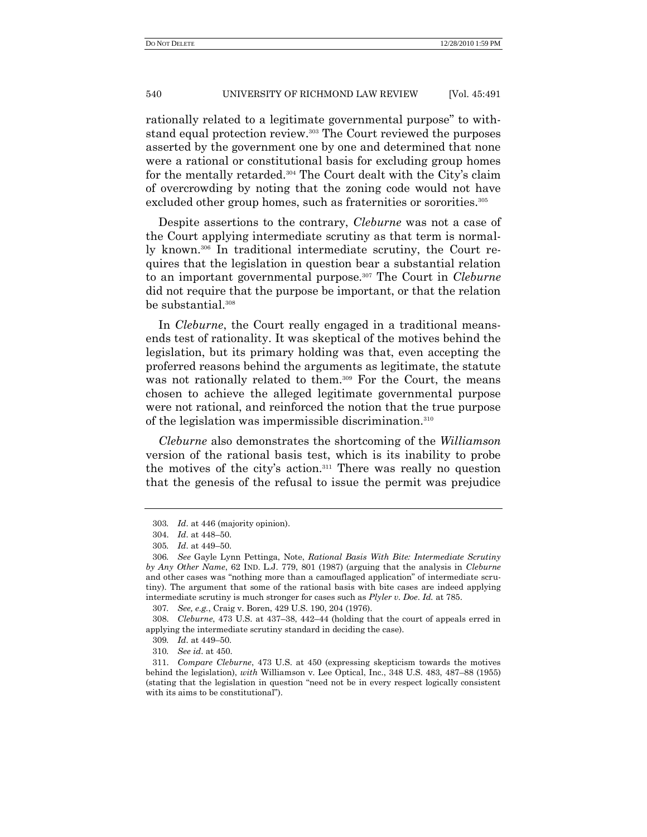rationally related to a legitimate governmental purpose" to withstand equal protection review.<sup>303</sup> The Court reviewed the purposes asserted by the government one by one and determined that none were a rational or constitutional basis for excluding group homes for the mentally retarded.<sup>304</sup> The Court dealt with the City's claim of overcrowding by noting that the zoning code would not have excluded other group homes, such as fraternities or sororities.<sup>305</sup>

Despite assertions to the contrary, *Cleburne* was not a case of the Court applying intermediate scrutiny as that term is normally known.<sup>306</sup> In traditional intermediate scrutiny, the Court requires that the legislation in question bear a substantial relation to an important governmental purpose.<sup>307</sup> The Court in *Cleburne* did not require that the purpose be important, or that the relation be substantial.<sup>308</sup>

In *Cleburne*, the Court really engaged in a traditional meansends test of rationality. It was skeptical of the motives behind the legislation, but its primary holding was that, even accepting the proferred reasons behind the arguments as legitimate, the statute was not rationally related to them.<sup>309</sup> For the Court, the means chosen to achieve the alleged legitimate governmental purpose were not rational, and reinforced the notion that the true purpose of the legislation was impermissible discrimination.<sup>310</sup>

*Cleburne* also demonstrates the shortcoming of the *Williamson* version of the rational basis test, which is its inability to probe the motives of the city's action.<sup>311</sup> There was really no question that the genesis of the refusal to issue the permit was prejudice

<sup>303</sup>*. Id*. at 446 (majority opinion).

<sup>304.</sup> *Id*. at 448–50.

<sup>305</sup>*. Id*. at 449–50.

<sup>306</sup>*. See* Gayle Lynn Pettinga, Note, *Rational Basis With Bite: Intermediate Scrutiny by Any Other Name*, 62 IND. L.J. 779, 801 (1987) (arguing that the analysis in *Cleburne* and other cases was "nothing more than a camouflaged application" of intermediate scrutiny). The argument that some of the rational basis with bite cases are indeed applying intermediate scrutiny is much stronger for cases such as *Plyler v. Doe*. *Id.* at 785.

<sup>307</sup>*. See, e.g.*, Craig v. Boren, 429 U.S. 190, 204 (1976).

<sup>308.</sup> *Cleburne*, 473 U.S. at 437–38, 442–44 (holding that the court of appeals erred in applying the intermediate scrutiny standard in deciding the case).

<sup>309</sup>*. Id*. at 449–50.

<sup>310</sup>*. See id*. at 450.

<sup>311.</sup> *Compare Cleburne*, 473 U.S. at 450 (expressing skepticism towards the motives behind the legislation), *with* Williamson v. Lee Optical, Inc., 348 U.S. 483, 487–88 (1955) (stating that the legislation in question "need not be in every respect logically consistent with its aims to be constitutional").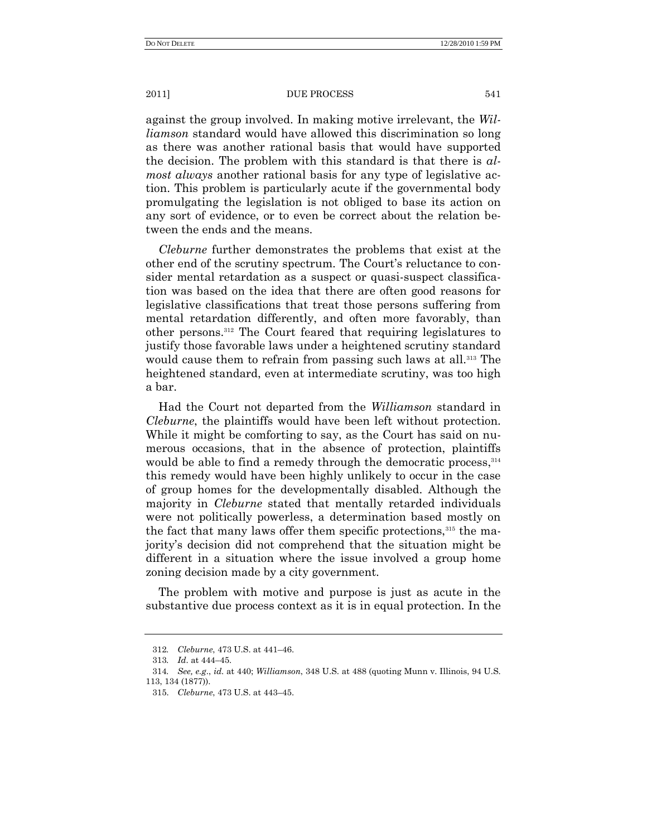against the group involved. In making motive irrelevant, the *Williamson* standard would have allowed this discrimination so long as there was another rational basis that would have supported the decision. The problem with this standard is that there is *almost always* another rational basis for any type of legislative action. This problem is particularly acute if the governmental body promulgating the legislation is not obliged to base its action on any sort of evidence, or to even be correct about the relation between the ends and the means.

*Cleburne* further demonstrates the problems that exist at the other end of the scrutiny spectrum. The Court's reluctance to consider mental retardation as a suspect or quasi-suspect classification was based on the idea that there are often good reasons for legislative classifications that treat those persons suffering from mental retardation differently, and often more favorably, than other persons.<sup>312</sup> The Court feared that requiring legislatures to justify those favorable laws under a heightened scrutiny standard would cause them to refrain from passing such laws at all.<sup>313</sup> The heightened standard, even at intermediate scrutiny, was too high a bar.

Had the Court not departed from the *Williamson* standard in *Cleburne*, the plaintiffs would have been left without protection. While it might be comforting to say, as the Court has said on numerous occasions, that in the absence of protection, plaintiffs would be able to find a remedy through the democratic process, 314 this remedy would have been highly unlikely to occur in the case of group homes for the developmentally disabled. Although the majority in *Cleburne* stated that mentally retarded individuals were not politically powerless, a determination based mostly on the fact that many laws offer them specific protections,<sup>315</sup> the majority's decision did not comprehend that the situation might be different in a situation where the issue involved a group home zoning decision made by a city government.

The problem with motive and purpose is just as acute in the substantive due process context as it is in equal protection. In the

<sup>312</sup>*. Cleburne*, 473 U.S. at 441–46.

<sup>313</sup>*. Id*. at 444–45.

<sup>314</sup>*. See, e.g*., *id*. at 440; *Williamson*, 348 U.S. at 488 (quoting Munn v. Illinois, 94 U.S. 113, 134 (1877)).

<sup>315.</sup> *Cleburne*, 473 U.S. at 443–45.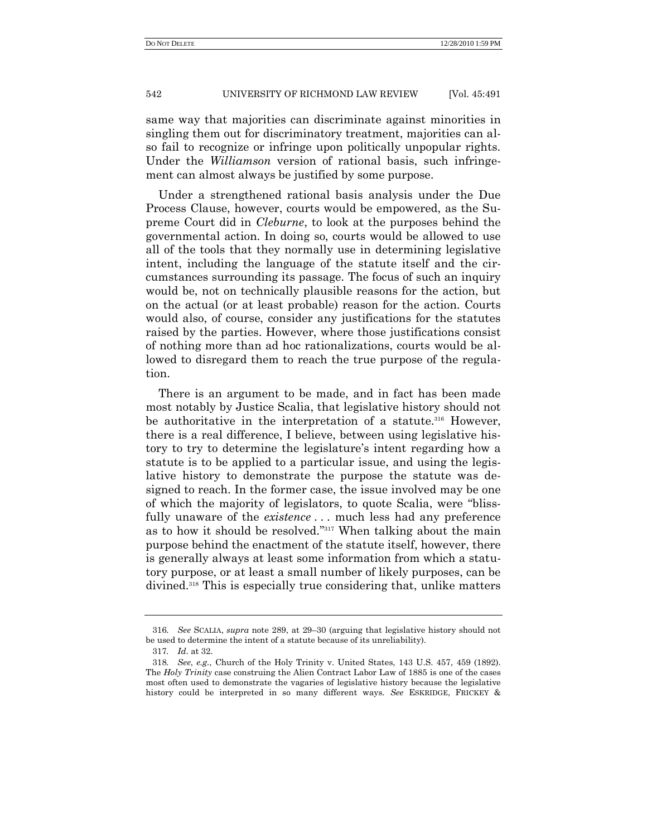same way that majorities can discriminate against minorities in singling them out for discriminatory treatment, majorities can also fail to recognize or infringe upon politically unpopular rights. Under the *Williamson* version of rational basis, such infringement can almost always be justified by some purpose.

Under a strengthened rational basis analysis under the Due Process Clause, however, courts would be empowered, as the Supreme Court did in *Cleburne*, to look at the purposes behind the governmental action. In doing so, courts would be allowed to use all of the tools that they normally use in determining legislative intent, including the language of the statute itself and the circumstances surrounding its passage. The focus of such an inquiry would be, not on technically plausible reasons for the action, but on the actual (or at least probable) reason for the action. Courts would also, of course, consider any justifications for the statutes raised by the parties. However, where those justifications consist of nothing more than ad hoc rationalizations, courts would be allowed to disregard them to reach the true purpose of the regulation.

There is an argument to be made, and in fact has been made most notably by Justice Scalia, that legislative history should not be authoritative in the interpretation of a statute.<sup>316</sup> However, there is a real difference, I believe, between using legislative history to try to determine the legislature's intent regarding how a statute is to be applied to a particular issue, and using the legislative history to demonstrate the purpose the statute was designed to reach. In the former case, the issue involved may be one of which the majority of legislators, to quote Scalia, were "blissfully unaware of the *existence* . . . much less had any preference as to how it should be resolved."<sup>317</sup> When talking about the main purpose behind the enactment of the statute itself, however, there is generally always at least some information from which a statutory purpose, or at least a small number of likely purposes, can be divined.<sup>318</sup> This is especially true considering that, unlike matters

<sup>316</sup>*. See* SCALIA, *supra* note 289, at 29–30 (arguing that legislative history should not be used to determine the intent of a statute because of its unreliability).

<sup>317</sup>*. Id*. at 32.

<sup>318</sup>*. See*, *e.g.*, Church of the Holy Trinity v. United States, 143 U.S. 457, 459 (1892). The *Holy Trinity* case construing the Alien Contract Labor Law of 1885 is one of the cases most often used to demonstrate the vagaries of legislative history because the legislative history could be interpreted in so many different ways. *See* ESKRIDGE, FRICKEY &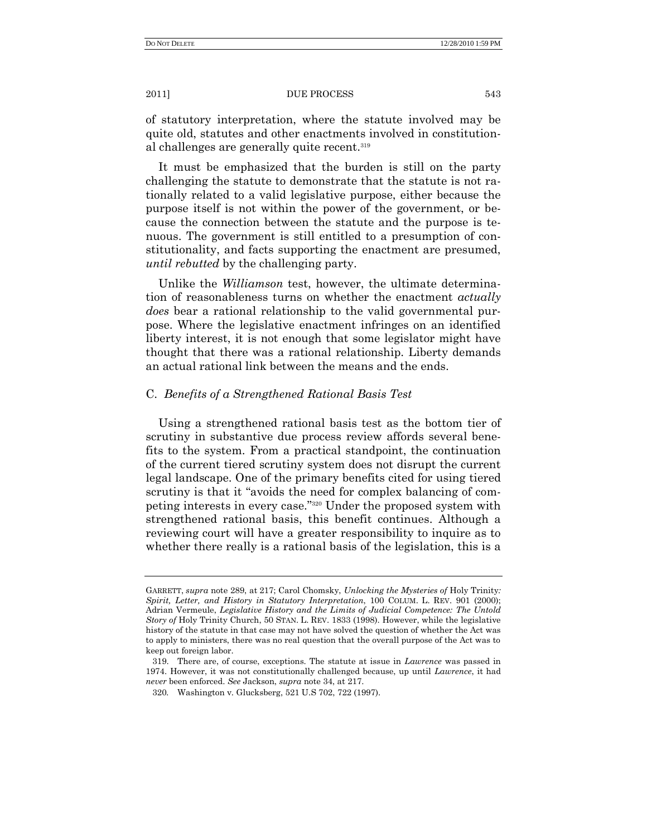of statutory interpretation, where the statute involved may be quite old, statutes and other enactments involved in constitutional challenges are generally quite recent.<sup>319</sup>

It must be emphasized that the burden is still on the party challenging the statute to demonstrate that the statute is not rationally related to a valid legislative purpose, either because the purpose itself is not within the power of the government, or because the connection between the statute and the purpose is tenuous. The government is still entitled to a presumption of constitutionality, and facts supporting the enactment are presumed, *until rebutted* by the challenging party.

Unlike the *Williamson* test, however, the ultimate determination of reasonableness turns on whether the enactment *actually does* bear a rational relationship to the valid governmental purpose. Where the legislative enactment infringes on an identified liberty interest, it is not enough that some legislator might have thought that there was a rational relationship. Liberty demands an actual rational link between the means and the ends.

# C. *Benefits of a Strengthened Rational Basis Test*

Using a strengthened rational basis test as the bottom tier of scrutiny in substantive due process review affords several benefits to the system. From a practical standpoint, the continuation of the current tiered scrutiny system does not disrupt the current legal landscape. One of the primary benefits cited for using tiered scrutiny is that it "avoids the need for complex balancing of competing interests in every case."<sup>320</sup> Under the proposed system with strengthened rational basis, this benefit continues. Although a reviewing court will have a greater responsibility to inquire as to whether there really is a rational basis of the legislation, this is a

GARRETT, *supra* note 289, at 217; Carol Chomsky, *Unlocking the Mysteries of* Holy Trinity*: Spirit, Letter, and History in Statutory Interpretation*, 100 COLUM. L. REV. 901 (2000); Adrian Vermeule, *Legislative History and the Limits of Judicial Competence: The Untold Story of* Holy Trinity Church, 50 STAN. L. REV. 1833 (1998). However, while the legislative history of the statute in that case may not have solved the question of whether the Act was to apply to ministers, there was no real question that the overall purpose of the Act was to keep out foreign labor.

<sup>319.</sup> There are, of course, exceptions. The statute at issue in *Lawrence* was passed in 1974. However, it was not constitutionally challenged because, up until *Lawrence*, it had *never* been enforced. *See* Jackson, *supra* note 34, at 217.

<sup>320</sup>*.* Washington v. Glucksberg, 521 U.S 702, 722 (1997).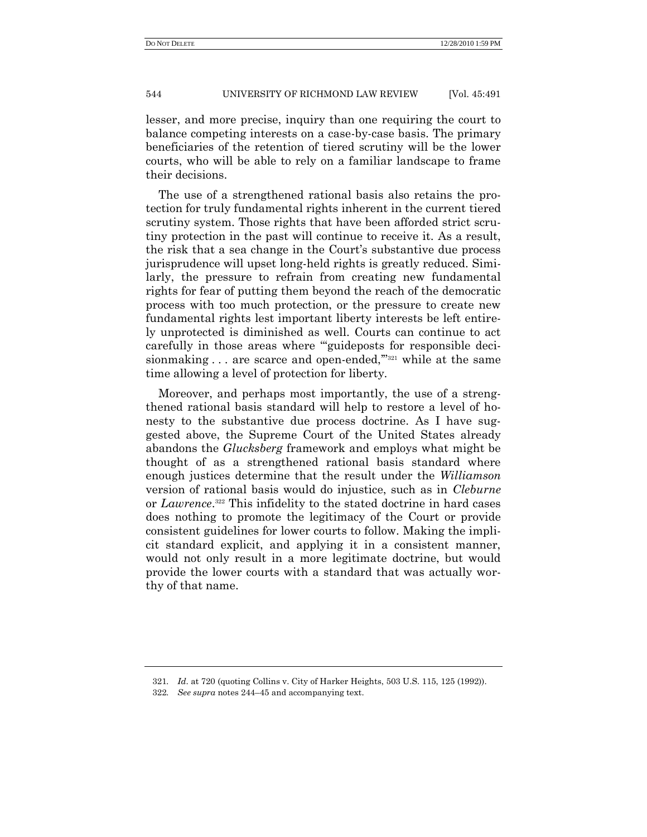lesser, and more precise, inquiry than one requiring the court to balance competing interests on a case-by-case basis. The primary beneficiaries of the retention of tiered scrutiny will be the lower courts, who will be able to rely on a familiar landscape to frame their decisions.

The use of a strengthened rational basis also retains the protection for truly fundamental rights inherent in the current tiered scrutiny system. Those rights that have been afforded strict scrutiny protection in the past will continue to receive it. As a result, the risk that a sea change in the Court's substantive due process jurisprudence will upset long-held rights is greatly reduced. Similarly, the pressure to refrain from creating new fundamental rights for fear of putting them beyond the reach of the democratic process with too much protection, or the pressure to create new fundamental rights lest important liberty interests be left entirely unprotected is diminished as well. Courts can continue to act carefully in those areas where "guideposts for responsible decisionmaking  $\ldots$  are scarce and open-ended,  $\ldots$  while at the same time allowing a level of protection for liberty.

Moreover, and perhaps most importantly, the use of a strengthened rational basis standard will help to restore a level of honesty to the substantive due process doctrine. As I have suggested above, the Supreme Court of the United States already abandons the *Glucksberg* framework and employs what might be thought of as a strengthened rational basis standard where enough justices determine that the result under the *Williamson* version of rational basis would do injustice, such as in *Cleburne* or *Lawrence*. <sup>322</sup> This infidelity to the stated doctrine in hard cases does nothing to promote the legitimacy of the Court or provide consistent guidelines for lower courts to follow. Making the implicit standard explicit, and applying it in a consistent manner, would not only result in a more legitimate doctrine, but would provide the lower courts with a standard that was actually worthy of that name.

<sup>321</sup>*. Id*. at 720 (quoting Collins v. City of Harker Heights, 503 U.S. 115, 125 (1992)).

<sup>322</sup>*. See supra* notes 244–45 and accompanying text.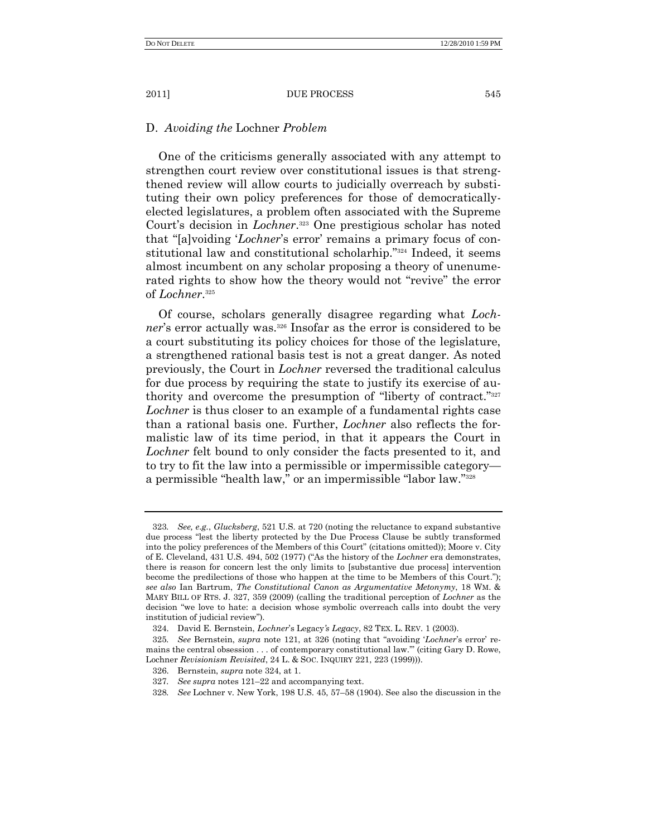# D. *Avoiding the* Lochner *Problem*

One of the criticisms generally associated with any attempt to strengthen court review over constitutional issues is that strengthened review will allow courts to judicially overreach by substituting their own policy preferences for those of democraticallyelected legislatures, a problem often associated with the Supreme Court's decision in *Lochner*. <sup>323</sup> One prestigious scholar has noted that "[a]voiding '*Lochner*'s error' remains a primary focus of constitutional law and constitutional scholarhip."<sup>324</sup> Indeed, it seems almost incumbent on any scholar proposing a theory of unenumerated rights to show how the theory would not "revive" the error of *Lochner*. 325

Of course, scholars generally disagree regarding what *Lochner*'s error actually was.<sup>326</sup> Insofar as the error is considered to be a court substituting its policy choices for those of the legislature, a strengthened rational basis test is not a great danger. As noted previously, the Court in *Lochner* reversed the traditional calculus for due process by requiring the state to justify its exercise of authority and overcome the presumption of "liberty of contract."<sup>327</sup> *Lochner* is thus closer to an example of a fundamental rights case than a rational basis one. Further, *Lochner* also reflects the formalistic law of its time period, in that it appears the Court in *Lochner* felt bound to only consider the facts presented to it, and to try to fit the law into a permissible or impermissible category a permissible "health law," or an impermissible "labor law."<sup>328</sup>

<sup>323</sup>*. See, e.g.*, *Glucksberg*, 521 U.S. at 720 (noting the reluctance to expand substantive due process "lest the liberty protected by the Due Process Clause be subtly transformed into the policy preferences of the Members of this Court" (citations omitted)); Moore v. City of E. Cleveland, 431 U.S. 494, 502 (1977) ("As the history of the *Lochner* era demonstrates, there is reason for concern lest the only limits to [substantive due process] intervention become the predilections of those who happen at the time to be Members of this Court."); *see also* Ian Bartrum, *The Constitutional Canon as Argumentative Metonymy*, 18 WM. & MARY BILL OF RTS. J. 327, 359 (2009) (calling the traditional perception of *Lochner* as the decision "we love to hate: a decision whose symbolic overreach calls into doubt the very institution of judicial review").

<sup>324.</sup> David E. Bernstein, *Lochner*'s Legacy*'s Legacy*, 82 TEX. L. REV. 1 (2003).

<sup>325</sup>*. See* Bernstein, *supra* note 121, at 326 (noting that ―avoiding ‗*Lochner*'s error' remains the central obsession . . . of contemporary constitutional law." (citing Gary D. Rowe, Lochner *Revisionism Revisited*, 24 L. & SOC. INQUIRY 221, 223 (1999))).

<sup>326.</sup> Bernstein, *supra* note 324, at 1.

<sup>327</sup>*. See supra* notes 121–22 and accompanying text.

<sup>328</sup>*. See* Lochner v. New York, 198 U.S. 45, 57–58 (1904). See also the discussion in the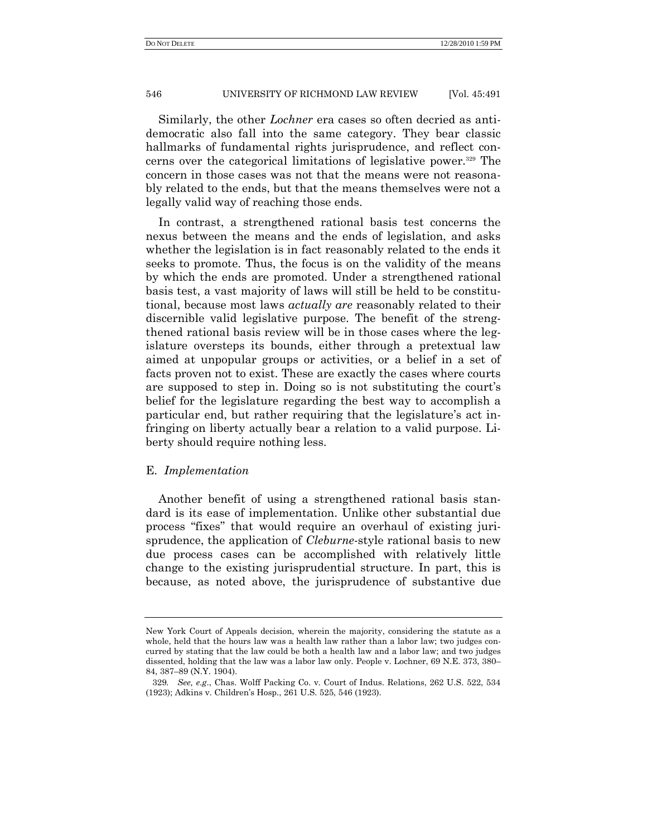Similarly, the other *Lochner* era cases so often decried as antidemocratic also fall into the same category. They bear classic hallmarks of fundamental rights jurisprudence, and reflect concerns over the categorical limitations of legislative power.<sup>329</sup> The concern in those cases was not that the means were not reasonably related to the ends, but that the means themselves were not a legally valid way of reaching those ends.

In contrast, a strengthened rational basis test concerns the nexus between the means and the ends of legislation, and asks whether the legislation is in fact reasonably related to the ends it seeks to promote. Thus, the focus is on the validity of the means by which the ends are promoted. Under a strengthened rational basis test, a vast majority of laws will still be held to be constitutional, because most laws *actually are* reasonably related to their discernible valid legislative purpose. The benefit of the strengthened rational basis review will be in those cases where the legislature oversteps its bounds, either through a pretextual law aimed at unpopular groups or activities, or a belief in a set of facts proven not to exist. These are exactly the cases where courts are supposed to step in. Doing so is not substituting the court's belief for the legislature regarding the best way to accomplish a particular end, but rather requiring that the legislature's act infringing on liberty actually bear a relation to a valid purpose. Liberty should require nothing less.

## E. *Implementation*

Another benefit of using a strengthened rational basis standard is its ease of implementation. Unlike other substantial due process "fixes" that would require an overhaul of existing jurisprudence, the application of *Cleburne*-style rational basis to new due process cases can be accomplished with relatively little change to the existing jurisprudential structure. In part, this is because, as noted above, the jurisprudence of substantive due

New York Court of Appeals decision, wherein the majority, considering the statute as a whole, held that the hours law was a health law rather than a labor law; two judges concurred by stating that the law could be both a health law and a labor law; and two judges dissented, holding that the law was a labor law only. People v. Lochner, 69 N.E. 373, 380– 84, 387–89 (N.Y. 1904).

<sup>329</sup>*. See, e.g*., Chas. Wolff Packing Co. v. Court of Indus. Relations, 262 U.S. 522, 534 (1923); Adkins v. Children's Hosp., 261 U.S. 525, 546 (1923).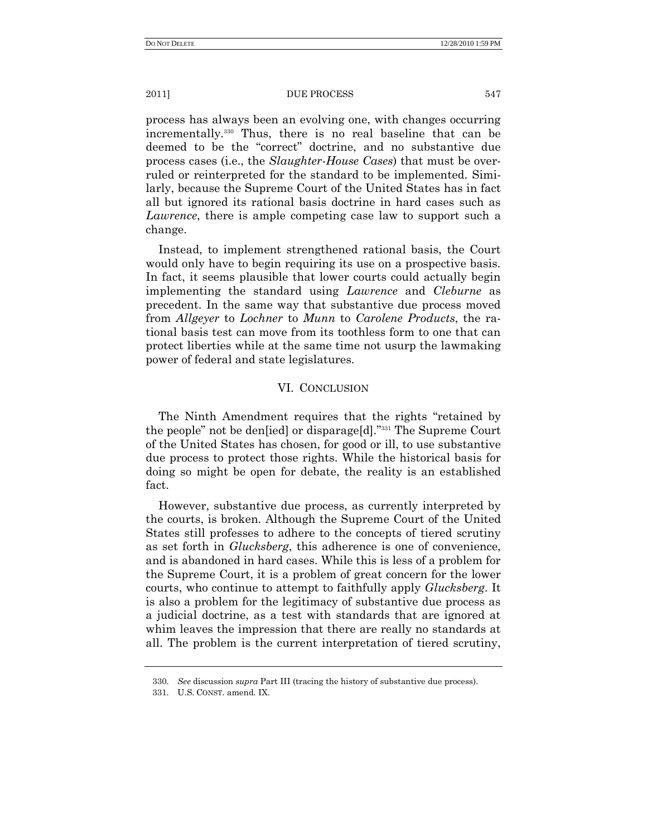process has always been an evolving one, with changes occurring incrementally.<sup>330</sup> Thus, there is no real baseline that can be deemed to be the "correct" doctrine, and no substantive due process cases (i.e., the *Slaughter-House Cases*) that must be overruled or reinterpreted for the standard to be implemented. Similarly, because the Supreme Court of the United States has in fact all but ignored its rational basis doctrine in hard cases such as *Lawrence*, there is ample competing case law to support such a change.

Instead, to implement strengthened rational basis, the Court would only have to begin requiring its use on a prospective basis. In fact, it seems plausible that lower courts could actually begin implementing the standard using *Lawrence* and *Cleburne* as precedent. In the same way that substantive due process moved from *Allgeyer* to *Lochner* to *Munn* to *Carolene Products*, the rational basis test can move from its toothless form to one that can protect liberties while at the same time not usurp the lawmaking power of federal and state legislatures.

## VI. CONCLUSION

The Ninth Amendment requires that the rights "retained by the people" not be densied or disparage [d]." $331$  The Supreme Court of the United States has chosen, for good or ill, to use substantive due process to protect those rights. While the historical basis for doing so might be open for debate, the reality is an established fact.

However, substantive due process, as currently interpreted by the courts, is broken. Although the Supreme Court of the United States still professes to adhere to the concepts of tiered scrutiny as set forth in *Glucksberg*, this adherence is one of convenience, and is abandoned in hard cases. While this is less of a problem for the Supreme Court, it is a problem of great concern for the lower courts, who continue to attempt to faithfully apply *Glucksberg*. It is also a problem for the legitimacy of substantive due process as a judicial doctrine, as a test with standards that are ignored at whim leaves the impression that there are really no standards at all. The problem is the current interpretation of tiered scrutiny,

<sup>330.</sup> *See* discussion *supra* Part III (tracing the history of substantive due process).

<sup>331.</sup> U.S. CONST. amend. IX.